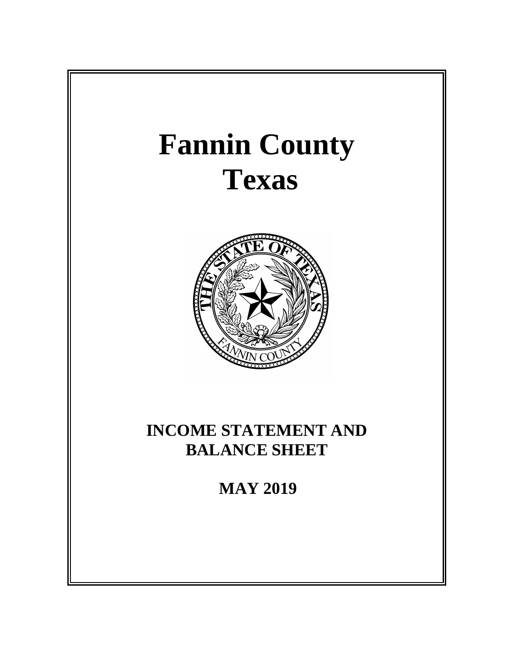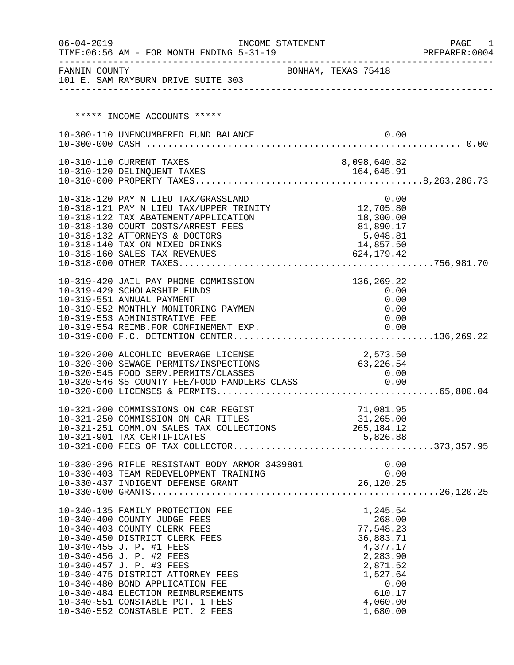| $06 - 04 - 2019$ | INCOME STATEMENT<br>TIME: 06:56 AM - FOR MONTH ENDING 5-31-19                                     |                     |            |                       | PAGE 1<br>PREPARER: 0004 |
|------------------|---------------------------------------------------------------------------------------------------|---------------------|------------|-----------------------|--------------------------|
|                  | FANNIN COUNTY<br>101 E. SAM RAYBURN DRIVE SUITE 303                                               | BONHAM, TEXAS 75418 |            |                       |                          |
|                  |                                                                                                   |                     |            |                       |                          |
|                  | ***** INCOME ACCOUNTS *****                                                                       |                     |            |                       |                          |
|                  | 10-300-110 UNENCUMBERED FUND BALANCE                                                              |                     |            | 0.00                  |                          |
|                  |                                                                                                   |                     |            |                       |                          |
|                  | 10-310-110 CURRENT TAXES                                                                          |                     |            | 8,098,640.82          |                          |
|                  |                                                                                                   |                     |            |                       |                          |
|                  |                                                                                                   |                     |            |                       |                          |
|                  | 10-318-120 PAY N LIEU TAX/GRASSLAND 0.00<br>10-318-121 PAY N LIEU TAX/UPPER TRINITY 12,705.80     |                     |            |                       |                          |
|                  | 10-318-122 TAX ABATEMENT/APPLICATION                                                              |                     | 18,300.00  |                       |                          |
|                  | 10-318-130 COURT COSTS/ARREST FEES                                                                |                     | 81,890.17  |                       |                          |
|                  | 10-318-132 ATTORNEYS & DOCTORS                                                                    |                     |            | 5,048.81<br>14,857.50 |                          |
|                  | 10-318-140 TAX ON MIXED DRINKS<br>10-318-140 TAX ON MIXED DRINKS<br>10-318-160 SALES TAX REVENUES |                     | 624,179.42 |                       |                          |
|                  |                                                                                                   |                     |            |                       |                          |
|                  |                                                                                                   |                     |            |                       |                          |
|                  | 10-319-420 JAIL PAY PHONE COMMISSION<br>10-319-429 SCHOLARSHIP FUNDS                              |                     |            | 136,269.22            |                          |
|                  | 10-319-551 ANNUAL PAYMENT                                                                         |                     |            | 0.00<br>0.00          |                          |
|                  | 10-319-552 MONTHLY MONITORING PAYMEN                                                              |                     |            | 0.00                  |                          |
|                  | 10-319-553 ADMINISTRATIVE FEE                                                                     |                     |            | 0.00                  |                          |
|                  | 10-319-554 REIMB.FOR CONFINEMENT EXP.                                                             |                     |            | 0.00                  |                          |
|                  |                                                                                                   |                     |            |                       |                          |
|                  | 10-320-200 ALCOHLIC BEVERAGE LICENSE                                                              |                     | 2,573.50   |                       |                          |
|                  | 10-320-300 SEWAGE PERMITS/INSPECTIONS                                                             |                     | 63,226.54  |                       |                          |
|                  | 10-320-545 FOOD SERV.PERMITS/CLASSES 0.00<br>10-320-546 \$5 COUNTY FEE/FOOD HANDLERS CLASS 0.00   |                     |            |                       |                          |
|                  |                                                                                                   |                     |            |                       |                          |
|                  | 10-321-200 COMMISSIONS ON CAR REGIST                                                              |                     |            | 71,081.95             |                          |
|                  | 10-321-250 COMMISSION ON CAR TITLES                                                               | 31, 265.00          |            |                       |                          |
|                  | 10-321-251 COMM.ON SALES TAX COLLECTIONS 265,184.12                                               |                     |            |                       |                          |
|                  | 10-321-901 TAX CERTIFICATES                                                                       |                     | 5,826.88   |                       |                          |
|                  |                                                                                                   |                     |            |                       |                          |
|                  |                                                                                                   |                     |            |                       |                          |
|                  |                                                                                                   |                     |            |                       |                          |
|                  |                                                                                                   |                     |            |                       |                          |
|                  |                                                                                                   |                     |            |                       |                          |
|                  | 10-340-135 FAMILY PROTECTION FEE<br>10-340-400 COUNTY JUDGE FEES                                  |                     |            | 1,245.54<br>268.00    |                          |
|                  | 10-340-403 COUNTY CLERK FEES                                                                      |                     |            | 77,548.23             |                          |
|                  | 10-340-450 DISTRICT CLERK FEES                                                                    |                     |            | 36,883.71             |                          |
|                  | 10-340-455 J. P. #1 FEES                                                                          |                     |            | 4,377.17              |                          |
|                  | 10-340-456 J. P. #2 FEES<br>10-340-457 J. P. #3 FEES                                              |                     |            | 2,283.90<br>2,871.52  |                          |
|                  | 10-340-475 DISTRICT ATTORNEY FEES                                                                 |                     |            | 1,527.64              |                          |
|                  | 10-340-480 BOND APPLICATION FEE                                                                   |                     |            | 0.00                  |                          |
|                  | 10-340-484 ELECTION REIMBURSEMENTS                                                                |                     |            | 610.17                |                          |
|                  | 10-340-551 CONSTABLE PCT. 1 FEES<br>10-340-552 CONSTABLE PCT. 2 FEES                              |                     |            | 4,060.00<br>1,680.00  |                          |
|                  |                                                                                                   |                     |            |                       |                          |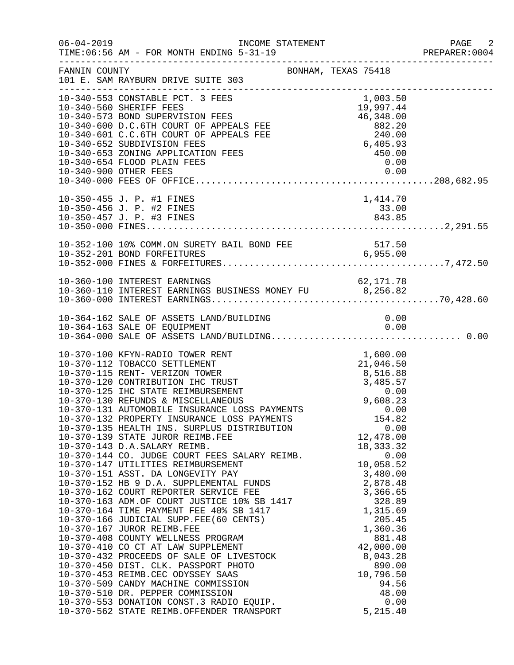| $06 - 04 - 2019$ | INCOME STATEMENT<br>TIME: 06:56 AM - FOR MONTH ENDING 5-31-19                                                                                                                                                                                                                                                                                                                                                                                                                                                                                                                                                                                                                                                                                                                                                                                                                                                                                                                                                                                  |                                                                                                                                                                                                                                                             | PAGE 2<br>PREPARER:0004 |
|------------------|------------------------------------------------------------------------------------------------------------------------------------------------------------------------------------------------------------------------------------------------------------------------------------------------------------------------------------------------------------------------------------------------------------------------------------------------------------------------------------------------------------------------------------------------------------------------------------------------------------------------------------------------------------------------------------------------------------------------------------------------------------------------------------------------------------------------------------------------------------------------------------------------------------------------------------------------------------------------------------------------------------------------------------------------|-------------------------------------------------------------------------------------------------------------------------------------------------------------------------------------------------------------------------------------------------------------|-------------------------|
| FANNIN COUNTY    | 101 E. SAM RAYBURN DRIVE SUITE 303                                                                                                                                                                                                                                                                                                                                                                                                                                                                                                                                                                                                                                                                                                                                                                                                                                                                                                                                                                                                             | BONHAM, TEXAS 75418                                                                                                                                                                                                                                         |                         |
|                  | 10-340-553 CONSTABLE PCT. 3 FEES<br>10-340-553 CONSTABLE FOR THE 10-340-560 SHERIFF FEES<br>10-340-573 BOND SUPERVISION FEES<br>10-340-600 D.C.6TH COURT OF APPEALS FEE 882.20<br>10-340-601 C.C.6TH COURT OF APPEALS FEE 240.00<br>10-340-652 SUBDIVISION FEES<br>10-340-65<br>10-340-900 OTHER FEES                                                                                                                                                                                                                                                                                                                                                                                                                                                                                                                                                                                                                                                                                                                                          | 0.00                                                                                                                                                                                                                                                        |                         |
|                  | 10-350-455 J. P. #1 FINES<br>10-350-456 J. P. #2 FINES<br>10-350-457 J. P. #3 FINES                                                                                                                                                                                                                                                                                                                                                                                                                                                                                                                                                                                                                                                                                                                                                                                                                                                                                                                                                            | 1,414.70<br>33.00<br>843.85                                                                                                                                                                                                                                 |                         |
|                  |                                                                                                                                                                                                                                                                                                                                                                                                                                                                                                                                                                                                                                                                                                                                                                                                                                                                                                                                                                                                                                                |                                                                                                                                                                                                                                                             |                         |
|                  | 10-360-100 INTEREST EARNINGS<br>10-360-110 INTEREST EARNINGS BUSINESS MONEY FU 6,256.82                                                                                                                                                                                                                                                                                                                                                                                                                                                                                                                                                                                                                                                                                                                                                                                                                                                                                                                                                        |                                                                                                                                                                                                                                                             |                         |
|                  | 10-364-162 SALE OF ASSETS LAND/BUILDING                                                                                                                                                                                                                                                                                                                                                                                                                                                                                                                                                                                                                                                                                                                                                                                                                                                                                                                                                                                                        | 0.00                                                                                                                                                                                                                                                        |                         |
|                  | 10-370-100 KFYN-RADIO TOWER RENT<br>10-370-132 PROPERTY INSURANCE LOSS PAYMENTS<br>10-370-135 HEALTH INS. SURPLUS DISTRIBUTION<br>10-370-139 STATE JUROR REIMB.FEE<br>10-370-143 D.A.SALARY REIMB.<br>10-370-144 CO. JUDGE COURT FEES SALARY REIMB.<br>10-370-147 UTILITIES REIMBURSEMENT<br>10-370-151 ASST. DA LONGEVITY PAY<br>10-370-152 HB 9 D.A. SUPPLEMENTAL FUNDS<br>10-370-162 COURT REPORTER SERVICE FEE<br>10-370-163 ADM.OF COURT JUSTICE 10% SB 1417<br>10-370-164 TIME PAYMENT FEE 40% SB 1417<br>10-370-164 TIME PAYMENT FEE 40% SB 1417<br>10-370-166 JUDICIAL SUPP.FEE(60 CENTS)<br>10-370-167 JUROR REIMB.FEE<br>10-370-408 COUNTY WELLNESS PROGRAM<br>10-370-410 CO CT AT LAW SUPPLEMENT<br>10-370-410 CO CT AT LAW SUPPLEMENT<br>10-370-432 PROCEEDS OF SALE OF LIVESTOCK<br>10-370-450 DIST. CLK. PASSPORT PHOTO<br>10-370-453 REIMB.CEC ODYSSEY SAAS<br>10-370-509 CANDY MACHINE COMMISSION<br>10-370-510 DR. PEPPER COMMISSION<br>10-370-553 DONATION CONST.3 RADIO EQUIP.<br>10-370-562 STATE REIMB.OFFENDER TRANSPORT | 1,600.00<br>154.82<br>0.00<br>12,478.00<br>18, 333. 32<br>0.00<br>10,058.52<br>3,480.00<br>2,878.48<br>3,366.65<br>328.89<br>1,315.69<br>205.45<br>1,360.36<br>881.48<br>42,000.00<br>8,043.28<br>890.00<br>10,796.50<br>94.56<br>48.00<br>0.00<br>5,215.40 |                         |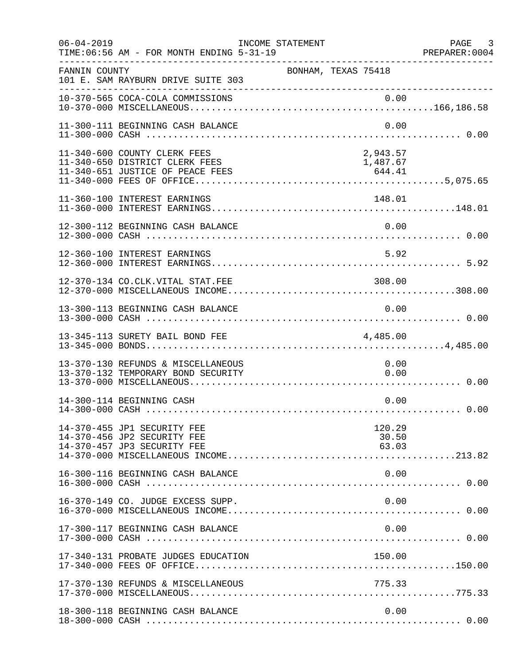| $06 - 04 - 2019$ | TIME: 06:56 AM - FOR MONTH ENDING 5-31-19                                                          | INCOME STATEMENT |                     |                                | PAGE 3<br>PREPARER:0004 |
|------------------|----------------------------------------------------------------------------------------------------|------------------|---------------------|--------------------------------|-------------------------|
| FANNIN COUNTY    | 101 E. SAM RAYBURN DRIVE SUITE 303<br>______________________________                               |                  | BONHAM, TEXAS 75418 |                                |                         |
|                  |                                                                                                    |                  |                     |                                |                         |
|                  | 11-300-111 BEGINNING CASH BALANCE                                                                  |                  |                     | 0.00                           |                         |
|                  | 11-340-600 COUNTY CLERK FEES<br>11-340-650 DISTRICT CLERK FEES<br>11-340-651 JUSTICE OF PEACE FEES |                  |                     | 2,943.57<br>1,487.67<br>644.41 |                         |
|                  | 11-360-100 INTEREST EARNINGS                                                                       |                  |                     | 148.01                         |                         |
|                  | 12-300-112 BEGINNING CASH BALANCE                                                                  |                  |                     | 0.00                           |                         |
|                  | 12-360-100 INTEREST EARNINGS                                                                       |                  |                     | 5.92                           |                         |
|                  | 12-370-134 CO.CLK.VITAL STAT.FEE                                                                   |                  |                     | 308.00                         |                         |
|                  | 13-300-113 BEGINNING CASH BALANCE                                                                  |                  |                     | 0.00                           |                         |
|                  | 13-345-113 SURETY BAIL BOND FEE                                                                    |                  |                     | 4,485.00                       |                         |
|                  | 13-370-130 REFUNDS & MISCELLANEOUS<br>13-370-132 TEMPORARY BOND SECURITY                           |                  |                     | 0.00<br>0.00                   |                         |
|                  | 14-300-114 BEGINNING CASH                                                                          |                  |                     | 0.00                           |                         |
|                  | 14-370-455 JP1 SECURITY FEE<br>14-370-456 JP2 SECURITY FEE<br>14-370-457 JP3 SECURITY FEE          |                  |                     | 120.29<br>30.50<br>63.03       |                         |
|                  | 16-300-116 BEGINNING CASH BALANCE                                                                  |                  |                     | 0.00                           |                         |
|                  | 16-370-149 CO. JUDGE EXCESS SUPP.                                                                  |                  |                     | 0.00                           |                         |
|                  | 17-300-117 BEGINNING CASH BALANCE                                                                  |                  |                     | 0.00                           |                         |
|                  | 17-340-131 PROBATE JUDGES EDUCATION                                                                |                  |                     | 150.00                         |                         |
|                  | 17-370-130 REFUNDS & MISCELLANEOUS                                                                 |                  |                     | 775.33                         |                         |
|                  | 18-300-118 BEGINNING CASH BALANCE                                                                  |                  |                     | 0.00                           |                         |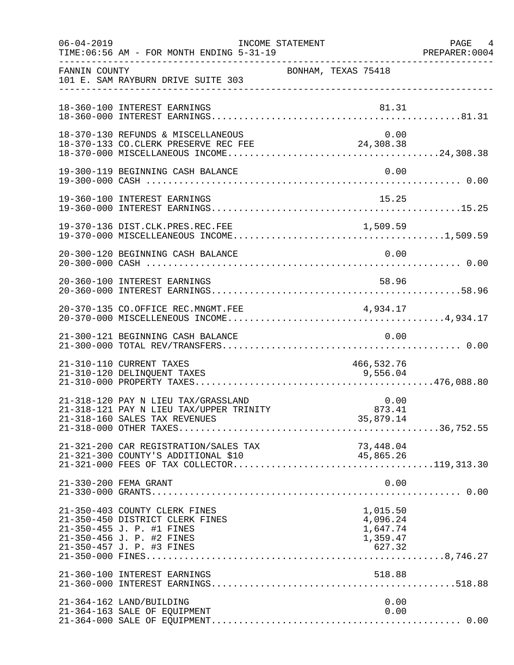| $06 - 04 - 2019$ | TIME: 06:56 AM - FOR MONTH ENDING 5-31-19                                                                                  | INCOME STATEMENT    | PAGE 4<br>PREPARER: 0004                     |
|------------------|----------------------------------------------------------------------------------------------------------------------------|---------------------|----------------------------------------------|
| FANNIN COUNTY    | 101 E. SAM RAYBURN DRIVE SUITE 303                                                                                         | BONHAM, TEXAS 75418 |                                              |
|                  | 18-360-100 INTEREST EARNINGS                                                                                               |                     | 81.31                                        |
|                  | 18-370-130 REFUNDS & MISCELLANEOUS<br>18-370-133 CO.CLERK PRESERVE REC FEE                                                 | 24,308.38           | 0.00                                         |
|                  | 19-300-119 BEGINNING CASH BALANCE                                                                                          |                     | 0.00                                         |
|                  | 19-360-100 INTEREST EARNINGS                                                                                               |                     | 15.25                                        |
|                  | 19-370-136 DIST.CLK.PRES.REC.FEE                                                                                           |                     |                                              |
|                  | 20-300-120 BEGINNING CASH BALANCE                                                                                          |                     | 0.00                                         |
|                  | 20-360-100 INTEREST EARNINGS                                                                                               | 58.96               |                                              |
|                  | 20-370-135 CO.OFFICE REC.MNGMT.FEE                                                                                         | 4,934.17            |                                              |
|                  | 21-300-121 BEGINNING CASH BALANCE                                                                                          |                     | 0.00                                         |
|                  | 21-310-110 CURRENT TAXES<br>21-310-120 DELINQUENT TAXES                                                                    | 9,556.04            | 466,532.76                                   |
|                  | 21-318-120 PAY N LIEU TAX/GRASSLAND<br>21-318-121 PAY N LIEU TAX/UPPER TRINITY<br>21-318-160 SALES TAX REVENUES            | $0\ldots00\,$       | 0.00<br>35,879.14                            |
|                  |                                                                                                                            |                     |                                              |
|                  | 21-330-200 FEMA GRANT                                                                                                      |                     | 0.00                                         |
|                  | 21-350-403 COUNTY CLERK FINES<br>21-350-450 DISTRICT CLERK FINES<br>21-350-455 J. P. #1 FINES<br>21-350-456 J. P. #2 FINES |                     | 1,015.50<br>4,096.24<br>1,647.74<br>1,359.47 |
|                  | 21-360-100 INTEREST EARNINGS                                                                                               |                     | 518.88                                       |
|                  | 21-364-162 LAND/BUILDING<br>21-364-163 SALE OF EQUIPMENT                                                                   |                     | 0.00<br>0.00                                 |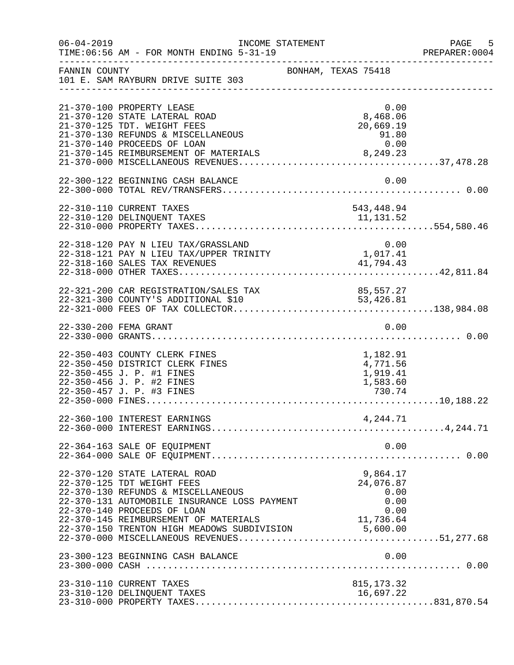| $06 - 04 - 2019$ | TIME: 06:56 AM - FOR MONTH ENDING 5-31-19                                                                                                                                                               | INCOME STATEMENT                                                                                                                                         | $-5$<br>PAGE<br>PREPARER: 0004 |
|------------------|---------------------------------------------------------------------------------------------------------------------------------------------------------------------------------------------------------|----------------------------------------------------------------------------------------------------------------------------------------------------------|--------------------------------|
| FANNIN COUNTY    | 101 E. SAM RAYBURN DRIVE SUITE 303                                                                                                                                                                      | BONHAM, TEXAS 75418                                                                                                                                      |                                |
|                  | 21-370-100 PROPERTY LEASE<br>21-370-120 STATE LATERAL ROAD<br>21-370-125 TDT. WEIGHT FEES<br>21-370-130 REFUNDS & MISCELLANEOUS<br>21-370-140 PROCEEDS OF LOAN<br>21-370-145 REIMBURSEMENT OF MATERIALS | 0.00<br>8,468.06<br>20,669.19<br>$91.80$<br>0.00<br>8, 249.23                                                                                            |                                |
|                  | 22-300-122 BEGINNING CASH BALANCE                                                                                                                                                                       | 0.00                                                                                                                                                     |                                |
|                  | 22-310-110 CURRENT TAXES<br>22-310-120 DELINQUENT TAXES                                                                                                                                                 | 543,448.94<br>11, 131.52                                                                                                                                 |                                |
|                  | 22-318-120 PAY N LIEU TAX/GRASSLAND<br>22-318-121 PAY N LIEU TAX/UPPER TRINITY                                                                                                                          | 0.00<br>1,017.41<br>41,794.43                                                                                                                            |                                |
|                  |                                                                                                                                                                                                         |                                                                                                                                                          |                                |
|                  | 22-330-200 FEMA GRANT                                                                                                                                                                                   | 0.00                                                                                                                                                     |                                |
|                  | 22-350-403 COUNTY CLERK FINES<br>22-350-450 DISTRICT CLERK FINES<br>22-350-455 J. P. #1 FINES<br>22-350-456 J. P. #2 FINES                                                                              | 1,182.91<br>4,771.56<br>1,919.41<br>1,583.60                                                                                                             |                                |
|                  | 22-360-100 INTEREST EARNINGS                                                                                                                                                                            | 4,244.71                                                                                                                                                 |                                |
|                  | 22-364-163 SALE OF EQUIPMENT                                                                                                                                                                            | 0.00                                                                                                                                                     |                                |
|                  | 22-370-120 STATE LATERAL ROAD<br>22-370-125 TDT WEIGHT FEES<br>22-370-130 REFUNDS & MISCELLANEOUS<br>22-370-131 AUTOMOBILE INSURANCE LOSS PAYMENT<br>22-370-140 PROCEEDS OF LOAN                        | 9,864.17<br>24,076.87<br>0.00<br>0.00<br>0.00<br>22-370-145 REIMBURSEMENT OF MATERIALS 11,736.64<br>22-370-150 TRENTON HIGH MEADOWS SUBDIVISION 5,600.00 |                                |
|                  | 23-300-123 BEGINNING CASH BALANCE                                                                                                                                                                       | 0.00                                                                                                                                                     |                                |
|                  | 23-310-110 CURRENT TAXES<br>23-310-120 DELINQUENT TAXES                                                                                                                                                 | 815, 173.32<br>16,697.22                                                                                                                                 |                                |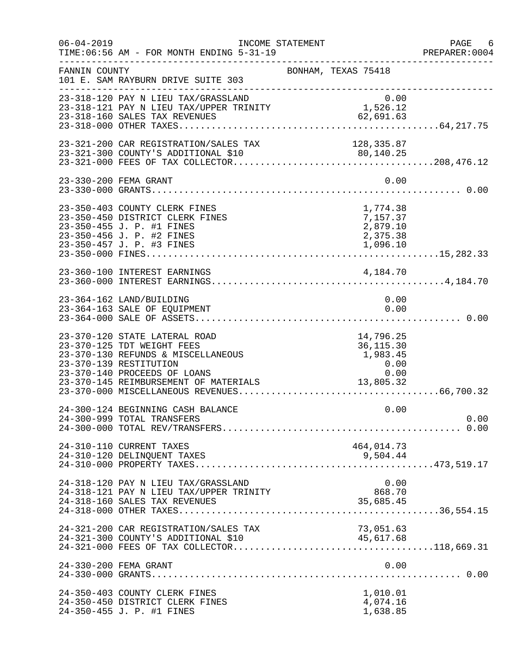| $06 - 04 - 2019$ | TIME: 06:56 AM - FOR MONTH ENDING 5-31-19                                                                                                                                                            | INCOME STATEMENT                                                   | PAGE 6<br>PREPARER: 0004 |
|------------------|------------------------------------------------------------------------------------------------------------------------------------------------------------------------------------------------------|--------------------------------------------------------------------|--------------------------|
| FANNIN COUNTY    | 101 E. SAM RAYBURN DRIVE SUITE 303                                                                                                                                                                   | BONHAM, TEXAS 75418                                                |                          |
|                  | 23-318-120 PAY N LIEU TAX/GRASSLAND<br>0.00<br>23-318-121 PAY N LIEU TAX/UPPER TRINITY 1,526.12<br>23-318-160 SALES TAX REVENUES<br>23-318-160 SALES TAX REVENUES                                    | 0.00<br>62,691.63                                                  |                          |
|                  |                                                                                                                                                                                                      |                                                                    |                          |
|                  | 23-330-200 FEMA GRANT                                                                                                                                                                                | 0.00                                                               |                          |
|                  | 23-350-403 COUNTY CLERK FINES<br>23-350-450 DISTRICT CLERK FINES<br>23-350-455 J. P. #1 FINES<br>23-350-456 J. P. #2 FINES<br>23-350-457 J. P. #3 FINES                                              | 1,774.38<br>7,157.37<br>2,879.10<br>2,375.38<br>1,096.10           |                          |
|                  | 23-360-100 INTEREST EARNINGS                                                                                                                                                                         | 4,184.70                                                           |                          |
|                  | 23-364-162 LAND/BUILDING<br>23-364-163 SALE OF EQUIPMENT                                                                                                                                             | 0.00<br>0.00                                                       |                          |
|                  | 23-370-120 STATE LATERAL ROAD<br>23-370-125 TDT WEIGHT FEES<br>23-370-130 REFUNDS & MISCELLANEOUS<br>23-370-139 RESTITUTION<br>23-370-140 PROCEEDS OF LOANS<br>23-370-145 REIMBURSEMENT OF MATERIALS | 14,796.25<br>36, 115.30<br>1,983.45<br>0.00<br>$0.00$<br>13,805.32 |                          |
|                  | 24-300-124 BEGINNING CASH BALANCE<br>24-300-999 TOTAL TRANSFERS                                                                                                                                      | 0.00                                                               | 0.00                     |
|                  | 24-310-110 CURRENT TAXES                                                                                                                                                                             | 464,014.73                                                         |                          |
|                  | 24-318-120 PAY N LIEU TAX/GRASSLAND<br>24-318-121 PAY N LIEU TAX/UPPER TRINITY                                                                                                                       | 0.00<br>868.70<br>35,685.45                                        |                          |
|                  | 24-321-200 CAR REGISTRATION/SALES TAX                                                                                                                                                                | 73,051.63<br>45,617.68                                             |                          |
|                  | 24-330-200 FEMA GRANT                                                                                                                                                                                | 0.00                                                               |                          |
|                  | 24-350-403 COUNTY CLERK FINES<br>24-350-450 DISTRICT CLERK FINES<br>24-350-455 J. P. #1 FINES                                                                                                        | 1,010.01<br>4,074.16<br>1,638.85                                   |                          |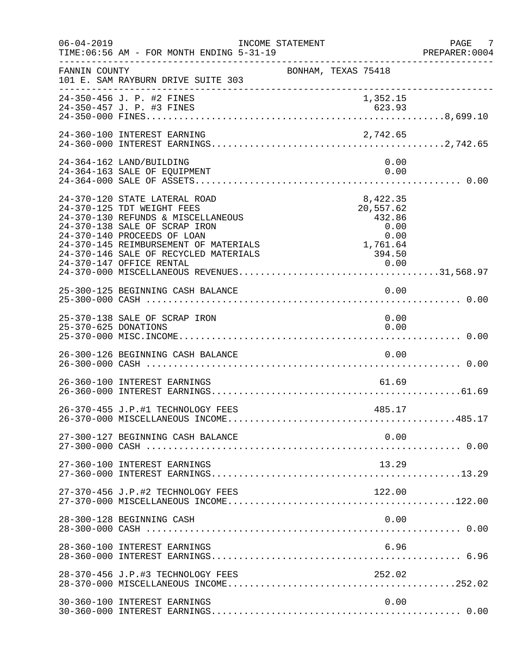| $06 - 04 - 2019$     | INCOME STATEMENT<br>TIME: 06:56 AM - FOR MONTH ENDING 5-31-19                                                                                                                                                                                                                                                                | PAGE 7<br>PREPARER:0004 |
|----------------------|------------------------------------------------------------------------------------------------------------------------------------------------------------------------------------------------------------------------------------------------------------------------------------------------------------------------------|-------------------------|
| FANNIN COUNTY        | BONHAM, TEXAS 75418<br>101 E. SAM RAYBURN DRIVE SUITE 303                                                                                                                                                                                                                                                                    |                         |
|                      | 24-350-456 J. P. #2 FINES<br>1,352.15                                                                                                                                                                                                                                                                                        |                         |
|                      | 24-360-100 INTEREST EARNING<br>2,742.65                                                                                                                                                                                                                                                                                      |                         |
|                      | 24-364-162 LAND/BUILDING<br>0.00<br>24-364-163 SALE OF EQUIPMENT<br>0.00                                                                                                                                                                                                                                                     |                         |
|                      | 24-370-120 STATE LATERAL ROAD<br>8,422.35<br>24-370-125 TDT WEIGHT FEES<br>20,557.62<br>24-370-130 REFUNDS & MISCELLANEOUS<br>432.86<br>24-370-138 SALE OF SCRAP IRON<br>0.00<br>24-370-140 PROCEEDS OF LOAN<br>0.00<br>1,761.64<br>24-370-145 REIMBURSEMENT OF MATERIALS<br>24-370-146 SALE OF RECYCLED MATERIALS<br>394.50 |                         |
|                      | 0.00<br>25-300-125 BEGINNING CASH BALANCE                                                                                                                                                                                                                                                                                    |                         |
| 25-370-625 DONATIONS | 25-370-138 SALE OF SCRAP IRON<br>0.00<br>0.00                                                                                                                                                                                                                                                                                |                         |
|                      | 26-300-126 BEGINNING CASH BALANCE<br>0.00                                                                                                                                                                                                                                                                                    |                         |
|                      | 26-360-100 INTEREST EARNINGS<br>61.69                                                                                                                                                                                                                                                                                        |                         |
|                      | 26-370-455 J.P.#1 TECHNOLOGY FEES<br>485.17                                                                                                                                                                                                                                                                                  |                         |
|                      | 0.00<br>27-300-127 BEGINNING CASH BALANCE                                                                                                                                                                                                                                                                                    |                         |
|                      | 27-360-100 INTEREST EARNINGS<br>13.29                                                                                                                                                                                                                                                                                        |                         |
|                      | 27-370-456 J.P.#2 TECHNOLOGY FEES<br>122.00                                                                                                                                                                                                                                                                                  |                         |
|                      | 0.00<br>28-300-128 BEGINNING CASH                                                                                                                                                                                                                                                                                            |                         |
|                      | 28-360-100 INTEREST EARNINGS<br>6.96                                                                                                                                                                                                                                                                                         |                         |
|                      | 28-370-456 J.P.#3 TECHNOLOGY FEES<br>252.02                                                                                                                                                                                                                                                                                  |                         |
|                      | 30-360-100 INTEREST EARNINGS<br>0.00                                                                                                                                                                                                                                                                                         |                         |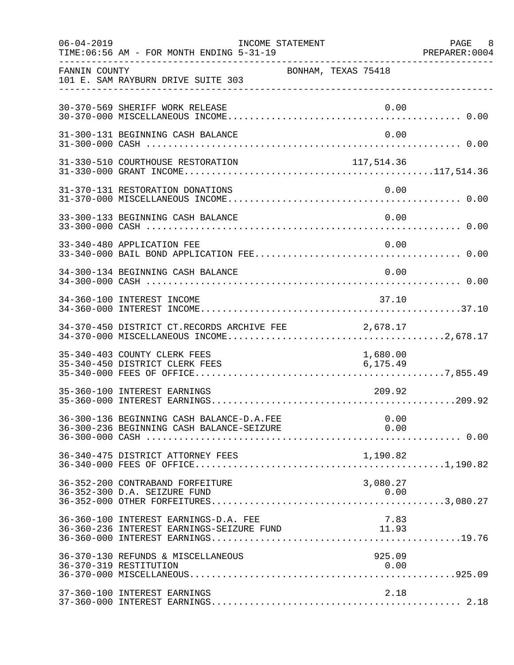| $06 - 04 - 2019$ | TIME: 06:56 AM - FOR MONTH ENDING 5-31-19                                              | INCOME STATEMENT |                      | PAGE 8<br>PREPARER: 0004 |
|------------------|----------------------------------------------------------------------------------------|------------------|----------------------|--------------------------|
| FANNIN COUNTY    | 101 E. SAM RAYBURN DRIVE SUITE 303                                                     |                  | BONHAM, TEXAS 75418  |                          |
|                  | 30-370-569 SHERIFF WORK RELEASE                                                        |                  | 0.00                 |                          |
|                  | 31-300-131 BEGINNING CASH BALANCE                                                      |                  | 0.00                 |                          |
|                  | 31-330-510 COURTHOUSE RESTORATION                                                      |                  | 117, 514.36          |                          |
|                  | 31-370-131 RESTORATION DONATIONS                                                       |                  | 0.00                 |                          |
|                  | 33-300-133 BEGINNING CASH BALANCE                                                      |                  | 0.00                 |                          |
|                  | 33-340-480 APPLICATION FEE                                                             |                  | 0.00                 |                          |
|                  | 34-300-134 BEGINNING CASH BALANCE                                                      |                  | 0.00                 |                          |
|                  | 34-360-100 INTEREST INCOME                                                             |                  | 37.10                |                          |
|                  | 34-370-450 DISTRICT CT.RECORDS ARCHIVE FEE                                             |                  | 2,678.17             |                          |
|                  | 35-340-403 COUNTY CLERK FEES<br>35-340-450 DISTRICT CLERK FEES                         |                  | 1,680.00<br>6,175.49 |                          |
|                  | 35-360-100 INTEREST EARNINGS                                                           |                  | 209.92               |                          |
|                  | 36-300-136 BEGINNING CASH BALANCE-D.A.FEE<br>36-300-236 BEGINNING CASH BALANCE-SEIZURE |                  | 0.00<br>0.00         |                          |
|                  | 36-340-475 DISTRICT ATTORNEY FEES                                                      |                  |                      |                          |
|                  | 36-352-200 CONTRABAND FORFEITURE<br>36-352-300 D.A. SEIZURE FUND                       |                  | 3,080.27             |                          |
|                  | 36-360-100 INTEREST EARNINGS-D.A. FEE<br>36-360-236 INTEREST EARNINGS-SEIZURE FUND     |                  | 7.83<br>11.93        |                          |
|                  | 36-370-130 REFUNDS & MISCELLANEOUS<br>36-370-319 RESTITUTION                           |                  | 925.09<br>0.00       |                          |
|                  | 37-360-100 INTEREST EARNINGS                                                           |                  | 2.18                 |                          |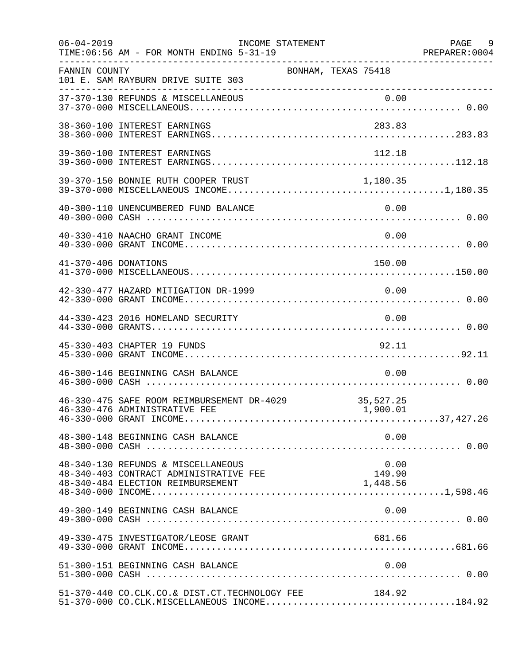| $06 - 04 - 2019$     | TIME: 06:56 AM - FOR MONTH ENDING 5-31-19                                                                         | INCOME STATEMENT    |                            | PAGE 9<br>PREPARER: 0004 |
|----------------------|-------------------------------------------------------------------------------------------------------------------|---------------------|----------------------------|--------------------------|
| FANNIN COUNTY        | 101 E. SAM RAYBURN DRIVE SUITE 303                                                                                | BONHAM, TEXAS 75418 |                            |                          |
|                      |                                                                                                                   |                     |                            |                          |
|                      | 38-360-100 INTEREST EARNINGS                                                                                      |                     | 283.83                     |                          |
|                      | 39-360-100 INTEREST EARNINGS                                                                                      |                     | 112.18                     |                          |
|                      | 39-370-150 BONNIE RUTH COOPER TRUST                                                                               |                     | 1,180.35                   |                          |
|                      | 40-300-110 UNENCUMBERED FUND BALANCE                                                                              |                     | 0.00                       |                          |
|                      | 40-330-410 NAACHO GRANT INCOME                                                                                    |                     | 0.00                       |                          |
| 41-370-406 DONATIONS |                                                                                                                   |                     | 150.00                     |                          |
|                      | 42-330-477 HAZARD MITIGATION DR-1999                                                                              |                     | 0.00                       |                          |
|                      | 44-330-423 2016 HOMELAND SECURITY                                                                                 |                     | 0.00                       |                          |
|                      | 45-330-403 CHAPTER 19 FUNDS                                                                                       |                     | 92.11                      |                          |
|                      | 46-300-146 BEGINNING CASH BALANCE                                                                                 |                     | 0.00                       |                          |
|                      | 46-330-475 SAFE ROOM REIMBURSEMENT DR-4029<br>46-330-476 ADMINISTRATIVE FEE                                       |                     | 35,527.25<br>1,900.01      |                          |
|                      | 48-300-148 BEGINNING CASH BALANCE                                                                                 |                     | 0.00                       |                          |
|                      | 48-340-130 REFUNDS & MISCELLANEOUS<br>48-340-403 CONTRACT ADMINISTRATIVE FEE<br>48-340-484 ELECTION REIMBURSEMENT |                     | 0.00<br>149.90<br>1,448.56 |                          |
|                      | 49-300-149 BEGINNING CASH BALANCE                                                                                 |                     | 0.00                       |                          |
|                      | 49-330-475 INVESTIGATOR/LEOSE GRANT                                                                               |                     | 681.66                     |                          |
|                      | 51-300-151 BEGINNING CASH BALANCE                                                                                 |                     | 0.00                       |                          |
|                      | 51-370-440 CO.CLK.CO.& DIST.CT.TECHNOLOGY FEE<br>$51-370-000$ CO.CLK.MISCELLANEOUS INCOME184.92                   |                     | 184.92                     |                          |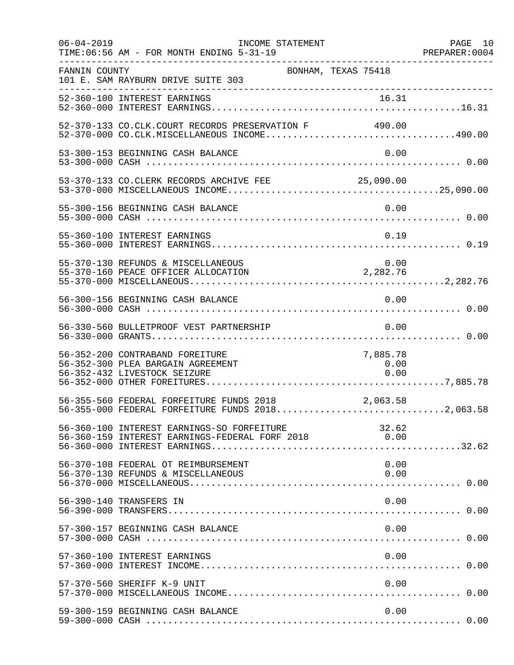| $06 - 04 - 2019$ | INCOME STATEMENT<br>TIME: 06:56 AM - FOR MONTH ENDING 5-31-19                                              |                                                    | PAGE 10 |
|------------------|------------------------------------------------------------------------------------------------------------|----------------------------------------------------|---------|
| FANNIN COUNTY    | BONHAM, TEXAS 75418<br>101 E. SAM RAYBURN DRIVE SUITE 303                                                  |                                                    |         |
|                  |                                                                                                            |                                                    |         |
|                  | 52-370-133 CO.CLK.COURT RECORDS PRESERVATION F 490.00                                                      |                                                    |         |
|                  | 53-300-153 BEGINNING CASH BALANCE                                                                          | 0.00                                               |         |
|                  | 53-370-133 CO.CLERK RECORDS ARCHIVE FEE 25,090.00                                                          |                                                    |         |
|                  | 55-300-156 BEGINNING CASH BALANCE                                                                          | 0.00                                               |         |
|                  | 55-360-100 INTEREST EARNINGS                                                                               | 0.19                                               |         |
|                  | 55-370-130 REFUNDS & MISCELLANEOUS<br>55-370-160 PEACE OFFICER ALLOCATION 2,282.76                         | 0.00                                               |         |
|                  | 56-300-156 BEGINNING CASH BALANCE                                                                          | 0.00                                               |         |
|                  | 56-330-560 BULLETPROOF VEST PARTNERSHIP                                                                    | 0.00                                               |         |
|                  | 56-352-200 CONTRABAND FOREITURE<br>56-352-300 PLEA BARGAIN AGREEMENT<br>56-352-432 LIVESTOCK SEIZURE       | 7,885.78<br>0.00<br>0.00                           |         |
|                  | 56-355-560 FEDERAL FORFEITURE FUNDS 2018 2018 2,063.58<br>56-355-000 FEDERAL FORFEITURE FUNDS 20182,063.58 |                                                    |         |
|                  | 56-360-100 INTEREST EARNINGS-SO FORFEITURE<br>56-360-159 INTEREST EARNINGS-FEDERAL FORF 2018               | 32.62<br>$\begin{array}{ccc} & & 0.00 \end{array}$ |         |
|                  | 56-370-108 FEDERAL OT REIMBURSEMENT<br>56-370-130 REFUNDS & MISCELLANEOUS                                  | 0.00<br>0.00                                       |         |
|                  | 56-390-140 TRANSFERS IN                                                                                    | 0.00                                               |         |
|                  | 57-300-157 BEGINNING CASH BALANCE                                                                          | 0.00                                               |         |
|                  | 57-360-100 INTEREST EARNINGS                                                                               | 0.00                                               |         |
|                  | 57-370-560 SHERIFF K-9 UNIT                                                                                | 0.00                                               |         |
|                  | 59-300-159 BEGINNING CASH BALANCE                                                                          | 0.00                                               |         |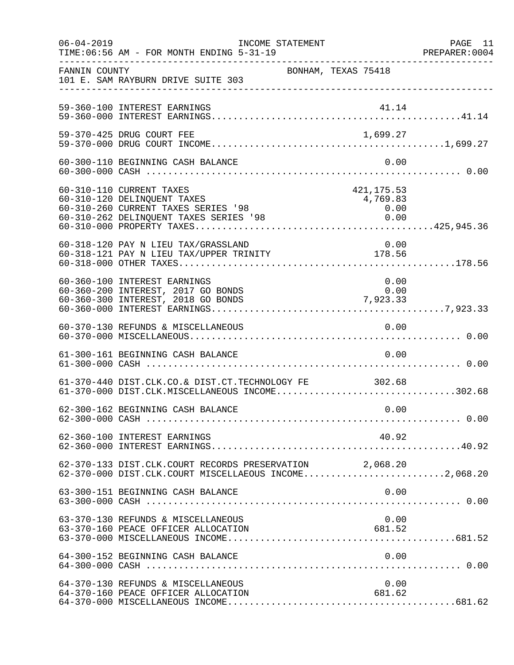| $06 - 04 - 2019$ | INCOME STATEMENT<br>TIME: 06:56 AM - FOR MONTH ENDING 5-31-19                                                                            |                                         | PAGE 11<br>PREPARER: 0004 |
|------------------|------------------------------------------------------------------------------------------------------------------------------------------|-----------------------------------------|---------------------------|
| FANNIN COUNTY    | 101 E. SAM RAYBURN DRIVE SUITE 303                                                                                                       | BONHAM, TEXAS 75418                     |                           |
|                  | 59-360-100 INTEREST EARNINGS                                                                                                             | 41.14                                   |                           |
|                  | 59-370-425 DRUG COURT FEE                                                                                                                | 1,699.27                                |                           |
|                  | 60-300-110 BEGINNING CASH BALANCE                                                                                                        | 0.00                                    |                           |
|                  | 60-310-110 CURRENT TAXES<br>60-310-120 DELINQUENT TAXES<br>60-310-260 CURRENT TAXES SERIES '98<br>60-310-262 DELINQUENT TAXES SERIES '98 | 421, 175.53<br>4,769.83<br>0.00<br>0.00 |                           |
|                  | 60-318-120 PAY N LIEU TAX/GRASSLAND<br>0.00 0.00<br>60-318-121 PAY N LIEU TAX/UPPER TRINITY 178.56                                       | 0.00                                    |                           |
|                  | 60-360-100 INTEREST EARNINGS<br>60-360-200 INTEREST, 2017 GO BONDS<br>60-360-300 INTEREST, 2018 GO BONDS                                 | 0.00<br>0.00<br>$0.00$<br>7,923.33      |                           |
|                  | 60-370-130 REFUNDS & MISCELLANEOUS                                                                                                       | 0.00                                    |                           |
|                  | 61-300-161 BEGINNING CASH BALANCE                                                                                                        | 0.00                                    |                           |
|                  | 61-370-440 DIST.CLK.CO.& DIST.CT.TECHNOLOGY FE 302.68<br>61-370-000 DIST.CLK.MISCELLANEOUS INCOME302.68                                  |                                         |                           |
|                  | 62-300-162 BEGINNING CASH BALANCE                                                                                                        | 0.00                                    |                           |
|                  | 62-360-100 INTEREST EARNINGS                                                                                                             | 40.92                                   |                           |
|                  | 62-370-133 DIST.CLK.COURT RECORDS PRESERVATION 2,068.20<br>62-370-000 DIST.CLK.COURT MISCELLAEOUS INCOME2,068.20                         |                                         |                           |
|                  | 63-300-151 BEGINNING CASH BALANCE                                                                                                        | 0.00                                    |                           |
|                  | 63-370-130 REFUNDS & MISCELLANEOUS<br>63-370-160 PEACE OFFICER ALLOCATION                                                                | 0.00<br>681.52                          |                           |
|                  | 64-300-152 BEGINNING CASH BALANCE                                                                                                        | 0.00                                    |                           |
|                  | 64-370-130 REFUNDS & MISCELLANEOUS<br>64-370-160 PEACE OFFICER ALLOCATION                                                                | 0.00<br>681.62                          |                           |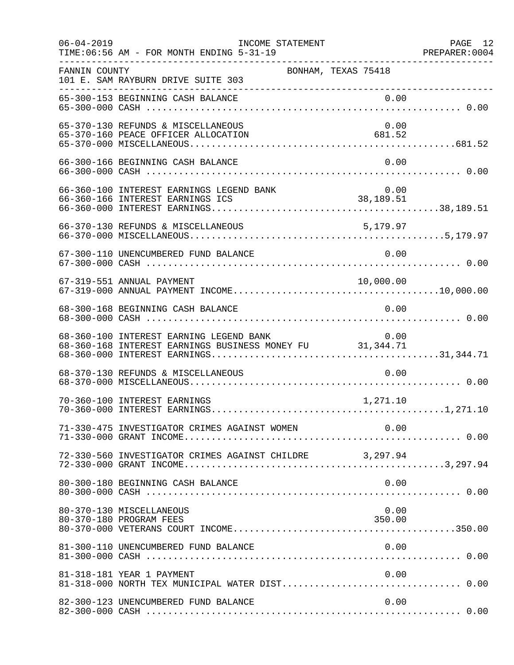| $06 - 04 - 2019$ | INCOME STATEMENT<br>TIME: 06:56 AM - FOR MONTH ENDING 5-31-19                                       |                     | PAGE 12<br>PREPARER: 0004 |
|------------------|-----------------------------------------------------------------------------------------------------|---------------------|---------------------------|
| FANNIN COUNTY    | 101 E. SAM RAYBURN DRIVE SUITE 303                                                                  | BONHAM, TEXAS 75418 |                           |
|                  | 65-300-153 BEGINNING CASH BALANCE                                                                   | 0.00                |                           |
|                  | 65-370-130 REFUNDS & MISCELLANEOUS<br>65-370-160 PEACE OFFICER ALLOCATION                           | 0.00<br>681.52      |                           |
|                  | 66-300-166 BEGINNING CASH BALANCE                                                                   | 0.00                |                           |
|                  | 66-360-100 INTEREST EARNINGS LEGEND BANK<br>66-360-166 INTEREST EARNINGS ICS                        | 0.00<br>38,189.51   |                           |
|                  | 66-370-130 REFUNDS & MISCELLANEOUS                                                                  | 5,179.97            |                           |
|                  | 67-300-110 UNENCUMBERED FUND BALANCE                                                                | 0.00                |                           |
|                  | 67-319-551 ANNUAL PAYMENT                                                                           | 10,000.00           |                           |
|                  | 68-300-168 BEGINNING CASH BALANCE                                                                   | 0.00                |                           |
|                  | 68-360-100 INTEREST EARNING LEGEND BANK<br>68-360-168 INTEREST EARNINGS BUSINESS MONEY FU 31,344.71 | 0.00                |                           |
|                  | 68-370-130 REFUNDS & MISCELLANEOUS                                                                  | 0.00                |                           |
|                  | 70-360-100 INTEREST EARNINGS                                                                        | 1,271.10            |                           |
|                  | 71-330-475 INVESTIGATOR CRIMES AGAINST WOMEN                                                        | 0.00                |                           |
|                  | 72-330-560 INVESTIGATOR CRIMES AGAINST CHILDRE 3,297.94                                             |                     |                           |
|                  | 80-300-180 BEGINNING CASH BALANCE                                                                   | 0.00                |                           |
|                  | 80-370-130 MISCELLANEOUS<br>80-370-180 PROGRAM FEES                                                 | 0.00<br>350.00      |                           |
|                  | 81-300-110 UNENCUMBERED FUND BALANCE                                                                | 0.00                |                           |
|                  | 81-318-181 YEAR 1 PAYMENT                                                                           | 0.00                |                           |
|                  | 82-300-123 UNENCUMBERED FUND BALANCE                                                                | 0.00                |                           |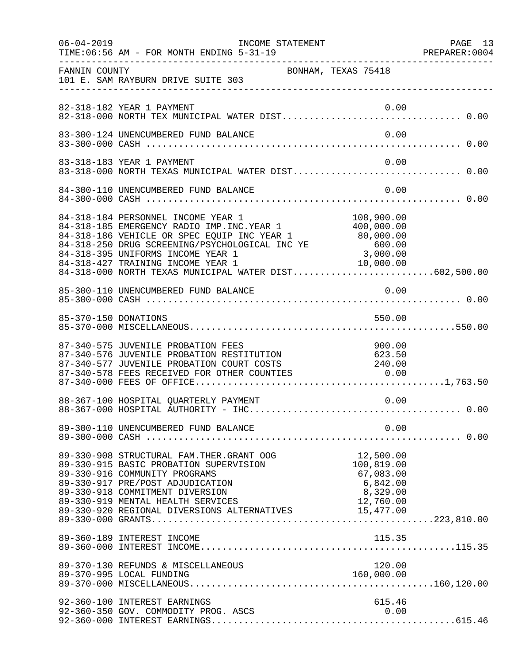|               | 06-04-2019    INCOME STATEMENT<br>TIME: 06:56 AM - FOR MONTH ENDING 5-31-19                                                                                                                                                                                                                                                                                                           |                                                                           | PAGE 13<br>PREPARER: 0004 |
|---------------|---------------------------------------------------------------------------------------------------------------------------------------------------------------------------------------------------------------------------------------------------------------------------------------------------------------------------------------------------------------------------------------|---------------------------------------------------------------------------|---------------------------|
| FANNIN COUNTY | BONHAM, TEXAS 75418<br>101 E. SAM RAYBURN DRIVE SUITE 303                                                                                                                                                                                                                                                                                                                             |                                                                           |                           |
|               | 82-318-182 YEAR 1 PAYMENT                                                                                                                                                                                                                                                                                                                                                             | 0.00                                                                      |                           |
|               | 83-300-124 UNENCUMBERED FUND BALANCE                                                                                                                                                                                                                                                                                                                                                  | 0.00                                                                      |                           |
|               | 83-318-183 YEAR 1 PAYMENT<br>83-318-000 NORTH TEXAS MUNICIPAL WATER DIST 0.00                                                                                                                                                                                                                                                                                                         | 0.00                                                                      |                           |
|               | 84-300-110 UNENCUMBERED FUND BALANCE                                                                                                                                                                                                                                                                                                                                                  | 0.00                                                                      |                           |
|               | 84-318-184 PERSONNEL INCOME YEAR 1 108,900.00<br>84-318-185 EMERGENCY RADIO IMP.INC.YEAR 1 400,000.00<br>84-318-186 VEHICLE OR SPEC EQUIP INC YEAR 1 80,000.00<br>84-318-250 DRUG SCREENING/PSYCHOLOGICAL INC YE 600.00<br>80,000.00<br><br>84-318-395 UNIFORMS INCOME YEAR 1<br>84-318-427 TRAINING INCOME YEAR 1 10,000.00<br>84-318-000 NORTH TEXAS MUNICIPAL WATER DIST602,500.00 |                                                                           |                           |
|               |                                                                                                                                                                                                                                                                                                                                                                                       |                                                                           |                           |
|               | 85-370-150 DONATIONS                                                                                                                                                                                                                                                                                                                                                                  | 550.00                                                                    |                           |
|               | 87-340-575 JUVENILE PROBATION FEES<br>87-340-575 JUVENILE PROBAILON FEES<br>87-340-576 JUVENILE PROBATION RESTITUTION 623.50<br>87-340-577 JUVENILE PROBATION COURT COSTS 240.00<br>87-340-578 FEES RECEIVED FOR OTHER COUNTIES 0.00                                                                                                                                                  | 900.00                                                                    |                           |
|               | 88-367-100 HOSPITAL QUARTERLY PAYMENT                                                                                                                                                                                                                                                                                                                                                 | 0.00                                                                      |                           |
|               | 89-300-110 UNENCUMBERED FUND BALANCE                                                                                                                                                                                                                                                                                                                                                  | 0.00                                                                      |                           |
|               | 89-330-908 STRUCTURAL FAM. THER. GRANT OOG<br>89-330-915 BASIC PROBATION SUPERVISION<br>89-330-916 COMMUNITY PROGRAMS<br>89-330-917 PRE/POST ADJUDICATION<br>89-330-918 COMMITMENT DIVERSION<br>89-330-919 MENTAL HEALTH SERVICES<br>89-330-919 MENTAL HEALTH SERVICES (12,760.00)<br>89-330-920 REGIONAL DIVERSIONS ALTERNATIVES (15,477.00)                                         | 12,500.00<br>100,819.00<br>67,083.00<br>6,842.00<br>8,329.00<br>12,760.00 |                           |
|               | 89-360-189 INTEREST INCOME                                                                                                                                                                                                                                                                                                                                                            | 115.35                                                                    |                           |
|               | 89-370-130 REFUNDS & MISCELLANEOUS<br>89-370-995 LOCAL FUNDING                                                                                                                                                                                                                                                                                                                        | 120.00<br>160,000.00                                                      |                           |
|               | 92-360-100 INTEREST EARNINGS<br>92-360-350 GOV. COMMODITY PROG. ASCS                                                                                                                                                                                                                                                                                                                  | 615.46<br>0.00                                                            |                           |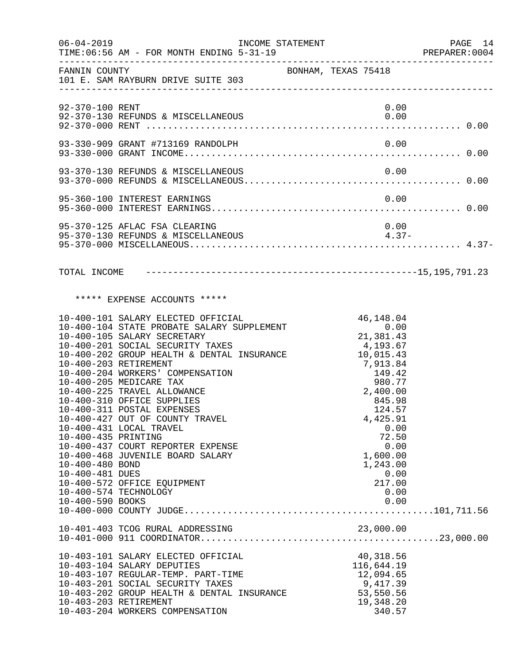| $06 - 04 - 2019$                                                                                       | INCOME STATEMENT                                                                                                                                                                                                                                                                                                                                                                                                                                                                                                                                           |                     |  |                                                                                                                                                                                                                         | PAGE 14<br>PREPARER:0004 |
|--------------------------------------------------------------------------------------------------------|------------------------------------------------------------------------------------------------------------------------------------------------------------------------------------------------------------------------------------------------------------------------------------------------------------------------------------------------------------------------------------------------------------------------------------------------------------------------------------------------------------------------------------------------------------|---------------------|--|-------------------------------------------------------------------------------------------------------------------------------------------------------------------------------------------------------------------------|--------------------------|
|                                                                                                        | FANNIN COUNTY<br>101 E. SAM RAYBURN DRIVE SUITE 303                                                                                                                                                                                                                                                                                                                                                                                                                                                                                                        | BONHAM, TEXAS 75418 |  |                                                                                                                                                                                                                         |                          |
| 92-370-100 RENT                                                                                        |                                                                                                                                                                                                                                                                                                                                                                                                                                                                                                                                                            |                     |  | 0.00                                                                                                                                                                                                                    |                          |
|                                                                                                        |                                                                                                                                                                                                                                                                                                                                                                                                                                                                                                                                                            |                     |  |                                                                                                                                                                                                                         |                          |
|                                                                                                        |                                                                                                                                                                                                                                                                                                                                                                                                                                                                                                                                                            |                     |  |                                                                                                                                                                                                                         |                          |
|                                                                                                        | 95-360-100 INTEREST EARNINGS                                                                                                                                                                                                                                                                                                                                                                                                                                                                                                                               |                     |  | 0.00                                                                                                                                                                                                                    |                          |
|                                                                                                        | 95-370-125 AFLAC FSA CLEARING<br>95-370-130 REFUNDS & MISCELLANEOUS                                                                                                                                                                                                                                                                                                                                                                                                                                                                                        |                     |  | 0.00<br>$4.37-$                                                                                                                                                                                                         |                          |
|                                                                                                        |                                                                                                                                                                                                                                                                                                                                                                                                                                                                                                                                                            |                     |  |                                                                                                                                                                                                                         |                          |
|                                                                                                        | ***** EXPENSE ACCOUNTS *****                                                                                                                                                                                                                                                                                                                                                                                                                                                                                                                               |                     |  |                                                                                                                                                                                                                         |                          |
| 10-400-435 PRINTING<br>10-400-480 BOND<br>10-400-481 DUES<br>10-400-574 TECHNOLOGY<br>10-400-590 BOOKS | 10-400-101 SALARY ELECTED OFFICIAL<br>10-400-104 STATE PROBATE SALARY SUPPLEMENT<br>10-400-105 SALARY SECRETARY<br>10-400-201 SOCIAL SECURITY TAXES<br>10-400-202 GROUP HEALTH & DENTAL INSURANCE<br>10-400-203 RETIREMENT<br>10-400-204 WORKERS' COMPENSATION<br>10-400-205 MEDICARE TAX<br>10-400-225 TRAVEL ALLOWANCE<br>10-400-310 OFFICE SUPPLIES<br>10-400-311 POSTAL EXPENSES<br>10-400-427 OUT OF COUNTY TRAVEL<br>10-400-431 LOCAL TRAVEL<br>10-400-437 COURT REPORTER EXPENSE<br>10-400-468 JUVENILE BOARD SALARY<br>10-400-572 OFFICE EQUIPMENT |                     |  | 46,148.04<br>0.00<br>21,381.43<br>4,193.67<br>10,015.43<br>7, 913.84<br>149.42<br>980.77<br>2,400.00<br>845.98<br>124.57<br>4,425.91<br>0.00<br>72.50<br>0.00<br>1,600.00<br>1,243.00<br>0.00<br>217.00<br>0.00<br>0.00 |                          |
|                                                                                                        | 10-401-403 TCOG RURAL ADDRESSING                                                                                                                                                                                                                                                                                                                                                                                                                                                                                                                           |                     |  | 23,000.00                                                                                                                                                                                                               |                          |
| 10-403-203 RETIREMENT                                                                                  | 10-403-101 SALARY ELECTED OFFICIAL<br>10-403-104 SALARY DEPUTIES<br>10-403-107 REGULAR-TEMP. PART-TIME<br>10-403-201 SOCIAL SECURITY TAXES<br>10-403-202 GROUP HEALTH & DENTAL INSURANCE<br>10-403-204 WORKERS COMPENSATION                                                                                                                                                                                                                                                                                                                                |                     |  | 40,318.56<br>116,644.19<br>12,094.65<br>9,417.39<br>53,550.56<br>19,348.20<br>340.57                                                                                                                                    |                          |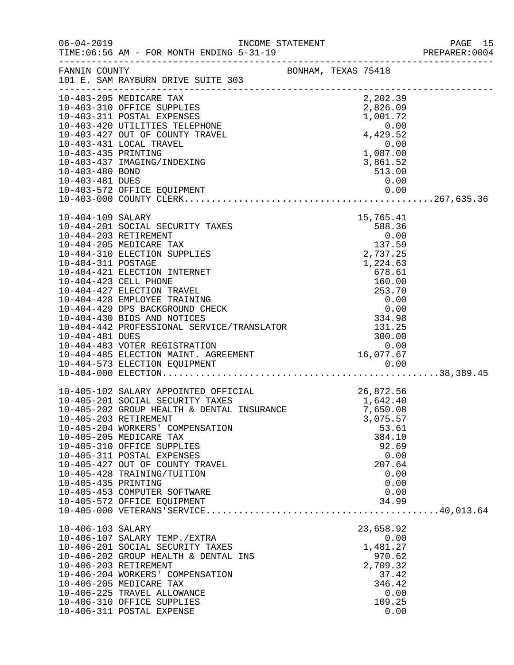|                     |                                                                                                                                                    |                                                                            |                                                                | PAGE 15<br>PREPARER: 0004 |
|---------------------|----------------------------------------------------------------------------------------------------------------------------------------------------|----------------------------------------------------------------------------|----------------------------------------------------------------|---------------------------|
|                     | FANNIN COUNTY SONHAM, TEXAS 75418<br>101 E. SAM RAYBURN DRIVE SUITE 303                                                                            |                                                                            |                                                                |                           |
|                     |                                                                                                                                                    |                                                                            |                                                                |                           |
|                     | 10-403-205 MEDICARE TAX                                                                                                                            |                                                                            | 2,202.39                                                       |                           |
|                     | 10-403-310 OFFICE SUPPLIES<br>10-403-311 POSTAL EXPENSES                                                                                           |                                                                            | $1,001.72$<br>0.00<br>4,429.52<br>0.00<br>1,087.00<br>2.961.52 |                           |
|                     | 10-403-420 UTILITIES TELEPHONE                                                                                                                     |                                                                            |                                                                |                           |
|                     | 10-403-427 OUT OF COUNTY TRAVEL                                                                                                                    |                                                                            |                                                                |                           |
|                     | 10-403-431 LOCAL TRAVEL                                                                                                                            |                                                                            |                                                                |                           |
| 10-403-435 PRINTING |                                                                                                                                                    |                                                                            |                                                                |                           |
|                     | 10-403-437 IMAGING/INDEXING                                                                                                                        | $1,087.00$<br>3,861.52                                                     |                                                                |                           |
| 10-403-480 BOND     |                                                                                                                                                    |                                                                            | 513.00                                                         |                           |
| 10-403-481 DUES     |                                                                                                                                                    |                                                                            | 0.00                                                           |                           |
|                     |                                                                                                                                                    |                                                                            |                                                                |                           |
|                     |                                                                                                                                                    |                                                                            |                                                                |                           |
| 10-404-109 SALARY   |                                                                                                                                                    |                                                                            | 15,765.41                                                      |                           |
|                     | 10-404-201 SOCIAL SECURITY TAXES                                                                                                                   |                                                                            | 588.36                                                         |                           |
|                     | 10-404-203 RETIREMENT                                                                                                                              |                                                                            | 0.00                                                           |                           |
|                     | 10-404-205 MEDICARE TAX<br>10-404-310 ELECTION SUPPLIES                                                                                            |                                                                            | 137.59<br>2,737.25                                             |                           |
| 10-404-311 POSTAGE  |                                                                                                                                                    |                                                                            |                                                                |                           |
|                     | 10-404-421 ELECTION INTERNET                                                                                                                       |                                                                            |                                                                |                           |
|                     | 10-404-423 CELL PHONE                                                                                                                              |                                                                            |                                                                |                           |
|                     | 10-404-427 ELECTION TRAVEL                                                                                                                         |                                                                            |                                                                |                           |
|                     | 10-404-428 EMPLOYEE TRAINING                                                                                                                       |                                                                            |                                                                |                           |
|                     | 10-404-429 DPS BACKGROUND CHECK                                                                                                                    |                                                                            |                                                                |                           |
|                     | 10-404-430 BIDS AND NOTICES                                                                                                                        |                                                                            |                                                                |                           |
|                     | 10-404-430 BIDS AND NOTICES<br>10-404-442 PROFESSIONAL SERVICE/TRANSLATOR<br>10-404-481 DUES<br>10-404-483 VOTER REGISTRATION                      | $160.00$<br>$253.70$<br>$0.00$<br>$0.00$<br>$334.98$<br>$131.25$<br>300.00 |                                                                |                           |
|                     | 10-404-483 VOTER REGISTRATION                                                                                                                      |                                                                            | 300.00<br>0.00                                                 |                           |
|                     |                                                                                                                                                    |                                                                            |                                                                |                           |
|                     |                                                                                                                                                    |                                                                            |                                                                |                           |
|                     | 10-404-485 ELECTION MAINT. AGREEMENT<br>10-404-573 ELECTION MAINT. AGREEMENT 10-404-573 ELECTION EQUIPMENT 0.00                                    |                                                                            |                                                                |                           |
|                     |                                                                                                                                                    |                                                                            | 26,872.56                                                      |                           |
|                     |                                                                                                                                                    |                                                                            |                                                                |                           |
|                     | 10-405-102 SALARY APPOINTED OFFICIAL 26,872.56<br>10-405-201 SOCIAL SECURITY TAXES 1,642.40<br>10-405-202 GROUP HEALTH & DENTAL INSURANCE 7,650.08 |                                                                            |                                                                |                           |
|                     | 10-405-203 RETIREMENT                                                                                                                              |                                                                            | 3,075.57                                                       |                           |
|                     | 10-405-204 WORKERS' COMPENSATION                                                                                                                   |                                                                            | 53.61                                                          |                           |
|                     | 10-405-205 MEDICARE TAX                                                                                                                            |                                                                            | 384.10                                                         |                           |
|                     | 10-405-310 OFFICE SUPPLIES<br>10-405-311 POSTAL EXPENSES                                                                                           |                                                                            | 92.69                                                          |                           |
|                     | 10-405-427 OUT OF COUNTY TRAVEL                                                                                                                    |                                                                            | 0.00<br>207.64                                                 |                           |
|                     | 10-405-428 TRAINING/TUITION                                                                                                                        |                                                                            | 0.00                                                           |                           |
| 10-405-435 PRINTING |                                                                                                                                                    |                                                                            | 0.00                                                           |                           |
|                     | 10-405-453 COMPUTER SOFTWARE                                                                                                                       |                                                                            | 0.00                                                           |                           |
|                     | 10-405-572 OFFICE EQUIPMENT                                                                                                                        |                                                                            | 34.99                                                          |                           |
|                     |                                                                                                                                                    |                                                                            |                                                                |                           |
| 10-406-103 SALARY   |                                                                                                                                                    |                                                                            | 23,658.92                                                      |                           |
|                     | 10-406-107 SALARY TEMP./EXTRA                                                                                                                      |                                                                            | 0.00                                                           |                           |
|                     | 10-406-201 SOCIAL SECURITY TAXES                                                                                                                   |                                                                            | 1,481.27                                                       |                           |
|                     | 10-406-202 GROUP HEALTH & DENTAL INS                                                                                                               |                                                                            | 970.62                                                         |                           |
|                     | 10-406-203 RETIREMENT<br>10-406-204 WORKERS' COMPENSATION                                                                                          |                                                                            | 2,709.32<br>37.42                                              |                           |
|                     | 10-406-205 MEDICARE TAX                                                                                                                            |                                                                            | 346.42                                                         |                           |
|                     | 10-406-225 TRAVEL ALLOWANCE                                                                                                                        |                                                                            | 0.00                                                           |                           |
|                     | 10-406-310 OFFICE SUPPLIES                                                                                                                         |                                                                            | 109.25                                                         |                           |
|                     | 10-406-311 POSTAL EXPENSE                                                                                                                          |                                                                            | 0.00                                                           |                           |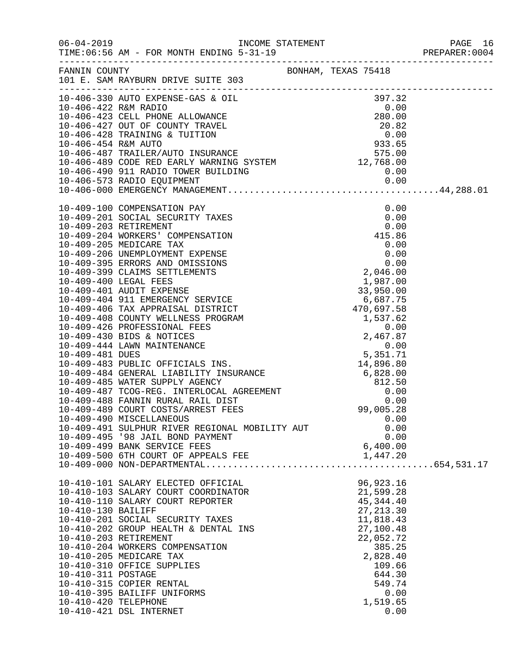|                      |                                                                         |                        | PAGE 16 |
|----------------------|-------------------------------------------------------------------------|------------------------|---------|
|                      | FANNIN COUNTY BONHAM, TEXAS 75418<br>101 E. SAM RAYBURN DRIVE SUITE 303 |                        |         |
|                      |                                                                         |                        |         |
|                      |                                                                         |                        |         |
|                      |                                                                         |                        |         |
|                      |                                                                         |                        |         |
|                      |                                                                         |                        |         |
|                      |                                                                         |                        |         |
|                      |                                                                         |                        |         |
|                      |                                                                         |                        |         |
|                      |                                                                         |                        |         |
|                      |                                                                         |                        |         |
|                      |                                                                         |                        |         |
|                      |                                                                         |                        |         |
|                      |                                                                         |                        |         |
|                      |                                                                         |                        |         |
|                      |                                                                         |                        |         |
|                      |                                                                         |                        |         |
|                      |                                                                         |                        |         |
|                      |                                                                         |                        |         |
|                      |                                                                         |                        |         |
|                      |                                                                         |                        |         |
|                      |                                                                         |                        |         |
|                      |                                                                         |                        |         |
|                      |                                                                         |                        |         |
|                      |                                                                         |                        |         |
|                      |                                                                         |                        |         |
|                      |                                                                         |                        |         |
|                      |                                                                         |                        |         |
|                      |                                                                         |                        |         |
|                      |                                                                         |                        |         |
|                      | 10-409-490 MISCELLANEOUS                                                | 0.00                   |         |
|                      | 10-409-491 SULPHUR RIVER REGIONAL MOBILITY AUT                          | 0.00                   |         |
|                      | 10-409-495 '98 JAIL BOND PAYMENT                                        | 0.00                   |         |
|                      | 10-409-499 BANK SERVICE FEES                                            | 6,400.00               |         |
|                      |                                                                         |                        |         |
|                      |                                                                         |                        |         |
|                      | 10-410-101 SALARY ELECTED OFFICIAL                                      | 96, 923. 16            |         |
|                      | 10-410-103 SALARY COURT COORDINATOR                                     | 21,599.28              |         |
|                      | 10-410-110 SALARY COURT REPORTER                                        | 45, 344. 40            |         |
| 10-410-130 BAILIFF   |                                                                         | 27, 213.30             |         |
|                      | 10-410-201 SOCIAL SECURITY TAXES                                        | 11,818.43              |         |
|                      | 10-410-202 GROUP HEALTH & DENTAL INS<br>10-410-203 RETIREMENT           | 27,100.48<br>22,052.72 |         |
|                      | 10-410-204 WORKERS COMPENSATION                                         | 385.25                 |         |
|                      | 10-410-205 MEDICARE TAX                                                 | 2,828.40               |         |
|                      | 10-410-310 OFFICE SUPPLIES                                              | 109.66                 |         |
| 10-410-311 POSTAGE   |                                                                         | 644.30                 |         |
|                      | 10-410-315 COPIER RENTAL                                                | 549.74                 |         |
|                      | 10-410-395 BAILIFF UNIFORMS                                             | 0.00                   |         |
| 10-410-420 TELEPHONE |                                                                         | 1,519.65               |         |
|                      | 10-410-421 DSL INTERNET                                                 | 0.00                   |         |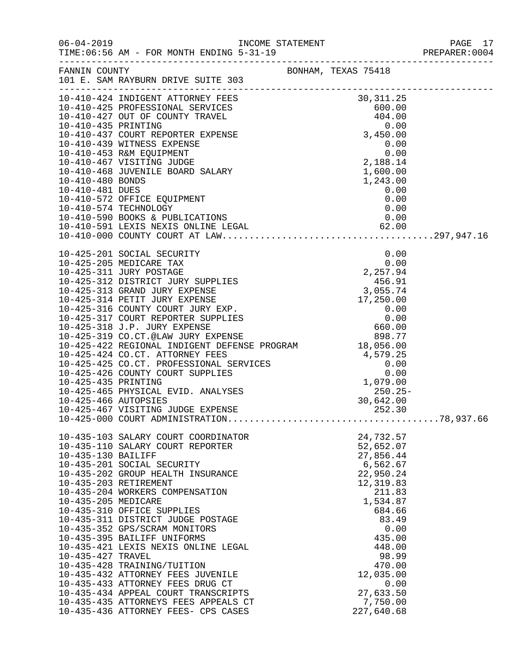| $06 - 04 - 2019$                                               | TIME: 06:56 AM - FOR MONTH ENDING 5-31-19                                                                                                                                                                                                                                                                                                                                                                                                                                                                                                                                                                      |                     |                                                                                                                                                                                                                               |  |
|----------------------------------------------------------------|----------------------------------------------------------------------------------------------------------------------------------------------------------------------------------------------------------------------------------------------------------------------------------------------------------------------------------------------------------------------------------------------------------------------------------------------------------------------------------------------------------------------------------------------------------------------------------------------------------------|---------------------|-------------------------------------------------------------------------------------------------------------------------------------------------------------------------------------------------------------------------------|--|
|                                                                | FANNIN COUNTY<br>101 E. SAM RAYBURN DRIVE SUITE 303                                                                                                                                                                                                                                                                                                                                                                                                                                                                                                                                                            | BONHAM, TEXAS 75418 |                                                                                                                                                                                                                               |  |
|                                                                | 10-410-4267 NDIGENT (60.00)<br>10-410-425 DROFESSIONAL SERVICES (60.00)<br>10-410-427 OUT OF COUNTY TRAVEL (60.00)<br>10-410-439 PROFESSIONAL SERVICES (60.00)<br>10-410-437 COURT REPORTER EXPENSE (60.00)<br>10-410-439 WITNESS EXPENS                                                                                                                                                                                                                                                                                                                                                                       |                     |                                                                                                                                                                                                                               |  |
|                                                                | 10-425-467 VISITING JUDGE EXPENSE                                                                                                                                                                                                                                                                                                                                                                                                                                                                                                                                                                              |                     | 252.30                                                                                                                                                                                                                        |  |
| 10-435-130 BAILIFF<br>10-435-205 MEDICARE<br>10-435-427 TRAVEL | 10-435-103 SALARY COURT COORDINATOR<br>10-435-110 SALARY COURT REPORTER<br>10-435-201 SOCIAL SECURITY<br>10-435-202 GROUP HEALTH INSURANCE<br>10-435-203 RETIREMENT<br>10-435-204 WORKERS COMPENSATION<br>10-435-310 OFFICE SUPPLIES<br>10-435-311 DISTRICT JUDGE POSTAGE<br>10-435-352 GPS/SCRAM MONITORS<br>10-435-395 BAILIFF UNIFORMS<br>10-435-421 LEXIS NEXIS ONLINE LEGAL<br>10-435-428 TRAINING/TUITION<br>10-435-432 ATTORNEY FEES JUVENILE<br>10-435-433 ATTORNEY FEES DRUG CT<br>10-435-434 APPEAL COURT TRANSCRIPTS<br>10-435-435 ATTORNEYS FEES APPEALS CT<br>10-435-436 ATTORNEY FEES- CPS CASES |                     | 24,732.57<br>52,652.07<br>27,856.44<br>6,562.67<br>22,950.24<br>12,319.83<br>211.83<br>1,534.87<br>684.66<br>83.49<br>0.00<br>435.00<br>448.00<br>98.99<br>470.00<br>12,035.00<br>0.00<br>27,633.50<br>7,750.00<br>227,640.68 |  |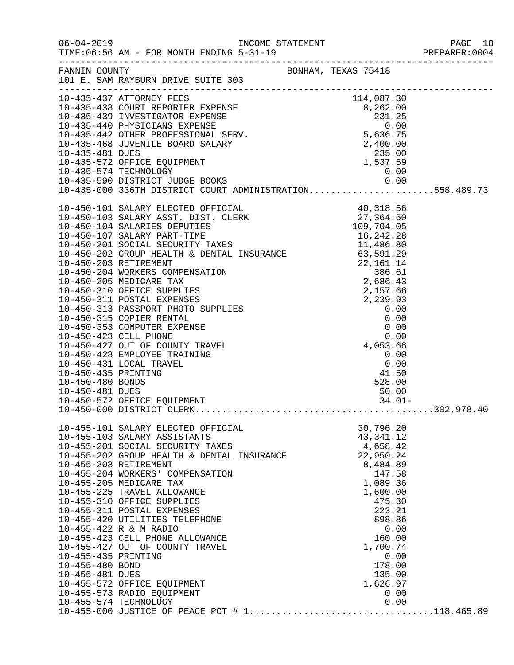|                                                           |                                                                                                                                                                                                                                                                                                                                                                                                                                                                                                                                                                 |  |                                                                                                                                                                                                                     | PREPARER: 0004 |
|-----------------------------------------------------------|-----------------------------------------------------------------------------------------------------------------------------------------------------------------------------------------------------------------------------------------------------------------------------------------------------------------------------------------------------------------------------------------------------------------------------------------------------------------------------------------------------------------------------------------------------------------|--|---------------------------------------------------------------------------------------------------------------------------------------------------------------------------------------------------------------------|----------------|
|                                                           | FANNIN COUNTY<br>101 E. SAM RAYBURN DRIVE SUITE 303                                                                                                                                                                                                                                                                                                                                                                                                                                                                                                             |  |                                                                                                                                                                                                                     |                |
|                                                           | 10-435-437 ATTORNEY FEES<br>10-435-437 ATTORNEY FEES<br>10-435-438 COURT REPORTER EXPENSE<br>10-435-439 INVESTIGATOR EXPENSE<br>10-435-440 PHYSICIANS EXPENSE<br>10-435-440 PHYSICIANS EXPENSE<br>10-435-442 OTHER PROFESSIONAL SERV.<br>10-<br>10-435-574 TECHNOLOGY<br>10-435-590 DISTRICT JUDGE BOOKS 0.00<br>10-435-000 336TH DISTRICT COURT ADMINISTRATION558,489.73                                                                                                                                                                                       |  |                                                                                                                                                                                                                     |                |
| 10-450-481 DUES                                           |                                                                                                                                                                                                                                                                                                                                                                                                                                                                                                                                                                 |  | $0.00$<br>$41.50$<br>$528.00$<br>$50.00$<br>50.00<br>34.01-                                                                                                                                                         |                |
| 10-455-435 PRINTING<br>10-455-480 BOND<br>10-455-481 DUES | 10-455-101 SALARY ELECTED OFFICIAL<br>10-455-103 SALARY ASSISTANTS<br>10-455-201 SOCIAL SECURITY TAXES<br>10-455-202 GROUP HEALTH & DENTAL INSURANCE<br>10-455-203 RETIREMENT<br>10-455-204 WORKERS' COMPENSATION<br>10-455-205 MEDICARE TAX<br>10-455-225 TRAVEL ALLOWANCE<br>10-455-310 OFFICE SUPPLIES<br>10-455-311 POSTAL EXPENSES<br>10-455-420 UTILITIES TELEPHONE<br>10-455-422 R & M RADIO<br>10-455-423 CELL PHONE ALLOWANCE<br>10-455-427 OUT OF COUNTY TRAVEL<br>10-455-572 OFFICE EQUIPMENT<br>10-455-573 RADIO EQUIPMENT<br>10-455-574 TECHNOLOGY |  | 30,796.20<br>43, 341. 12<br>4,658.42<br>22,950.24<br>8,484.89<br>147.58<br>1,089.36<br>1,600.00<br>475.30<br>223.21<br>898.86<br>0.00<br>160.00<br>1,700.74<br>0.00<br>178.00<br>135.00<br>1,626.97<br>0.00<br>0.00 |                |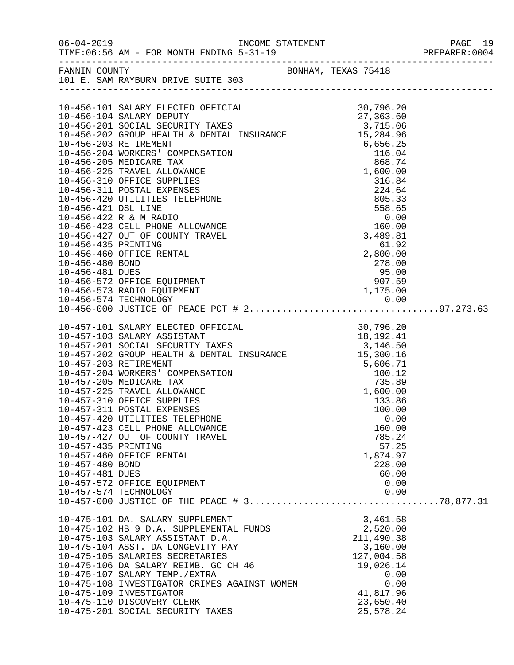| FANNIN COUNTY                                                                    | 101 E. SAM RAYBURN DRIVE SUITE 303                                                                                                                                                                                                                                                                                                                                                                                                                                                                                                                                                                                    | BONHAM, TEXAS 75418                                                                                                            |                                                                                                                                  |  |
|----------------------------------------------------------------------------------|-----------------------------------------------------------------------------------------------------------------------------------------------------------------------------------------------------------------------------------------------------------------------------------------------------------------------------------------------------------------------------------------------------------------------------------------------------------------------------------------------------------------------------------------------------------------------------------------------------------------------|--------------------------------------------------------------------------------------------------------------------------------|----------------------------------------------------------------------------------------------------------------------------------|--|
| 10-456-421 DSL LINE<br>10-456-435 PRINTING<br>10-456-480 BOND<br>10-456-481 DUES | 10-456-101 SALARY ELECTED OFFICIAL 30,796.20<br>10-456-104 SALARY DEPUTY 27,363.60<br>10-456-201 SOCIAL SECURITY TAXES 3,715.06<br>10-456-202 GROUP HEALTH & DENTAL INSURANCE 15,284.96<br>15,284.96<br>10-456-203 RETIREMENT<br>10-456-204 WORKERS' COMPENSATION<br>10-456-205 MEDICARE TAX<br>10-456-225 TRAVEL ALLOWANCE<br>10-456-310 OFFICE SUPPLIES<br>10-456-311 POSTAL EXPENSES<br>10-456-420 UTILITIES TELEPHONE<br>10-456-422 R & M RADIO<br>10-456-423 CELL PHONE ALLOWANCE<br>10-456-427 OUT OF COUNTY TRAVEL<br>10-456-460 OFFICE RENTAL<br>10-456-572 OFFICE EQUIPMENT<br>10-456-573 RADIO EQUIPMENT    | 15, 284.96<br>6, 656.25<br>116.04<br>868.74<br>1, 600.00<br>316.84<br>224.64<br>805.33<br>558.65<br>0.00<br>3, 489.81<br>61.92 | 61.92<br>2,800.00<br>278.00<br>95.00<br>907.59<br>1,175.00                                                                       |  |
| 10-457-435 PRINTING<br>10-457-480 BOND<br>10-457-481 DUES                        | 10-457-101 SALARY ELECTED OFFICIAL 30,796.20<br>10-457-103 SALARY ASSISTANT 18,192.41<br>10-457-201 SOCIAL SECURITY TAXES 3,146.50<br>10-457-202 GROUP HEALTH & DENTAL INSURANCE 15,300.16<br>10-457-202 GROUP HEALTH & DENTAL INSURAN<br>10-457-203 RETIREMENT<br>10-457-204 WORKERS' COMPENSATION<br>10-457-205 MEDICARE TAX<br>10-457-225 TRAVEL ALLOWANCE<br>10-457-310 OFFICE SUPPLIES<br>10-457-311 POSTAL EXPENSES<br>10-457-420 UTILITIES TELEPHONE<br>10-457-423 CELL PHONE ALLOWANCE<br>10-457-427 OUT OF COUNTY TRAVEL<br>10-457-460 OFFICE RENTAL<br>10-457-572 OFFICE EQUIPMENT<br>10-457-574 TECHNOLOGY | $5,606.71$<br>$100.12$<br>$735.89$                                                                                             | 1,600.00<br>133.86<br>100.00<br>0.00<br>160.00<br>785.24<br>57.25<br>1,874.97<br>228.00<br>60.00<br>0.00<br>0.00                 |  |
|                                                                                  | 10-475-101 DA. SALARY SUPPLEMENT<br>10-475-102 HB 9 D.A. SUPPLEMENTAL FUNDS<br>10-475-103 SALARY ASSISTANT D.A.<br>10-475-104 ASST. DA LONGEVITY PAY<br>10-475-105 SALARIES SECRETARIES<br>10-475-106 DA SALARY REIMB. GC CH 46<br>10-475-107 SALARY TEMP./EXTRA<br>10-475-108 INVESTIGATOR CRIMES AGAINST WOMEN<br>10-475-109 INVESTIGATOR<br>10-475-110 DISCOVERY CLERK<br>10-475-201 SOCIAL SECURITY TAXES                                                                                                                                                                                                         |                                                                                                                                | 3,461.58<br>2,520.00<br>211,490.38<br>3,160.00<br>127,004.58<br>19,026.14<br>0.00<br>0.00<br>41,817.96<br>23,650.40<br>25,578.24 |  |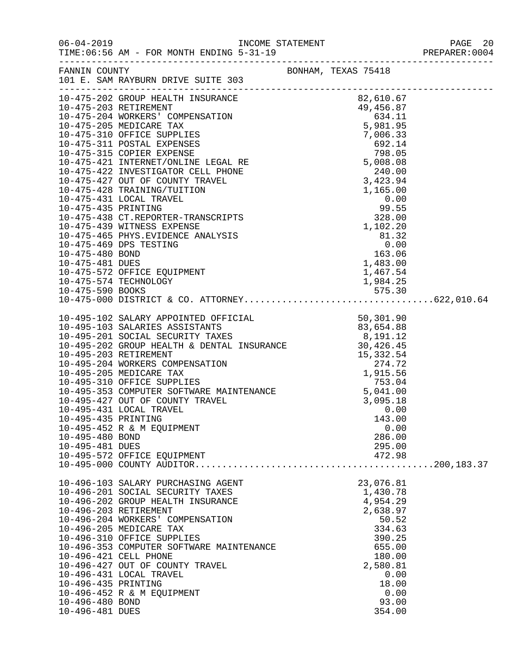| $06 - 04 - 2019$                                          | $\begin{array}{c} \mathcal{L}_{\mathcal{A}}(\mathcal{A})=\mathcal{L}_{\mathcal{A}}(\mathcal{A})\end{array}$<br>TIME: 06:56 AM - FOR MONTH ENDING 5-31-19                                                                                                                                                                                                                                                                                                                                  | INCOME STATEMENT PAGE 20<br>5-31-19 PREPARER:0004<br>---------------------------------                                                                 |  |
|-----------------------------------------------------------|-------------------------------------------------------------------------------------------------------------------------------------------------------------------------------------------------------------------------------------------------------------------------------------------------------------------------------------------------------------------------------------------------------------------------------------------------------------------------------------------|--------------------------------------------------------------------------------------------------------------------------------------------------------|--|
| FANNIN COUNTY                                             | 101 E. SAM RAYBURN DRIVE SUITE 303                                                                                                                                                                                                                                                                                                                                                                                                                                                        | BONHAM, TEXAS 75418                                                                                                                                    |  |
|                                                           | $\begin{tabular}{l c c c} \multicolumn{1}{l}{\textbf{10-475-202 G ROUP HEMELTH IN SURANCE}} & \multicolumn{1}{l}{\textbf{10-475-203 RETREMENT}} & \multicolumn{1}{l}{\textbf{10-475-203 RETIREMENT}} & \multicolumn{1}{l}{\textbf{10-475-203 RETIREMENT}} & \multicolumn{1}{l}{\textbf{10-475-203 NEDICARE TAX} & \multicolumn{1}{l}{\textbf{10-475-204 WOKERAS'} & \textbf{10-475-205 MEDTCER SUPPLIES} &$                                                                               |                                                                                                                                                        |  |
|                                                           |                                                                                                                                                                                                                                                                                                                                                                                                                                                                                           |                                                                                                                                                        |  |
| 10-495-435 PRINTING<br>10-495-480 BOND<br>10-495-481 DUES | $\begin{tabular}{lllllllllllllllllllllllllllllllllll} \textbf{10-495-102} & \textbf{SALARY APOINTED} & \textbf{DFFICIAL} & & & & & & & 50\,,301\,,90 \\ \textbf{10-495-103} & \textbf{SALARIES ASSISTANTS} & & & & & 83\,,654\,,88 \\ \textbf{10-495-201} & \textbf{SOCIAL SECURITY TAXES} & & & 8\,,491\,,12 \\ \textbf{10-495-202} & \textbf{GROUP HEALITH & \textbf{DENTAL INSURANCE} & & & 3$<br>10-495-431 LOCAL TRAVEL<br>10-495-452 R & M EQUIPMENT<br>10-495-572 OFFICE EQUIPMENT | 0.00<br>143.00<br>0.00<br>286.00<br>295.00<br>472.98                                                                                                   |  |
| 10-496-435 PRINTING<br>10-496-480 BOND<br>10-496-481 DUES | 10-496-103 SALARY PURCHASING AGENT<br>10-496-201 SOCIAL SECURITY TAXES<br>10-496-202 GROUP HEALTH INSURANCE<br>10-496-203 RETIREMENT<br>10-496-204 WORKERS' COMPENSATION<br>10-496-205 MEDICARE TAX<br>10-496-310 OFFICE SUPPLIES<br>10-496-353 COMPUTER SOFTWARE MAINTENANCE<br>10-496-421 CELL PHONE<br>10-496-427 OUT OF COUNTY TRAVEL<br>10-496-431 LOCAL TRAVEL<br>10-496-452 R & M EQUIPMENT                                                                                        | 23,076.81<br>1,430.78<br>4,954.29<br>2,638.97<br>50.52<br>334.63<br>390.25<br>655.00<br>180.00<br>2,580.81<br>0.00<br>18.00<br>0.00<br>93.00<br>354.00 |  |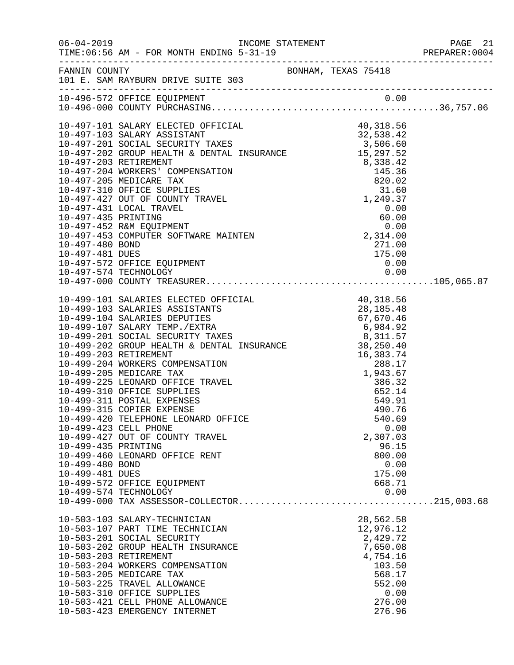|                     |                                                          |  |                      |      | PAGE 21<br>PREPARER:0004 |
|---------------------|----------------------------------------------------------|--|----------------------|------|--------------------------|
|                     | FANNIN COUNTY<br>101 E. SAM RAYBURN DRIVE SUITE 303      |  |                      |      |                          |
|                     | 10-496-572 OFFICE EQUIPMENT                              |  |                      |      |                          |
|                     |                                                          |  |                      |      |                          |
|                     |                                                          |  |                      |      |                          |
|                     |                                                          |  |                      |      |                          |
|                     |                                                          |  |                      |      |                          |
|                     |                                                          |  |                      |      |                          |
|                     |                                                          |  |                      |      |                          |
|                     |                                                          |  |                      |      |                          |
|                     |                                                          |  |                      |      |                          |
|                     |                                                          |  |                      |      |                          |
|                     |                                                          |  |                      |      |                          |
|                     |                                                          |  |                      |      |                          |
|                     |                                                          |  |                      |      |                          |
|                     |                                                          |  |                      |      |                          |
|                     |                                                          |  | 271.00               |      |                          |
| 10-497-481 DUES     |                                                          |  | 175.00               |      |                          |
|                     |                                                          |  |                      |      |                          |
|                     |                                                          |  |                      |      |                          |
|                     |                                                          |  |                      |      |                          |
|                     |                                                          |  |                      |      |                          |
|                     |                                                          |  |                      |      |                          |
|                     |                                                          |  |                      |      |                          |
|                     |                                                          |  |                      |      |                          |
|                     |                                                          |  |                      |      |                          |
|                     |                                                          |  |                      |      |                          |
|                     |                                                          |  |                      |      |                          |
|                     |                                                          |  |                      |      |                          |
|                     |                                                          |  |                      |      |                          |
|                     |                                                          |  |                      |      |                          |
|                     |                                                          |  |                      |      |                          |
|                     |                                                          |  |                      |      |                          |
|                     | 10-499-420 TELEPHONE LEONARD OFFICE                      |  | 540.69               |      |                          |
|                     | 10-499-423 CELL PHONE                                    |  |                      | 0.00 |                          |
|                     | 10-499-427 OUT OF COUNTY TRAVEL                          |  | 2,307.03             |      |                          |
| 10-499-435 PRINTING |                                                          |  | 96.15                |      |                          |
|                     | 10-499-460 LEONARD OFFICE RENT                           |  | 800.00               |      |                          |
| 10-499-480 BOND     |                                                          |  |                      | 0.00 |                          |
| 10-499-481 DUES     |                                                          |  | 175.00               |      |                          |
|                     | 10-499-572 OFFICE EQUIPMENT<br>10-499-574 TECHNOLOGY     |  | 668.71               | 0.00 |                          |
|                     |                                                          |  |                      |      |                          |
|                     |                                                          |  |                      |      |                          |
|                     | 10-503-103 SALARY-TECHNICIAN                             |  | 28,562.58            |      |                          |
|                     | 10-503-107 PART TIME TECHNICIAN                          |  | 12,976.12            |      |                          |
|                     | 10-503-201 SOCIAL SECURITY                               |  | 2,429.72             |      |                          |
|                     | 10-503-202 GROUP HEALTH INSURANCE                        |  | 7,650.08<br>4,754.16 |      |                          |
|                     | 10-503-203 RETIREMENT<br>10-503-204 WORKERS COMPENSATION |  | 103.50               |      |                          |
|                     | 10-503-205 MEDICARE TAX                                  |  | 568.17               |      |                          |
|                     | 10-503-225 TRAVEL ALLOWANCE                              |  | 552.00               |      |                          |
|                     | 10-503-310 OFFICE SUPPLIES                               |  |                      | 0.00 |                          |
|                     | 10-503-421 CELL PHONE ALLOWANCE                          |  | 276.00               |      |                          |
|                     | 10-503-423 EMERGENCY INTERNET                            |  | 276.96               |      |                          |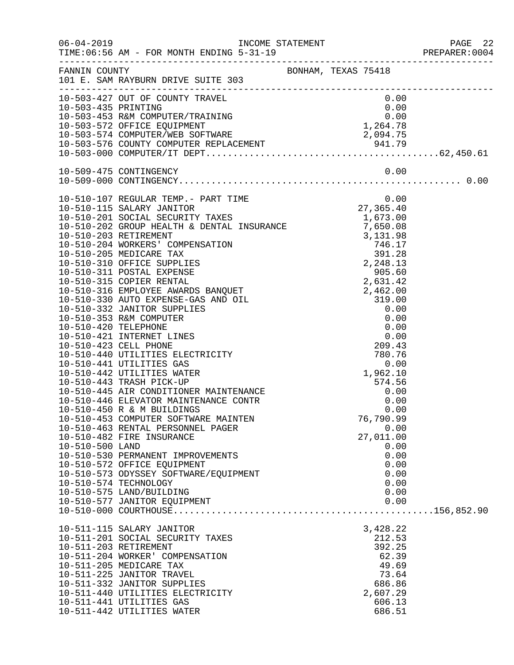|                 |                                                                                                                                                                                                                                            |                              |                |              | PREPARER: 0004 |
|-----------------|--------------------------------------------------------------------------------------------------------------------------------------------------------------------------------------------------------------------------------------------|------------------------------|----------------|--------------|----------------|
|                 | FANNIN COUNTY<br>101 E. SAM RAYBURN DRIVE SUITE 303 BONHAM, TEXAS 75418                                                                                                                                                                    |                              |                |              |                |
|                 | 10-503-427 OUT OF COUNTY TRAVEL                                                                                                                                                                                                            |                              |                | 0.00         |                |
|                 |                                                                                                                                                                                                                                            |                              |                |              |                |
|                 |                                                                                                                                                                                                                                            |                              |                |              |                |
|                 |                                                                                                                                                                                                                                            |                              |                |              |                |
|                 |                                                                                                                                                                                                                                            |                              |                |              |                |
|                 | 10-503-427 OUT OF COUNTY TRAVEL<br>10-503-435 PRINTING<br>10-503-453 R&M COMPUTER/TRAINING<br>10-503-572 OFFICE EQUIPMENT<br>10-503-574 COMPUTER/WEB SOFTWARE<br>10-503-576 COUNTY COMPUTER REPLACEMENT<br>10-503-576 COUNTY COMPUTER REPL |                              |                |              |                |
|                 |                                                                                                                                                                                                                                            |                              |                | 0.00         |                |
|                 |                                                                                                                                                                                                                                            |                              |                |              |                |
|                 | 10-510-107 REGULAR TEMP.- PART TIME<br>10-510-115 SALARY JANITOR 27,365.40<br>10-510-201 SOCIAL SECURITY TAXES 1,673.00<br>10-510-202 GROUP HEALTH & DENTAL INSURANCE 7,650.08                                                             |                              |                |              |                |
|                 |                                                                                                                                                                                                                                            |                              |                |              |                |
|                 |                                                                                                                                                                                                                                            |                              |                |              |                |
|                 |                                                                                                                                                                                                                                            |                              |                |              |                |
|                 |                                                                                                                                                                                                                                            |                              |                |              |                |
|                 |                                                                                                                                                                                                                                            |                              |                |              |                |
|                 |                                                                                                                                                                                                                                            |                              |                |              |                |
|                 |                                                                                                                                                                                                                                            |                              |                |              |                |
|                 |                                                                                                                                                                                                                                            |                              |                |              |                |
|                 |                                                                                                                                                                                                                                            |                              |                |              |                |
|                 |                                                                                                                                                                                                                                            |                              |                |              |                |
|                 |                                                                                                                                                                                                                                            |                              |                |              |                |
|                 |                                                                                                                                                                                                                                            |                              |                |              |                |
|                 |                                                                                                                                                                                                                                            |                              |                |              |                |
|                 |                                                                                                                                                                                                                                            |                              |                |              |                |
|                 |                                                                                                                                                                                                                                            |                              |                |              |                |
|                 |                                                                                                                                                                                                                                            |                              |                |              |                |
|                 |                                                                                                                                                                                                                                            |                              |                |              |                |
|                 | R<br>10-510-443 TRASH PICK-UP                                                                                                                                                                                                              | $-7502.10$<br>574.56<br>0.00 |                |              |                |
|                 | 10-510-445 AIR CONDITIONER MAINTENANCE                                                                                                                                                                                                     |                              |                |              |                |
|                 | 10-510-446 ELEVATOR MAINTENANCE CONTR                                                                                                                                                                                                      |                              |                |              |                |
|                 | 10-510-450 R & M BUILDINGS                                                                                                                                                                                                                 |                              |                | 0.00         |                |
|                 | 10-510-453 COMPUTER SOFTWARE MAINTEN                                                                                                                                                                                                       |                              | 76,790.99      |              |                |
|                 | 10-510-463 RENTAL PERSONNEL PAGER                                                                                                                                                                                                          |                              |                | 0.00         |                |
|                 | 10-510-482 FIRE INSURANCE                                                                                                                                                                                                                  |                              | 27,011.00      |              |                |
| 10-510-500 LAND | 10-510-530 PERMANENT IMPROVEMENTS                                                                                                                                                                                                          |                              |                | 0.00<br>0.00 |                |
|                 | 10-510-572 OFFICE EQUIPMENT                                                                                                                                                                                                                |                              |                | 0.00         |                |
|                 | 10-510-573 ODYSSEY SOFTWARE/EQUIPMENT                                                                                                                                                                                                      |                              |                | 0.00         |                |
|                 | 10-510-574 TECHNOLOGY                                                                                                                                                                                                                      |                              |                | 0.00         |                |
|                 | 10-510-575 LAND/BUILDING                                                                                                                                                                                                                   |                              |                | 0.00         |                |
|                 | 10-510-577 JANITOR EQUIPMENT                                                                                                                                                                                                               |                              |                | 0.00         |                |
|                 |                                                                                                                                                                                                                                            |                              |                |              |                |
|                 | 10-511-115 SALARY JANITOR                                                                                                                                                                                                                  |                              | 3,428.22       |              |                |
|                 | 10-511-201 SOCIAL SECURITY TAXES                                                                                                                                                                                                           |                              | 212.53         |              |                |
|                 | 10-511-203 RETIREMENT                                                                                                                                                                                                                      |                              | 392.25         |              |                |
|                 | 10-511-204 WORKER' COMPENSATION                                                                                                                                                                                                            |                              | 62.39          |              |                |
|                 | 10-511-205 MEDICARE TAX<br>10-511-225 JANITOR TRAVEL                                                                                                                                                                                       |                              | 49.69<br>73.64 |              |                |
|                 | 10-511-332 JANITOR SUPPLIES                                                                                                                                                                                                                |                              | 686.86         |              |                |
|                 | 10-511-440 UTILITIES ELECTRICITY                                                                                                                                                                                                           |                              | 2,607.29       |              |                |
|                 | 10-511-441 UTILITIES GAS                                                                                                                                                                                                                   |                              | 606.13         |              |                |
|                 | 10-511-442 UTILITIES WATER                                                                                                                                                                                                                 |                              | 686.51         |              |                |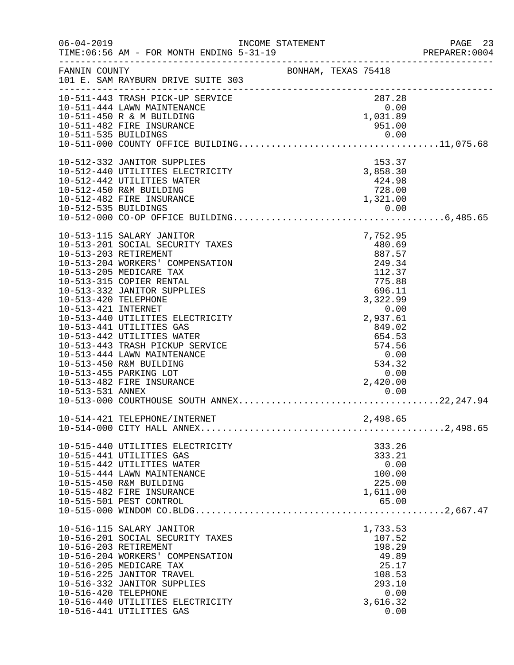|                                             |                                                                                                                                                                                                                                                                                                                                                                                                                                                                    |                              |                                                                                                                                                                          | PAGE 23<br>PREPARER:0004 |  |
|---------------------------------------------|--------------------------------------------------------------------------------------------------------------------------------------------------------------------------------------------------------------------------------------------------------------------------------------------------------------------------------------------------------------------------------------------------------------------------------------------------------------------|------------------------------|--------------------------------------------------------------------------------------------------------------------------------------------------------------------------|--------------------------|--|
| FANNIN COUNTY                               | 101 E. SAM RAYBURN DRIVE SUITE 303                                                                                                                                                                                                                                                                                                                                                                                                                                 | BONHAM, TEXAS 75418          |                                                                                                                                                                          |                          |  |
|                                             | 10-511-443 TRASH PICK-UP SERVICE<br>10-511-444 LAWN MAINTENANCE<br>10-511-450 R & M BUILDING<br>10-511-482 FIRE INSURANCE                                                                                                                                                                                                                                                                                                                                          | $287.28$<br>0.00<br>1,031.89 | 951.00                                                                                                                                                                   |                          |  |
|                                             |                                                                                                                                                                                                                                                                                                                                                                                                                                                                    |                              |                                                                                                                                                                          |                          |  |
|                                             | 10-512-332 JANITOR SUPPLIES<br>10-512-440 UTILITIES ELECTRICITY<br>10-512-442 UTILITIES WATER<br>10-512-450 R&M BUILDING<br>10-512-482 FIRE INSURANCE                                                                                                                                                                                                                                                                                                              | $3,858.30$<br>$424.98$       | 153.37<br>$424.98$<br>728.00<br>1,321.00                                                                                                                                 |                          |  |
| 10-513-420 TELEPHONE<br>10-513-421 INTERNET | 10-513-115 SALARY JANITOR<br>10-513-201 SOCIAL SECURITY TAXES<br>10-513-203 RETIREMENT<br>10-513-204 WORKERS' COMPENSATION<br>10-513-205 MEDICARE TAX<br>10-513-315 COPIER RENTAL<br>10-513-332 JANITOR SUPPLIES<br>10-513-440 UTILITIES ELECTRICITY<br>10-513-441 UTILITIES GAS<br>10-513-442 UTILITIES WATER<br>10-513-443 TRASH PICKUP SERVICE<br>10-513-444 LAWN MAINTENANCE<br>10-513-450 R&M BUILDING<br>10-513-455 PARKING LOT<br>10-513-482 FIRE INSURANCE |                              | 7,752.95<br>480.69<br>887.57<br>249.34<br>112.37<br>775.88<br>696.11<br>3,322.99<br>0.00<br>2,937.61<br>849.02<br>654.53<br>574.56<br>0.00<br>534.32<br>0.00<br>2,420.00 |                          |  |
|                                             |                                                                                                                                                                                                                                                                                                                                                                                                                                                                    |                              |                                                                                                                                                                          |                          |  |
|                                             | 10-515-440 UTILITIES ELECTRICITY<br>10-515-441 UTILITIES GAS<br>10-515-442 UTILITIES WATER<br>10-515-444 LAWN MAINTENANCE<br>10-515-450 R&M BUILDING<br>10-515-482 FIRE INSURANCE<br>10-515-501 PEST CONTROL                                                                                                                                                                                                                                                       |                              | 333.26<br>333.21<br>0.00<br>100.00<br>225.00<br>1,611.00<br>65.00                                                                                                        |                          |  |
| 10-516-420 TELEPHONE                        | 10-516-115 SALARY JANITOR<br>10-516-201 SOCIAL SECURITY TAXES<br>10-516-203 RETIREMENT<br>10-516-204 WORKERS' COMPENSATION<br>10-516-205 MEDICARE TAX<br>10-516-225 JANITOR TRAVEL<br>10-516-332 JANITOR SUPPLIES<br>10-516-440 UTILITIES ELECTRICITY<br>10-516-441 UTILITIES GAS                                                                                                                                                                                  |                              | 1,733.53<br>107.52<br>198.29<br>49.89<br>25.17<br>108.53<br>293.10<br>0.00<br>3,616.32<br>0.00                                                                           |                          |  |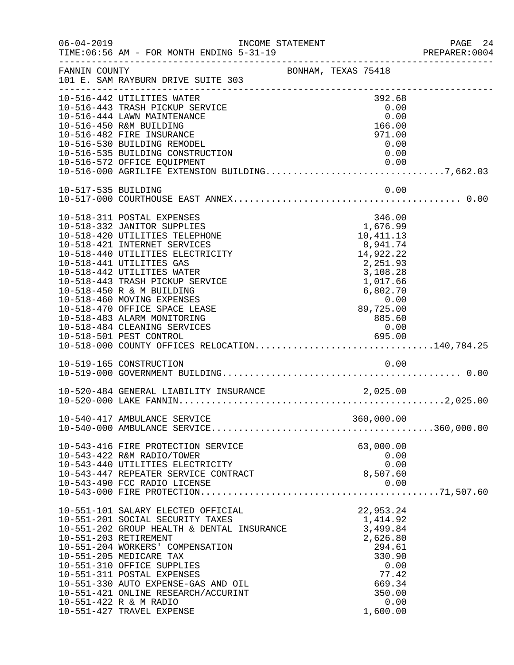|                     | $06 - 04 - 2019$<br>TIME: 06:56 AM - FOR MONTH ENDING 5-31-19                                                                                                                                                                                                                                                                                                                                                                                                                                               | INCOME STATEMENT |                   |                                                                                                                              |                              | PAGE 24 |
|---------------------|-------------------------------------------------------------------------------------------------------------------------------------------------------------------------------------------------------------------------------------------------------------------------------------------------------------------------------------------------------------------------------------------------------------------------------------------------------------------------------------------------------------|------------------|-------------------|------------------------------------------------------------------------------------------------------------------------------|------------------------------|---------|
| FANNIN COUNTY       | BONHAM, TEXAS 75418<br>101 E. SAM RAYBURN DRIVE SUITE 303                                                                                                                                                                                                                                                                                                                                                                                                                                                   |                  |                   |                                                                                                                              |                              |         |
|                     | 10-516-442 UTILITIES WATER<br>10-516-443 TRASH PICKUP SERVICE<br>10-516-444 LAWN MAINTENANCE<br>10-516-450 R&M BUILDING<br>10-516-482 FIRE INSURANCE<br>10-516-530 BUILDING REMODEL<br>10-516-535 BUILDING CONSTRUCTION<br>10-516-572 OFFICE EQUIPMENT<br>$10-516-000$ AGRILIFE EXTENSION BUILDING7,662.03                                                                                                                                                                                                  |                  |                   | 392.68<br>166.00<br>971.00<br>0.00                                                                                           | 0.00<br>0.00<br>0.00<br>0.00 |         |
| 10-517-535 BUILDING |                                                                                                                                                                                                                                                                                                                                                                                                                                                                                                             |                  |                   |                                                                                                                              | 0.00                         |         |
|                     | 10-518-311 POSTAL EXPENSES<br>10-518-332 JANITOR SUPPLIES<br>10-518-420 UTILITIES TELEPHONE<br>10-518-421 INTERNET SERVICES<br>10-518-440 UTILITIES ELECTRICITY<br>10-518-441 UTILITIES GAS<br>10-518-442 UTILITIES WATER<br>10-518-443 TRASH PICKUP SERVICE<br>10-518-450 R & M BUILDING<br>10-518-460 MOVING EXPENSES<br>10-518-470 OFFICE SPACE LEASE<br>10-518-483 ALARM MONITORING<br>10-518-484 CLEANING SERVICES<br>10-518-501 PEST CONTROL 695.00<br>10-518-000 COUNTY OFFICES RELOCATION140,784.25 |                  | 0.00<br>89,725.00 | 346.00<br>1,676.99<br>10, 411. 13<br>8,941.74<br>14,922.22<br>2,251.93<br>3,108.28<br>1,017.66<br>6,802.70<br>885.60<br>0.00 |                              |         |
|                     | 10-519-165 CONSTRUCTION                                                                                                                                                                                                                                                                                                                                                                                                                                                                                     |                  |                   |                                                                                                                              | 0.00                         |         |
|                     | 10-520-484 GENERAL LIABILITY INSURANCE                                                                                                                                                                                                                                                                                                                                                                                                                                                                      |                  |                   | 2,025.00                                                                                                                     |                              |         |
|                     |                                                                                                                                                                                                                                                                                                                                                                                                                                                                                                             |                  |                   |                                                                                                                              |                              |         |
|                     | 10-543-416 FIRE PROTECTION SERVICE<br>10-543-422 R&M RADIO/TOWER<br>10-543-440 UTILITIES ELECTRICITY<br>10-543-447 REPEATER SERVICE CONTRACT                                                                                                                                                                                                                                                                                                                                                                |                  | 8,507.60          | 63,000.00                                                                                                                    | 0.00<br>0.00                 |         |
|                     | 10-551-101 SALARY ELECTED OFFICIAL<br>1,414.92<br>10-551-202 GROUP HEALTH & DENTAL INSURANCE 3,499.84<br>10-551-203 RETIREMENT<br>10-551-204 WORKERS' COMPENSATION<br>10-551-205 MEDICARE TAX<br>10-551-310 OFFICE SUPPLIES<br>10-551-311 POSTAL EXPENSES<br>10-551-330 AUTO EXPENSE-GAS AND OIL<br>10-551-421 ONLINE RESEARCH/ACCURINT<br>10-551-422 R & M RADIO<br>10-551-427 TRAVEL EXPENSE                                                                                                              |                  |                   | 22,953.24<br>2,626.80<br>294.61<br>330.90<br>77.42<br>669.34<br>350.00<br>1,600.00                                           | 0.00<br>0.00                 |         |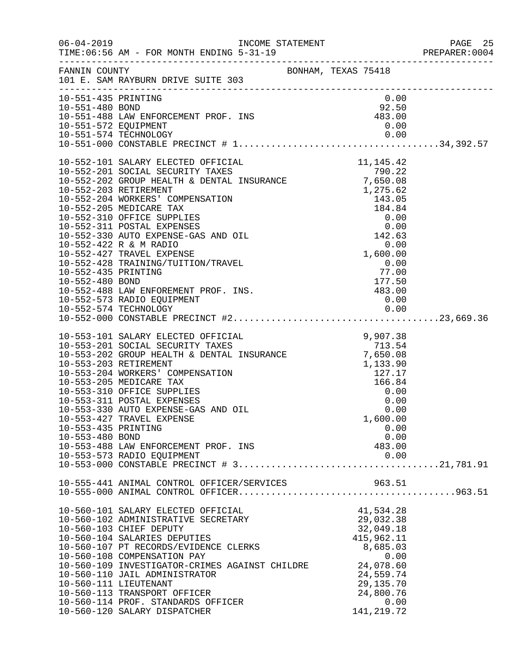| $06 - 04 - 2019$                                                | TIME: 06:56 AM - FOR MONTH ENDING 5-31-19                                                                                                                                                                                                                                                                                                                                                                                                                                                             |                     |                                                                                                                                                           | PAGE 25<br>PREPARER: 0004 |
|-----------------------------------------------------------------|-------------------------------------------------------------------------------------------------------------------------------------------------------------------------------------------------------------------------------------------------------------------------------------------------------------------------------------------------------------------------------------------------------------------------------------------------------------------------------------------------------|---------------------|-----------------------------------------------------------------------------------------------------------------------------------------------------------|---------------------------|
| FANNIN COUNTY                                                   | 101 E. SAM RAYBURN DRIVE SUITE 303                                                                                                                                                                                                                                                                                                                                                                                                                                                                    | BONHAM, TEXAS 75418 |                                                                                                                                                           |                           |
| 10-551-435 PRINTING<br>10-551-480 BOND<br>10-551-572 EQUIPMENT  | 10-551-488 LAW ENFORCEMENT PROF. INS                                                                                                                                                                                                                                                                                                                                                                                                                                                                  |                     | 0.00<br>$92.50$<br>$483.00$<br>0.00                                                                                                                       |                           |
| 10-552-203 RETIREMENT<br>10-552-435 PRINTING<br>10-552-480 BOND | 10-552-101 SALARY ELECTED OFFICIAL $10-552-201$ SOCIAL SECURITY TAXES $790.22$<br>10-552-202 GROUP HEALTH & DENTAL INSURANCE $7,650.08$<br>10-552-202 BETIDEMENT<br>10-552-204 WORKERS' COMPENSATION<br>10-552-205 MEDICARE TAX<br>10-552-310 OFFICE SUPPLIES<br>10-552-311 POSTAL EXPENSES<br>10-552-330 AUTO EXPENSE-GAS AND OIL<br>10-552-422 R & M RADIO<br>10-552-427 TRAVEL EXPENSE<br>10-552-428 TRAINING/TUITION/TRAVEL<br>10-552-488 LAW ENFOREMENT PROF. INS.<br>10-552-573 RADIO EQUIPMENT |                     | $1,275.62$<br>$143.05$<br>$184.84$<br>$0.00$<br>$142.63$<br>$0.00$<br>$142.63$<br>0.00<br>1,600.00<br>0.00<br>77.00<br>177.50<br>177.50<br>483.00<br>0.00 |                           |
| 10-553-435 PRINTING<br>10-553-480 BOND                          | 10-553-101 SALARY ELECTED OFFICIAL<br>10-553-202 GROUP HEALTH & DENTAL INSURANCE 7.650.08<br>10-553-203 RETIREMENT & DENTAL INSURANCE 7,650.08<br>10-553-204 WORKERS' COMPENSATION<br>10-553-205 MEDICARE TAX<br>10-553-310 OFFICE SUPPLIES<br>10-553-311 POSTAL EXPENSES<br>10-553-330 AUTO EXPENSE-GAS AND OIL<br>10-553-427 TRAVEL EXPENSE<br>10-553-488 LAW ENFORCEMENT PROF. INS                                                                                                                 |                     | 9,907.38<br>050.08<br>1,133.90<br>127.17<br>166.84<br>0.00<br>0.00<br>0.00<br>1,600.00<br>0.00<br>0.00<br>483.00                                          |                           |
|                                                                 | 10-555-441 ANIMAL CONTROL OFFICER/SERVICES                                                                                                                                                                                                                                                                                                                                                                                                                                                            |                     | 963.51                                                                                                                                                    |                           |
| 10-560-111 LIEUTENANT                                           | 10-560-101 SALARY ELECTED OFFICIAL<br>10-560-102 ADMINISTRATIVE SECRETARY<br>10-560-103 CHIEF DEPUTY<br>10-560-104 SALARIES DEPUTIES<br>10-560-107 PT RECORDS/EVIDENCE CLERKS<br>10-560-108 COMPENSATION PAY<br>10-560-109 INVESTIGATOR-CRIMES AGAINST CHILDRE<br>10-560-110 JAIL ADMINISTRATOR<br>10-560-113 TRANSPORT OFFICER<br>10-560-114 PROF. STANDARDS OFFICER<br>10-560-120 SALARY DISPATCHER                                                                                                 |                     | 41,534.28<br>29,032.38<br>32,049.18<br>415,962.11<br>8,685.03<br>0.00<br>24,078.60<br>24,559.74<br>29, 135. 70<br>24,800.76<br>0.00<br>141, 219.72        |                           |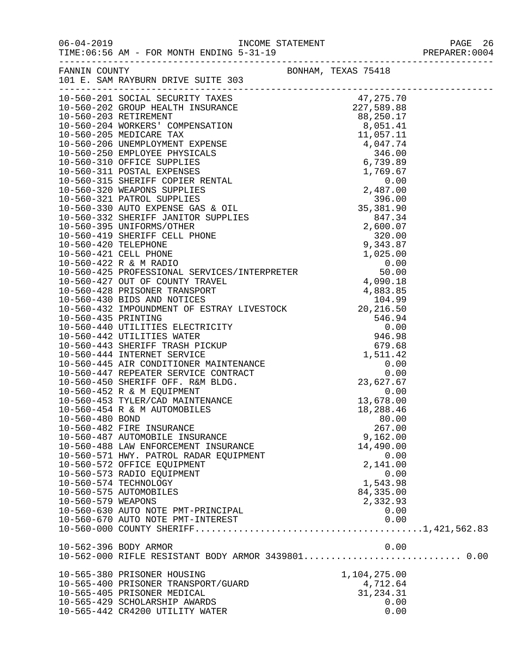|                       | 06-04-2019                                INCOME STATEMENT<br>TIME:06:56 AM – FOR MONTH ENDING 5-31-19<br>TIME: 06:56 AM - FOR MONTH ENDING 5-31-19                                         |              | PAGE 26<br>PREPARER: 0004 |
|-----------------------|---------------------------------------------------------------------------------------------------------------------------------------------------------------------------------------------|--------------|---------------------------|
|                       | FANNIN COUNTY                                                                                                                                                                               |              |                           |
|                       |                                                                                                                                                                                             |              |                           |
|                       |                                                                                                                                                                                             |              |                           |
|                       |                                                                                                                                                                                             |              |                           |
|                       |                                                                                                                                                                                             |              |                           |
|                       |                                                                                                                                                                                             |              |                           |
|                       |                                                                                                                                                                                             |              |                           |
|                       |                                                                                                                                                                                             |              |                           |
|                       |                                                                                                                                                                                             |              |                           |
|                       |                                                                                                                                                                                             |              |                           |
|                       |                                                                                                                                                                                             |              |                           |
|                       |                                                                                                                                                                                             |              |                           |
|                       |                                                                                                                                                                                             |              |                           |
|                       |                                                                                                                                                                                             |              |                           |
|                       |                                                                                                                                                                                             |              |                           |
|                       |                                                                                                                                                                                             |              |                           |
|                       |                                                                                                                                                                                             |              |                           |
|                       |                                                                                                                                                                                             |              |                           |
|                       |                                                                                                                                                                                             |              |                           |
|                       |                                                                                                                                                                                             |              |                           |
|                       |                                                                                                                                                                                             |              |                           |
|                       |                                                                                                                                                                                             |              |                           |
|                       |                                                                                                                                                                                             |              |                           |
|                       |                                                                                                                                                                                             |              |                           |
|                       |                                                                                                                                                                                             |              |                           |
|                       |                                                                                                                                                                                             |              |                           |
|                       |                                                                                                                                                                                             |              |                           |
|                       |                                                                                                                                                                                             |              |                           |
|                       | 1,511.42<br>10-560-445 AIR CONDITIONER MAINTENANCE<br>10-560-447 REPEATER SERVICE CONTRACT<br>10-560-450 SHERIFF OFF. R&M BLDG.<br>10-560-452 R & M EQUIPMENT<br>10-560-452 R & M EQUIPMENT |              |                           |
|                       |                                                                                                                                                                                             |              |                           |
|                       |                                                                                                                                                                                             |              |                           |
|                       |                                                                                                                                                                                             |              |                           |
|                       | 10-560-453 TYLER/CAD MAINTENANCE                                                                                                                                                            | 13,678.00    |                           |
|                       | 10-560-454 R & M AUTOMOBILES                                                                                                                                                                | 18,288.46    |                           |
| $10 - 560 - 480$ BOND |                                                                                                                                                                                             | 80.00        |                           |
|                       | 10-560-482 FIRE INSURANCE                                                                                                                                                                   | 267.00       |                           |
|                       | 10-560-487 AUTOMOBILE INSURANCE                                                                                                                                                             | 9,162.00     |                           |
|                       | 10-560-488 LAW ENFORCEMENT INSURANCE                                                                                                                                                        | 14,490.00    |                           |
|                       | 10-560-571 HWY. PATROL RADAR EQUIPMENT                                                                                                                                                      | 0.00         |                           |
|                       | 10-560-572 OFFICE EQUIPMENT                                                                                                                                                                 | 2,141.00     |                           |
|                       | 10-560-573 RADIO EQUIPMENT                                                                                                                                                                  | 0.00         |                           |
|                       | 10-560-574 TECHNOLOGY                                                                                                                                                                       | 1,543.98     |                           |
|                       | 10-560-575 AUTOMOBILES                                                                                                                                                                      | 84, 335.00   |                           |
| 10-560-579 WEAPONS    |                                                                                                                                                                                             | 2,332.93     |                           |
|                       | 10-560-630 AUTO NOTE PMT-PRINCIPAL                                                                                                                                                          | 0.00         |                           |
|                       | 10-560-670 AUTO NOTE PMT-INTEREST                                                                                                                                                           | 0.00         |                           |
|                       |                                                                                                                                                                                             |              |                           |
|                       | 10-562-396 BODY ARMOR                                                                                                                                                                       | 0.00         |                           |
|                       | 10-562-000 RIFLE RESISTANT BODY ARMOR 3439801 0.00                                                                                                                                          |              |                           |
|                       | 10-565-380 PRISONER HOUSING                                                                                                                                                                 | 1,104,275.00 |                           |
|                       | 10-565-400 PRISONER TRANSPORT/GUARD                                                                                                                                                         | 4,712.64     |                           |
|                       | 10-565-405 PRISONER MEDICAL                                                                                                                                                                 | 31, 234.31   |                           |
|                       | 10-565-429 SCHOLARSHIP AWARDS                                                                                                                                                               | 0.00         |                           |
|                       | 10-565-442 CR4200 UTILITY WATER                                                                                                                                                             | 0.00         |                           |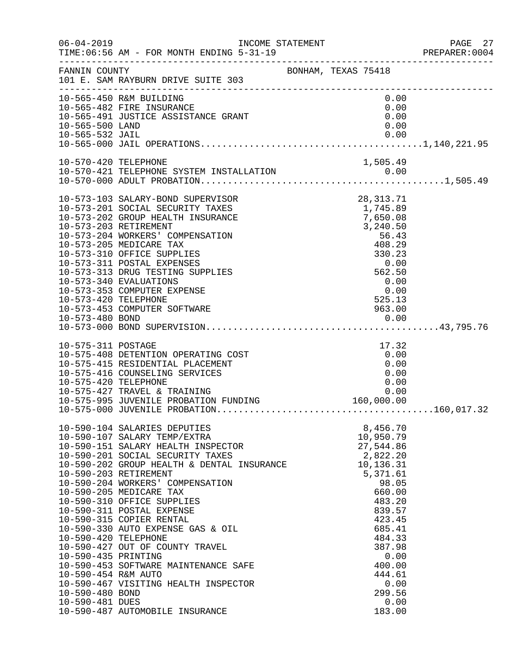| $06 - 04 - 2019$                                                                                         | INCOME STATEMENT<br>TIME: 06:56 AM - FOR MONTH ENDING 5-31-19                                                                                                                                                                                                                                                                                                                                                                                                                                                                                                  |                                                                                                                                                                                                                        | PAGE 27<br>PREPARER: 0004 |
|----------------------------------------------------------------------------------------------------------|----------------------------------------------------------------------------------------------------------------------------------------------------------------------------------------------------------------------------------------------------------------------------------------------------------------------------------------------------------------------------------------------------------------------------------------------------------------------------------------------------------------------------------------------------------------|------------------------------------------------------------------------------------------------------------------------------------------------------------------------------------------------------------------------|---------------------------|
| FANNIN COUNTY                                                                                            | BONHAM, TEXAS 75418<br>101 E. SAM RAYBURN DRIVE SUITE 303                                                                                                                                                                                                                                                                                                                                                                                                                                                                                                      |                                                                                                                                                                                                                        |                           |
| 10-565-500 LAND                                                                                          | 10-565-450 R&M BUILDING<br>10-565-482 FIRE INSURANCE<br>10-565-491 JUSTICE ASSISTANCE GRANT                                                                                                                                                                                                                                                                                                                                                                                                                                                                    | 0.00<br>0.00<br>0.00<br>0.00                                                                                                                                                                                           |                           |
|                                                                                                          |                                                                                                                                                                                                                                                                                                                                                                                                                                                                                                                                                                |                                                                                                                                                                                                                        |                           |
| 10-570-420 TELEPHONE                                                                                     |                                                                                                                                                                                                                                                                                                                                                                                                                                                                                                                                                                | 1,505.49                                                                                                                                                                                                               |                           |
| 10-573-420 TELEPHONE                                                                                     | 10-573-103 SALARY-BOND SUPERVISOR<br>10-573-201 SOCIAL SECURITY TAXES<br>10-573-202 GROUP HEALTH INSURANCE<br>10-573-203 RETIREMENT<br>10-573-204 WORKERS' COMPENSATION<br>10-573-205 MEDICARE TAX<br>10-573-310 OFFICE SUPPLIES<br>10-573-311 POSTAL EXPENSES<br>10-573-313 DRUG TESTING SUPPLIES<br>10-573-340 EVALUATIONS<br>10-573-353 COMPUTER EXPENSE<br>10-573-453 COMPUTER SOFTWARE                                                                                                                                                                    | 28, 313. 71<br>1,745.89<br>7,650.08<br>3,240.50<br>56.43<br>408.29<br>330.23<br>0.00<br>562.50<br>0.00<br>0.00<br>525.13<br>963.00                                                                                     |                           |
| 10-575-311 POSTAGE<br>10-575-420 TELEPHONE                                                               | 10-575-408 DETENTION OPERATING COST<br>10-575-415 RESIDENTIAL PLACEMENT<br>10-575-416 COUNSELING SERVICES<br>10-575-427 TRAVEL & TRAINING 0.00<br>10-575-995 JUVENILE PROBATION FUNDING 160,000.00                                                                                                                                                                                                                                                                                                                                                             | 17.32<br>0.00<br>0.00<br>0.00<br>0.00                                                                                                                                                                                  |                           |
| 10-590-420 TELEPHONE<br>10-590-435 PRINTING<br>10-590-454 R&M AUTO<br>10-590-480 BOND<br>10-590-481 DUES | 10-590-104 SALARIES DEPUTIES<br>10-590-107 SALARY TEMP/EXTRA<br>10-590-151 SALARY HEALTH INSPECTOR<br>10-590-201 SOCIAL SECURITY TAXES<br>10-590-202 GROUP HEALTH & DENTAL INSURANCE<br>10-590-203 RETIREMENT<br>10-590-204 WORKERS' COMPENSATION<br>10-590-205 MEDICARE TAX<br>10-590-310 OFFICE SUPPLIES<br>10-590-311 POSTAL EXPENSE<br>10-590-315 COPIER RENTAL<br>10-590-330 AUTO EXPENSE GAS & OIL<br>10-590-427 OUT OF COUNTY TRAVEL<br>10-590-453 SOFTWARE MAINTENANCE SAFE<br>10-590-467 VISITING HEALTH INSPECTOR<br>10-590-487 AUTOMOBILE INSURANCE | 8,456.70<br>10,950.79<br>27,544.86<br>2,822.20<br>10,136.31<br>5,371.61<br>98.05<br>660.00<br>483.20<br>839.57<br>423.45<br>685.41<br>484.33<br>387.98<br>0.00<br>400.00<br>444.61<br>0.00<br>299.56<br>0.00<br>183.00 |                           |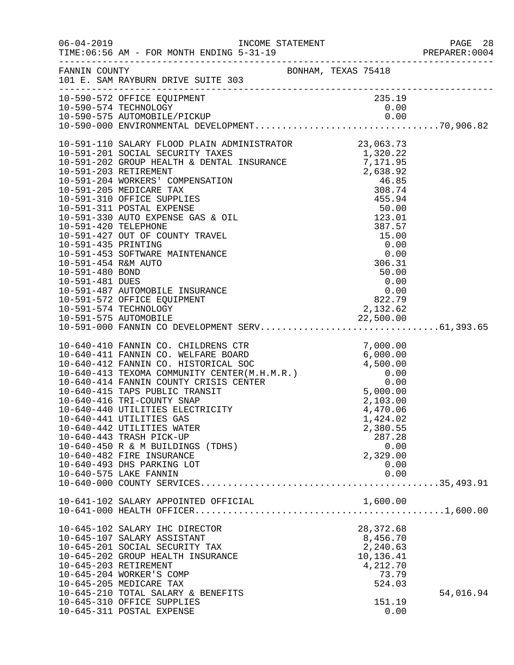| $06 - 04 - 2019$                                                                                          | TIME: 06:56 AM - FOR MONTH ENDING 5-31-19                                                                                                                                                                                                                         |                                                                                                  |                                 |
|-----------------------------------------------------------------------------------------------------------|-------------------------------------------------------------------------------------------------------------------------------------------------------------------------------------------------------------------------------------------------------------------|--------------------------------------------------------------------------------------------------|---------------------------------|
|                                                                                                           | FANNIN COUNTY BONHAM, TEXAS 75418<br>101 E. SAM RAYBURN DRIVE SUITE 303                                                                                                                                                                                           |                                                                                                  |                                 |
|                                                                                                           | 10-590-572 OFFICE EQUIPMENT                                                                                                                                                                                                                                       | 235.19                                                                                           |                                 |
| 10-591-435 PRINTING<br>10-591-454 R&M AUTO<br>10-591-480 BOND<br>10-591-481 DUES<br>10-591-574 TECHNOLOGY | 10-591-453 SOFTWARE MAINTENANCE<br>10-591-487 AUTOMOBILE INSURANCE<br>10-591-572 OFFICE EQUIPMENT                                                                                                                                                                 | $387.57$ $15.00$ $0.00$ $0.00$ $306$ $306$<br>$50.00$<br>0.00<br>0.00<br>822.79<br>2,132.62      |                                 |
| 10-640-575 LAKE FANNIN                                                                                    | 10-640-416 TRI-COUNTY SNAP<br>10-640-440 UTILITIES ELECTRICITY<br>10-640-441 UTILITIES GAS<br>10-640-442 UTILITIES WATER<br>10-640-443 TRASH PICK-UP<br>10-640-450 R & M BUILDINGS (TDHS)<br>10-640-482 FIRE INSURANCE<br>10-640-493 DHS PARKING LOT              | 2,103.00<br>4,470.06<br>1,424.02<br>2,380.55<br>287.28<br>0.00<br>2,329.00<br>0.00<br>0.00       |                                 |
|                                                                                                           | 10-641-102 SALARY APPOINTED OFFICIAL                                                                                                                                                                                                                              | 1,600.00                                                                                         | $\ldots \ldots \ldots 1,600.00$ |
| 10-645-203 RETIREMENT<br>10-645-205 MEDICARE TAX                                                          | 10-645-102 SALARY IHC DIRECTOR<br>10-645-107 SALARY ASSISTANT<br>10-645-201 SOCIAL SECURITY TAX<br>10-645-202 GROUP HEALTH INSURANCE<br>10-645-204 WORKER'S COMP<br>10-645-210 TOTAL SALARY & BENEFITS<br>10-645-310 OFFICE SUPPLIES<br>10-645-311 POSTAL EXPENSE | 28, 372.68<br>8,456.70<br>2,240.63<br>10,136.41<br>4,212.70<br>73.79<br>524.03<br>151.19<br>0.00 | 54,016.94                       |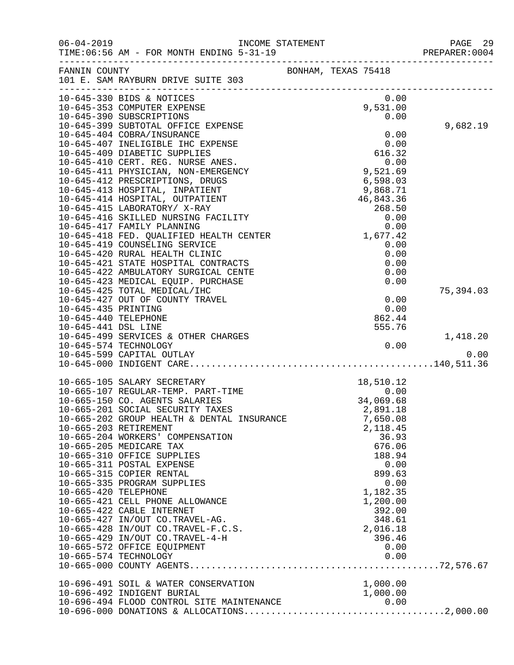| $06 - 04 - 2019$     | INCOME STATEMENT                                                                         |                     |                                | PAGE 29<br>PREPARER: 0004 |
|----------------------|------------------------------------------------------------------------------------------|---------------------|--------------------------------|---------------------------|
|                      | FANNIN COUNTY<br>101 E. SAM RAYBURN DRIVE SUITE 303                                      | BONHAM, TEXAS 75418 |                                |                           |
|                      | 10-645-330 BIDS & NOTICES<br>10-645-353 COMPUTER EXPENSE                                 |                     | 0.00<br>9,531.00               |                           |
|                      | 10-645-390 SUBSCRIPTIONS                                                                 |                     | 0.00                           |                           |
|                      | 10-645-399 SUBTOTAL OFFICE EXPENSE                                                       |                     |                                | 9,682.19                  |
|                      | 10-645-404 COBRA/INSURANCE<br>10-645-407 INELIGIBLE IHC EXPENSE                          |                     | 0.00<br>0.00                   |                           |
|                      | 10-645-409 DIABETIC SUPPLIES                                                             |                     | 616.32                         |                           |
|                      | 10-645-410 CERT. REG. NURSE ANES.                                                        |                     |                                |                           |
|                      | 10-645-411 PHYSICIAN, NON-EMERGENCY                                                      |                     | $0.00$<br>9,521.69             |                           |
|                      | 10-645-412 PRESCRIPTIONS, DRUGS                                                          |                     | 6,598.03                       |                           |
|                      | 10-645-413 HOSPITAL, INPATIENT                                                           |                     | 9,868.71                       |                           |
|                      | 10-645-414 HOSPITAL, OUTPATIENT                                                          |                     | 46,843.36                      |                           |
|                      | 10-645-415 LABORATORY/ X-RAY<br>10-645-416 SKILLED NURSING FACILITY                      |                     | 268.50<br>0.00                 |                           |
|                      | 10-645-417 FAMILY PLANNING                                                               |                     | 0.00                           |                           |
|                      | 10-645-418 FED. QUALIFIED HEALTH CENTER 10-645-418 FED. QUALIFIED HEALTH CENTER 1,677.42 |                     |                                |                           |
|                      | 10-645-419 COUNSELING SERVICE                                                            |                     | 0.00                           |                           |
|                      | 10-645-420 RURAL HEALTH CLINIC                                                           |                     | 0.00                           |                           |
|                      | 10-645-421 STATE HOSPITAL CONTRACTS                                                      |                     | 0.00                           |                           |
|                      | 10-645-422 AMBULATORY SURGICAL CENTE<br>10-645-423 MEDICAL EQUIP. PURCHASE               |                     | 0.00<br>0.00                   |                           |
|                      | 10-645-425 TOTAL MEDICAL/IHC                                                             |                     |                                | 75,394.03                 |
|                      | 10-645-427 OUT OF COUNTY TRAVEL                                                          |                     | 0.00                           |                           |
| 10-645-435 PRINTING  |                                                                                          |                     | 0.00                           |                           |
| 10-645-440 TELEPHONE |                                                                                          |                     | 862.44                         |                           |
| 10-645-441 DSL LINE  |                                                                                          |                     | 555.76                         |                           |
|                      | 10-645-499 SERVICES & OTHER CHARGES                                                      |                     |                                | 1,418.20                  |
|                      | 10-645-574 TECHNOLOGY<br>10-645-599 CAPITAL OUTLAY                                       |                     | 0.00                           | 0.00                      |
|                      |                                                                                          |                     |                                |                           |
|                      | 10-665-105 SALARY SECRETARY                                                              |                     | 18,510.12                      |                           |
|                      | 10-665-107 REGULAR-TEMP. PART-TIME                                                       |                     | 18,510.12<br>0.00<br>34,069.68 |                           |
|                      | 10-665-150 CO. AGENTS SALARIES                                                           |                     | 34,069.68                      |                           |
|                      | 10-665-201 SOCIAL SECURITY TAXES                                                         |                     | 2,891.18                       |                           |
|                      | 10-665-202 GROUP HEALTH & DENTAL INSURANCE                                               |                     | 7,650.08                       |                           |
|                      | 10-665-203 RETIREMENT                                                                    |                     | 2,118.45                       |                           |
|                      | 10-665-204 WORKERS' COMPENSATION<br>10-665-205 MEDICARE TAX                              |                     | 36.93<br>676.06                |                           |
|                      | 10-665-310 OFFICE SUPPLIES                                                               |                     | 188.94                         |                           |
|                      | 10-665-311 POSTAL EXPENSE                                                                |                     | 0.00                           |                           |
|                      | 10-665-315 COPIER RENTAL                                                                 |                     | 899.63                         |                           |
|                      | 10-665-335 PROGRAM SUPPLIES                                                              |                     | 0.00                           |                           |
| 10-665-420 TELEPHONE |                                                                                          |                     | 1,182.35                       |                           |
|                      | 10-665-421 CELL PHONE ALLOWANCE                                                          |                     | 1,200.00                       |                           |
|                      | 10-665-422 CABLE INTERNET<br>10-665-427 IN/OUT CO.TRAVEL-AG.                             |                     | 392.00<br>348.61               |                           |
|                      | 10-665-428 IN/OUT CO.TRAVEL-F.C.S.                                                       |                     | 2,016.18                       |                           |
|                      | 10-665-429 IN/OUT CO.TRAVEL-4-H                                                          |                     | 396.46                         |                           |
|                      | 10-665-572 OFFICE EQUIPMENT                                                              |                     | 0.00                           |                           |
|                      | 10-665-574 TECHNOLOGY                                                                    |                     | 0.00                           |                           |
|                      |                                                                                          |                     |                                |                           |
|                      | 10-696-491 SOIL & WATER CONSERVATION                                                     |                     | 1,000.00                       |                           |
|                      | 10-696-492 INDIGENT BURIAL                                                               |                     | 1,000.00                       |                           |
|                      | 10-696-494 FLOOD CONTROL SITE MAINTENANCE                                                |                     | 0.00                           |                           |
|                      |                                                                                          |                     |                                |                           |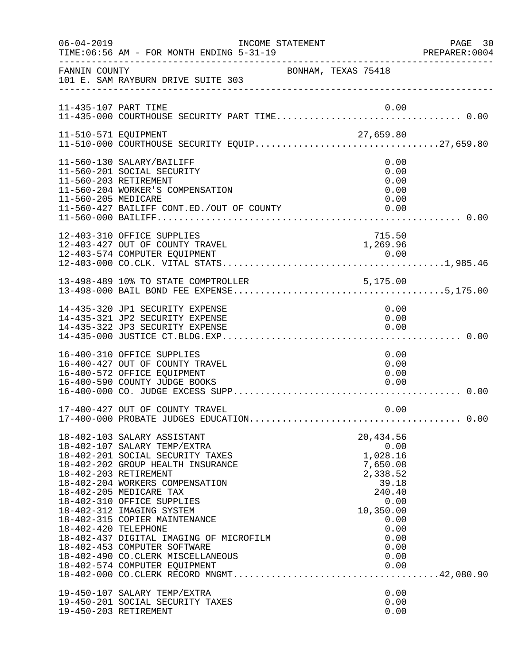| $06 - 04 - 2019$     | INCOME STATEMENT<br>TIME: 06:56 AM - FOR MONTH ENDING 5-31-19                                                                                                                                                                                                                                                                                                                                                                                                             |                                                                                                                                               | PAGE 30<br>PREPARER:0004 |
|----------------------|---------------------------------------------------------------------------------------------------------------------------------------------------------------------------------------------------------------------------------------------------------------------------------------------------------------------------------------------------------------------------------------------------------------------------------------------------------------------------|-----------------------------------------------------------------------------------------------------------------------------------------------|--------------------------|
| FANNIN COUNTY        | 101 E. SAM RAYBURN DRIVE SUITE 303                                                                                                                                                                                                                                                                                                                                                                                                                                        | BONHAM, TEXAS 75418                                                                                                                           |                          |
| 11-435-107 PART TIME |                                                                                                                                                                                                                                                                                                                                                                                                                                                                           | 0.00                                                                                                                                          |                          |
| 11-510-571 EQUIPMENT | 11-510-571 EQUIPMENT<br>11-510-000 COURTHOUSE SECURITY EQUIP27,659.80                                                                                                                                                                                                                                                                                                                                                                                                     |                                                                                                                                               |                          |
| 11-560-205 MEDICARE  | 11-560-130 SALARY/BAILIFF<br>11-560-201 SOCIAL SECURITY<br>11-560-203 RETIREMENT<br>11-560-204 WORKER'S COMPENSATION<br>11-560-427 BAILIFF CONT.ED./OUT OF COUNTY                                                                                                                                                                                                                                                                                                         | 0.00<br>0.00<br>0.00<br>0.00<br>0.00<br>0.00                                                                                                  |                          |
|                      | 12-403-310 OFFICE SUPPLIES                                                                                                                                                                                                                                                                                                                                                                                                                                                | 715.50                                                                                                                                        |                          |
|                      |                                                                                                                                                                                                                                                                                                                                                                                                                                                                           |                                                                                                                                               |                          |
|                      | 14-435-320 JP1 SECURITY EXPENSE<br>14-435-321 JP2 SECURITY EXPENSE<br>14-435-322 JP3 SECURITY EXPENSE                                                                                                                                                                                                                                                                                                                                                                     | 0.00<br>0.00<br>0.00                                                                                                                          |                          |
|                      | 16-400-310 OFFICE SUPPLIES<br>16-400-427 OUT OF COUNTY TRAVEL<br>16-400-572 OFFICE EQUIPMENT<br>16-400-590 COUNTY JUDGE BOOKS                                                                                                                                                                                                                                                                                                                                             | 0.00<br>0.00<br>0.00<br>0.00                                                                                                                  |                          |
|                      | 17-400-427 OUT OF COUNTY TRAVEL                                                                                                                                                                                                                                                                                                                                                                                                                                           | 0.00                                                                                                                                          |                          |
| 18-402-420 TELEPHONE | 18-402-103 SALARY ASSISTANT<br>18-402-107 SALARY TEMP/EXTRA<br>18-402-201 SOCIAL SECURITY TAXES<br>18-402-202 GROUP HEALTH INSURANCE<br>18-402-203 RETIREMENT<br>18-402-204 WORKERS COMPENSATION<br>18-402-205 MEDICARE TAX<br>18-402-310 OFFICE SUPPLIES<br>18-402-312 IMAGING SYSTEM<br>18-402-315 COPIER MAINTENANCE<br>18-402-437 DIGITAL IMAGING OF MICROFILM<br>18-402-453 COMPUTER SOFTWARE<br>18-402-490 CO. CLERK MISCELLANEOUS<br>18-402-574 COMPUTER EQUIPMENT | 20,434.56<br>0.00<br>1,028.16<br>7,650.08<br>2,338.52<br>39.18<br>240.40<br>0.00<br>10,350.00<br>0.00<br>0.00<br>0.00<br>0.00<br>0.00<br>0.00 |                          |
|                      | 19-450-107 SALARY TEMP/EXTRA<br>19-450-201 SOCIAL SECURITY TAXES<br>19-450-203 RETIREMENT                                                                                                                                                                                                                                                                                                                                                                                 | 0.00<br>0.00<br>0.00                                                                                                                          |                          |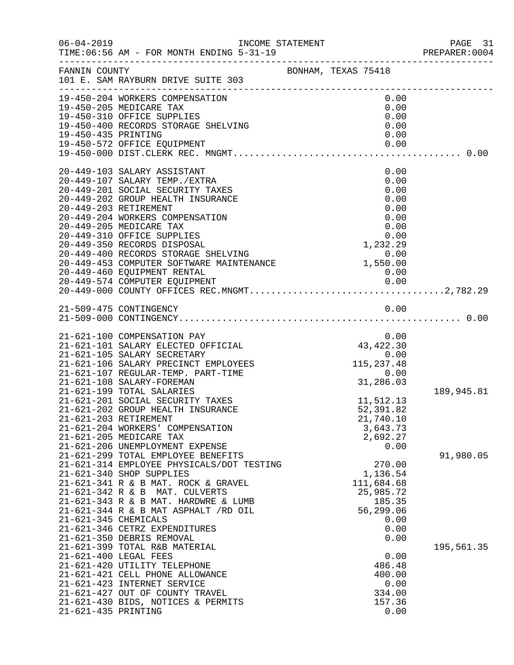| FANNIN COUNTY<br>101 E. SAM RAYBURN DRIVE SUITE 303<br>FANNIN COUNTY<br>BONHAM, TEXAS 75418<br>19-450-204 WORKERS COMPENSATION<br>0.00<br>19-450-205 MEDICARE TAX<br>0.00<br>19-430-203 MEDICANE IAA<br>19-450-310 OFFICE SUPPLIES<br>19-450-400 RECORDS STORAGE SHELVING<br>0.00<br>0.00<br>19-450-435 PRINTING<br>0.00<br>19-450-572 OFFICE EQUIPMENT<br>0.00<br>20-449-103 SALARY ASSISTANT<br>0.00<br>0.00<br>20-449-107 SALARY TEMP./EXTRA<br>20-449-201 SOCIAL SECURITY TAXES<br>0.00<br>20-449-202 GROUP HEALTH INSURANCE<br>0.00<br>20-449-203 RETIREMENT<br>0.00<br>20-449-204 WORKERS COMPENSATION<br>0.00<br>20-449-205 MEDICARE TAX<br>0.00<br>$\begin{array}{cccc} & & & & & 0.00 \\ 20-449-350 & RECORDS & DISPOSAL & & & 0.00 \\ 20-449-400 & RECORDS & STORAGE & SHELVING & & & 1,232.29 \\ 20-449-453 & COMPUTER SOFTNARE MAINTEMANCE & & & 0.00 \\ 20-449-453 & COMPUTER SOFTNARE MAINTEMANCE & & & 1,550.00 \\ 20-449-574 & COMPUTER EONTAL & & & & 1,550.00 \\ \end{array}$<br>21-621-100 COMPENSATION PAY<br>0.00<br>$0.00$<br>$43,422.30$<br>$0.00$<br>$115,237.48$<br>$0.00$<br>$31.286.03$<br>21-621-101 SALARY ELECTED OFFICIAL<br>21-621-105 SALARY SECRETARY<br>21-621-106 SALARY PRECINCT EMPLOYEES<br>21-621-107 REGULAR-TEMP. PART-TIME<br>31,286.03<br>21-621-108 SALARY-FOREMAN<br>21-621-199 TOTAL SALARIES<br>189,945.81<br>21-621-201 SOCIAL SECURITY TAXES<br>11,512.13<br>21-621-202 GROUP HEALTH INSURANCE<br>52,391.82<br>21-621-203 RETIREMENT<br>21,740.10<br>21-621-204 WORKERS' COMPENSATION<br>3,643.73<br>21-621-205 MEDICARE TAX<br>2,692.27<br>21-621-206 UNEMPLOYMENT EXPENSE<br>0.00<br>21-621-299 TOTAL EMPLOYEE BENEFITS<br>91,980.05<br>21-621-314 EMPLOYEE PHYSICALS/DOT TESTING<br>270.00<br>21-621-340 SHOP SUPPLIES<br>1,136.54<br>21-621-341 R & B MAT. ROCK & GRAVEL<br>111,684.68<br>21-621-342 R & B MAT. CULVERTS<br>25,985.72<br>185.35<br>21-621-343 R & B MAT. HARDWRE & LUMB<br>$21-621-344$ R & B MAT ASPHALT /RD OIL<br>56,299.06<br>21-621-345 CHEMICALS<br>0.00<br>21-621-346 CETRZ EXPENDITURES<br>0.00<br>21-621-350 DEBRIS REMOVAL<br>0.00<br>21-621-399 TOTAL R&B MATERIAL<br>195,561.35<br>21-621-400 LEGAL FEES<br>0.00<br>21-621-420 UTILITY TELEPHONE<br>486.48<br>21-621-421 CELL PHONE ALLOWANCE<br>400.00<br>21-621-423 INTERNET SERVICE<br>0.00<br>21-621-427 OUT OF COUNTY TRAVEL<br>334.00<br>21-621-430 BIDS, NOTICES & PERMITS<br>157.36<br>0.00<br>21-621-435 PRINTING |  |  |  | PREPARER: 0004 |
|--------------------------------------------------------------------------------------------------------------------------------------------------------------------------------------------------------------------------------------------------------------------------------------------------------------------------------------------------------------------------------------------------------------------------------------------------------------------------------------------------------------------------------------------------------------------------------------------------------------------------------------------------------------------------------------------------------------------------------------------------------------------------------------------------------------------------------------------------------------------------------------------------------------------------------------------------------------------------------------------------------------------------------------------------------------------------------------------------------------------------------------------------------------------------------------------------------------------------------------------------------------------------------------------------------------------------------------------------------------------------------------------------------------------------------------------------------------------------------------------------------------------------------------------------------------------------------------------------------------------------------------------------------------------------------------------------------------------------------------------------------------------------------------------------------------------------------------------------------------------------------------------------------------------------------------------------------------------------------------------------------------------------------------------------------------------------------------------------------------------------------------------------------------------------------------------------------------------------------------------------------------------------------------------------------------------------------------------------------------------------------------------------------------------------------------------------------------|--|--|--|----------------|
|                                                                                                                                                                                                                                                                                                                                                                                                                                                                                                                                                                                                                                                                                                                                                                                                                                                                                                                                                                                                                                                                                                                                                                                                                                                                                                                                                                                                                                                                                                                                                                                                                                                                                                                                                                                                                                                                                                                                                                                                                                                                                                                                                                                                                                                                                                                                                                                                                                                              |  |  |  |                |
|                                                                                                                                                                                                                                                                                                                                                                                                                                                                                                                                                                                                                                                                                                                                                                                                                                                                                                                                                                                                                                                                                                                                                                                                                                                                                                                                                                                                                                                                                                                                                                                                                                                                                                                                                                                                                                                                                                                                                                                                                                                                                                                                                                                                                                                                                                                                                                                                                                                              |  |  |  |                |
|                                                                                                                                                                                                                                                                                                                                                                                                                                                                                                                                                                                                                                                                                                                                                                                                                                                                                                                                                                                                                                                                                                                                                                                                                                                                                                                                                                                                                                                                                                                                                                                                                                                                                                                                                                                                                                                                                                                                                                                                                                                                                                                                                                                                                                                                                                                                                                                                                                                              |  |  |  |                |
|                                                                                                                                                                                                                                                                                                                                                                                                                                                                                                                                                                                                                                                                                                                                                                                                                                                                                                                                                                                                                                                                                                                                                                                                                                                                                                                                                                                                                                                                                                                                                                                                                                                                                                                                                                                                                                                                                                                                                                                                                                                                                                                                                                                                                                                                                                                                                                                                                                                              |  |  |  |                |
|                                                                                                                                                                                                                                                                                                                                                                                                                                                                                                                                                                                                                                                                                                                                                                                                                                                                                                                                                                                                                                                                                                                                                                                                                                                                                                                                                                                                                                                                                                                                                                                                                                                                                                                                                                                                                                                                                                                                                                                                                                                                                                                                                                                                                                                                                                                                                                                                                                                              |  |  |  |                |
|                                                                                                                                                                                                                                                                                                                                                                                                                                                                                                                                                                                                                                                                                                                                                                                                                                                                                                                                                                                                                                                                                                                                                                                                                                                                                                                                                                                                                                                                                                                                                                                                                                                                                                                                                                                                                                                                                                                                                                                                                                                                                                                                                                                                                                                                                                                                                                                                                                                              |  |  |  |                |
|                                                                                                                                                                                                                                                                                                                                                                                                                                                                                                                                                                                                                                                                                                                                                                                                                                                                                                                                                                                                                                                                                                                                                                                                                                                                                                                                                                                                                                                                                                                                                                                                                                                                                                                                                                                                                                                                                                                                                                                                                                                                                                                                                                                                                                                                                                                                                                                                                                                              |  |  |  |                |
|                                                                                                                                                                                                                                                                                                                                                                                                                                                                                                                                                                                                                                                                                                                                                                                                                                                                                                                                                                                                                                                                                                                                                                                                                                                                                                                                                                                                                                                                                                                                                                                                                                                                                                                                                                                                                                                                                                                                                                                                                                                                                                                                                                                                                                                                                                                                                                                                                                                              |  |  |  |                |
|                                                                                                                                                                                                                                                                                                                                                                                                                                                                                                                                                                                                                                                                                                                                                                                                                                                                                                                                                                                                                                                                                                                                                                                                                                                                                                                                                                                                                                                                                                                                                                                                                                                                                                                                                                                                                                                                                                                                                                                                                                                                                                                                                                                                                                                                                                                                                                                                                                                              |  |  |  |                |
|                                                                                                                                                                                                                                                                                                                                                                                                                                                                                                                                                                                                                                                                                                                                                                                                                                                                                                                                                                                                                                                                                                                                                                                                                                                                                                                                                                                                                                                                                                                                                                                                                                                                                                                                                                                                                                                                                                                                                                                                                                                                                                                                                                                                                                                                                                                                                                                                                                                              |  |  |  |                |
|                                                                                                                                                                                                                                                                                                                                                                                                                                                                                                                                                                                                                                                                                                                                                                                                                                                                                                                                                                                                                                                                                                                                                                                                                                                                                                                                                                                                                                                                                                                                                                                                                                                                                                                                                                                                                                                                                                                                                                                                                                                                                                                                                                                                                                                                                                                                                                                                                                                              |  |  |  |                |
|                                                                                                                                                                                                                                                                                                                                                                                                                                                                                                                                                                                                                                                                                                                                                                                                                                                                                                                                                                                                                                                                                                                                                                                                                                                                                                                                                                                                                                                                                                                                                                                                                                                                                                                                                                                                                                                                                                                                                                                                                                                                                                                                                                                                                                                                                                                                                                                                                                                              |  |  |  |                |
|                                                                                                                                                                                                                                                                                                                                                                                                                                                                                                                                                                                                                                                                                                                                                                                                                                                                                                                                                                                                                                                                                                                                                                                                                                                                                                                                                                                                                                                                                                                                                                                                                                                                                                                                                                                                                                                                                                                                                                                                                                                                                                                                                                                                                                                                                                                                                                                                                                                              |  |  |  |                |
|                                                                                                                                                                                                                                                                                                                                                                                                                                                                                                                                                                                                                                                                                                                                                                                                                                                                                                                                                                                                                                                                                                                                                                                                                                                                                                                                                                                                                                                                                                                                                                                                                                                                                                                                                                                                                                                                                                                                                                                                                                                                                                                                                                                                                                                                                                                                                                                                                                                              |  |  |  |                |
|                                                                                                                                                                                                                                                                                                                                                                                                                                                                                                                                                                                                                                                                                                                                                                                                                                                                                                                                                                                                                                                                                                                                                                                                                                                                                                                                                                                                                                                                                                                                                                                                                                                                                                                                                                                                                                                                                                                                                                                                                                                                                                                                                                                                                                                                                                                                                                                                                                                              |  |  |  |                |
|                                                                                                                                                                                                                                                                                                                                                                                                                                                                                                                                                                                                                                                                                                                                                                                                                                                                                                                                                                                                                                                                                                                                                                                                                                                                                                                                                                                                                                                                                                                                                                                                                                                                                                                                                                                                                                                                                                                                                                                                                                                                                                                                                                                                                                                                                                                                                                                                                                                              |  |  |  |                |
|                                                                                                                                                                                                                                                                                                                                                                                                                                                                                                                                                                                                                                                                                                                                                                                                                                                                                                                                                                                                                                                                                                                                                                                                                                                                                                                                                                                                                                                                                                                                                                                                                                                                                                                                                                                                                                                                                                                                                                                                                                                                                                                                                                                                                                                                                                                                                                                                                                                              |  |  |  |                |
|                                                                                                                                                                                                                                                                                                                                                                                                                                                                                                                                                                                                                                                                                                                                                                                                                                                                                                                                                                                                                                                                                                                                                                                                                                                                                                                                                                                                                                                                                                                                                                                                                                                                                                                                                                                                                                                                                                                                                                                                                                                                                                                                                                                                                                                                                                                                                                                                                                                              |  |  |  |                |
|                                                                                                                                                                                                                                                                                                                                                                                                                                                                                                                                                                                                                                                                                                                                                                                                                                                                                                                                                                                                                                                                                                                                                                                                                                                                                                                                                                                                                                                                                                                                                                                                                                                                                                                                                                                                                                                                                                                                                                                                                                                                                                                                                                                                                                                                                                                                                                                                                                                              |  |  |  |                |
|                                                                                                                                                                                                                                                                                                                                                                                                                                                                                                                                                                                                                                                                                                                                                                                                                                                                                                                                                                                                                                                                                                                                                                                                                                                                                                                                                                                                                                                                                                                                                                                                                                                                                                                                                                                                                                                                                                                                                                                                                                                                                                                                                                                                                                                                                                                                                                                                                                                              |  |  |  |                |
|                                                                                                                                                                                                                                                                                                                                                                                                                                                                                                                                                                                                                                                                                                                                                                                                                                                                                                                                                                                                                                                                                                                                                                                                                                                                                                                                                                                                                                                                                                                                                                                                                                                                                                                                                                                                                                                                                                                                                                                                                                                                                                                                                                                                                                                                                                                                                                                                                                                              |  |  |  |                |
|                                                                                                                                                                                                                                                                                                                                                                                                                                                                                                                                                                                                                                                                                                                                                                                                                                                                                                                                                                                                                                                                                                                                                                                                                                                                                                                                                                                                                                                                                                                                                                                                                                                                                                                                                                                                                                                                                                                                                                                                                                                                                                                                                                                                                                                                                                                                                                                                                                                              |  |  |  |                |
|                                                                                                                                                                                                                                                                                                                                                                                                                                                                                                                                                                                                                                                                                                                                                                                                                                                                                                                                                                                                                                                                                                                                                                                                                                                                                                                                                                                                                                                                                                                                                                                                                                                                                                                                                                                                                                                                                                                                                                                                                                                                                                                                                                                                                                                                                                                                                                                                                                                              |  |  |  |                |
|                                                                                                                                                                                                                                                                                                                                                                                                                                                                                                                                                                                                                                                                                                                                                                                                                                                                                                                                                                                                                                                                                                                                                                                                                                                                                                                                                                                                                                                                                                                                                                                                                                                                                                                                                                                                                                                                                                                                                                                                                                                                                                                                                                                                                                                                                                                                                                                                                                                              |  |  |  |                |
|                                                                                                                                                                                                                                                                                                                                                                                                                                                                                                                                                                                                                                                                                                                                                                                                                                                                                                                                                                                                                                                                                                                                                                                                                                                                                                                                                                                                                                                                                                                                                                                                                                                                                                                                                                                                                                                                                                                                                                                                                                                                                                                                                                                                                                                                                                                                                                                                                                                              |  |  |  |                |
|                                                                                                                                                                                                                                                                                                                                                                                                                                                                                                                                                                                                                                                                                                                                                                                                                                                                                                                                                                                                                                                                                                                                                                                                                                                                                                                                                                                                                                                                                                                                                                                                                                                                                                                                                                                                                                                                                                                                                                                                                                                                                                                                                                                                                                                                                                                                                                                                                                                              |  |  |  |                |
|                                                                                                                                                                                                                                                                                                                                                                                                                                                                                                                                                                                                                                                                                                                                                                                                                                                                                                                                                                                                                                                                                                                                                                                                                                                                                                                                                                                                                                                                                                                                                                                                                                                                                                                                                                                                                                                                                                                                                                                                                                                                                                                                                                                                                                                                                                                                                                                                                                                              |  |  |  |                |
|                                                                                                                                                                                                                                                                                                                                                                                                                                                                                                                                                                                                                                                                                                                                                                                                                                                                                                                                                                                                                                                                                                                                                                                                                                                                                                                                                                                                                                                                                                                                                                                                                                                                                                                                                                                                                                                                                                                                                                                                                                                                                                                                                                                                                                                                                                                                                                                                                                                              |  |  |  |                |
|                                                                                                                                                                                                                                                                                                                                                                                                                                                                                                                                                                                                                                                                                                                                                                                                                                                                                                                                                                                                                                                                                                                                                                                                                                                                                                                                                                                                                                                                                                                                                                                                                                                                                                                                                                                                                                                                                                                                                                                                                                                                                                                                                                                                                                                                                                                                                                                                                                                              |  |  |  |                |
|                                                                                                                                                                                                                                                                                                                                                                                                                                                                                                                                                                                                                                                                                                                                                                                                                                                                                                                                                                                                                                                                                                                                                                                                                                                                                                                                                                                                                                                                                                                                                                                                                                                                                                                                                                                                                                                                                                                                                                                                                                                                                                                                                                                                                                                                                                                                                                                                                                                              |  |  |  |                |
|                                                                                                                                                                                                                                                                                                                                                                                                                                                                                                                                                                                                                                                                                                                                                                                                                                                                                                                                                                                                                                                                                                                                                                                                                                                                                                                                                                                                                                                                                                                                                                                                                                                                                                                                                                                                                                                                                                                                                                                                                                                                                                                                                                                                                                                                                                                                                                                                                                                              |  |  |  |                |
|                                                                                                                                                                                                                                                                                                                                                                                                                                                                                                                                                                                                                                                                                                                                                                                                                                                                                                                                                                                                                                                                                                                                                                                                                                                                                                                                                                                                                                                                                                                                                                                                                                                                                                                                                                                                                                                                                                                                                                                                                                                                                                                                                                                                                                                                                                                                                                                                                                                              |  |  |  |                |
|                                                                                                                                                                                                                                                                                                                                                                                                                                                                                                                                                                                                                                                                                                                                                                                                                                                                                                                                                                                                                                                                                                                                                                                                                                                                                                                                                                                                                                                                                                                                                                                                                                                                                                                                                                                                                                                                                                                                                                                                                                                                                                                                                                                                                                                                                                                                                                                                                                                              |  |  |  |                |
|                                                                                                                                                                                                                                                                                                                                                                                                                                                                                                                                                                                                                                                                                                                                                                                                                                                                                                                                                                                                                                                                                                                                                                                                                                                                                                                                                                                                                                                                                                                                                                                                                                                                                                                                                                                                                                                                                                                                                                                                                                                                                                                                                                                                                                                                                                                                                                                                                                                              |  |  |  |                |
|                                                                                                                                                                                                                                                                                                                                                                                                                                                                                                                                                                                                                                                                                                                                                                                                                                                                                                                                                                                                                                                                                                                                                                                                                                                                                                                                                                                                                                                                                                                                                                                                                                                                                                                                                                                                                                                                                                                                                                                                                                                                                                                                                                                                                                                                                                                                                                                                                                                              |  |  |  |                |
|                                                                                                                                                                                                                                                                                                                                                                                                                                                                                                                                                                                                                                                                                                                                                                                                                                                                                                                                                                                                                                                                                                                                                                                                                                                                                                                                                                                                                                                                                                                                                                                                                                                                                                                                                                                                                                                                                                                                                                                                                                                                                                                                                                                                                                                                                                                                                                                                                                                              |  |  |  |                |
|                                                                                                                                                                                                                                                                                                                                                                                                                                                                                                                                                                                                                                                                                                                                                                                                                                                                                                                                                                                                                                                                                                                                                                                                                                                                                                                                                                                                                                                                                                                                                                                                                                                                                                                                                                                                                                                                                                                                                                                                                                                                                                                                                                                                                                                                                                                                                                                                                                                              |  |  |  |                |
|                                                                                                                                                                                                                                                                                                                                                                                                                                                                                                                                                                                                                                                                                                                                                                                                                                                                                                                                                                                                                                                                                                                                                                                                                                                                                                                                                                                                                                                                                                                                                                                                                                                                                                                                                                                                                                                                                                                                                                                                                                                                                                                                                                                                                                                                                                                                                                                                                                                              |  |  |  |                |
|                                                                                                                                                                                                                                                                                                                                                                                                                                                                                                                                                                                                                                                                                                                                                                                                                                                                                                                                                                                                                                                                                                                                                                                                                                                                                                                                                                                                                                                                                                                                                                                                                                                                                                                                                                                                                                                                                                                                                                                                                                                                                                                                                                                                                                                                                                                                                                                                                                                              |  |  |  |                |
|                                                                                                                                                                                                                                                                                                                                                                                                                                                                                                                                                                                                                                                                                                                                                                                                                                                                                                                                                                                                                                                                                                                                                                                                                                                                                                                                                                                                                                                                                                                                                                                                                                                                                                                                                                                                                                                                                                                                                                                                                                                                                                                                                                                                                                                                                                                                                                                                                                                              |  |  |  |                |
|                                                                                                                                                                                                                                                                                                                                                                                                                                                                                                                                                                                                                                                                                                                                                                                                                                                                                                                                                                                                                                                                                                                                                                                                                                                                                                                                                                                                                                                                                                                                                                                                                                                                                                                                                                                                                                                                                                                                                                                                                                                                                                                                                                                                                                                                                                                                                                                                                                                              |  |  |  |                |
|                                                                                                                                                                                                                                                                                                                                                                                                                                                                                                                                                                                                                                                                                                                                                                                                                                                                                                                                                                                                                                                                                                                                                                                                                                                                                                                                                                                                                                                                                                                                                                                                                                                                                                                                                                                                                                                                                                                                                                                                                                                                                                                                                                                                                                                                                                                                                                                                                                                              |  |  |  |                |
|                                                                                                                                                                                                                                                                                                                                                                                                                                                                                                                                                                                                                                                                                                                                                                                                                                                                                                                                                                                                                                                                                                                                                                                                                                                                                                                                                                                                                                                                                                                                                                                                                                                                                                                                                                                                                                                                                                                                                                                                                                                                                                                                                                                                                                                                                                                                                                                                                                                              |  |  |  |                |
|                                                                                                                                                                                                                                                                                                                                                                                                                                                                                                                                                                                                                                                                                                                                                                                                                                                                                                                                                                                                                                                                                                                                                                                                                                                                                                                                                                                                                                                                                                                                                                                                                                                                                                                                                                                                                                                                                                                                                                                                                                                                                                                                                                                                                                                                                                                                                                                                                                                              |  |  |  |                |
|                                                                                                                                                                                                                                                                                                                                                                                                                                                                                                                                                                                                                                                                                                                                                                                                                                                                                                                                                                                                                                                                                                                                                                                                                                                                                                                                                                                                                                                                                                                                                                                                                                                                                                                                                                                                                                                                                                                                                                                                                                                                                                                                                                                                                                                                                                                                                                                                                                                              |  |  |  |                |
|                                                                                                                                                                                                                                                                                                                                                                                                                                                                                                                                                                                                                                                                                                                                                                                                                                                                                                                                                                                                                                                                                                                                                                                                                                                                                                                                                                                                                                                                                                                                                                                                                                                                                                                                                                                                                                                                                                                                                                                                                                                                                                                                                                                                                                                                                                                                                                                                                                                              |  |  |  |                |
|                                                                                                                                                                                                                                                                                                                                                                                                                                                                                                                                                                                                                                                                                                                                                                                                                                                                                                                                                                                                                                                                                                                                                                                                                                                                                                                                                                                                                                                                                                                                                                                                                                                                                                                                                                                                                                                                                                                                                                                                                                                                                                                                                                                                                                                                                                                                                                                                                                                              |  |  |  |                |
|                                                                                                                                                                                                                                                                                                                                                                                                                                                                                                                                                                                                                                                                                                                                                                                                                                                                                                                                                                                                                                                                                                                                                                                                                                                                                                                                                                                                                                                                                                                                                                                                                                                                                                                                                                                                                                                                                                                                                                                                                                                                                                                                                                                                                                                                                                                                                                                                                                                              |  |  |  |                |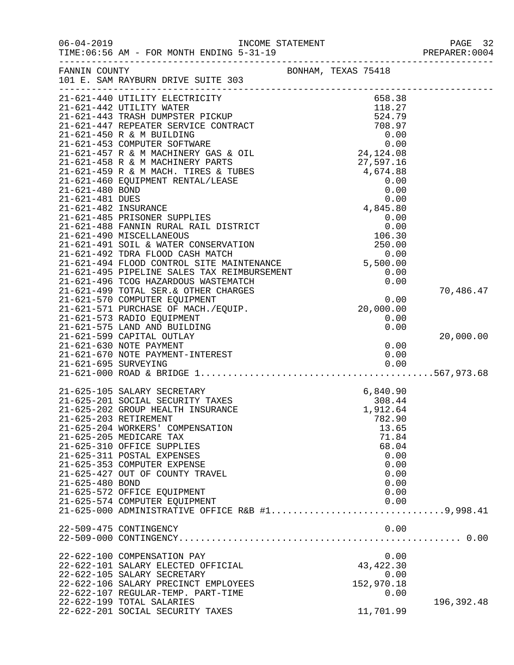|                 | TIME: 06:56 AM - FOR MONTH ENDING 5-31-19                                                                                                                                                                                                                                      |                     | PAGE 32<br>PREPARER: 0004 |
|-----------------|--------------------------------------------------------------------------------------------------------------------------------------------------------------------------------------------------------------------------------------------------------------------------------|---------------------|---------------------------|
|                 | FANNIN COUNTY<br>101 E. SAM RAYBURN DRIVE SUITE 303                                                                                                                                                                                                                            | BONHAM, TEXAS 75418 |                           |
|                 |                                                                                                                                                                                                                                                                                |                     |                           |
|                 | 21-621-440 UTILITY ELECTRICITY<br>21-621-440 UTILITY ELECTRICITY<br>21-621-442 UTILITY RIECTRICITY<br>21-621-442 UTILITY WATER<br>21-621-443 TRASH DUMPSTER PICKUP<br>21-621-450 R & M BUILDING<br>21-621-450 R & M BUILDING<br>21-621-457 R & M MACHINERY GAS & OIL<br>21-621 | 658.38              |                           |
|                 |                                                                                                                                                                                                                                                                                |                     |                           |
|                 |                                                                                                                                                                                                                                                                                |                     |                           |
|                 |                                                                                                                                                                                                                                                                                |                     |                           |
|                 |                                                                                                                                                                                                                                                                                |                     |                           |
|                 |                                                                                                                                                                                                                                                                                |                     |                           |
|                 |                                                                                                                                                                                                                                                                                |                     |                           |
|                 |                                                                                                                                                                                                                                                                                |                     |                           |
|                 |                                                                                                                                                                                                                                                                                |                     |                           |
|                 |                                                                                                                                                                                                                                                                                |                     |                           |
|                 |                                                                                                                                                                                                                                                                                |                     |                           |
|                 |                                                                                                                                                                                                                                                                                |                     |                           |
|                 | 21-621-402 INSURANCE<br>21-621-485 PRISONER SUPPLIES<br>21-621-488 FANNIN RURAL RAIL DISTRICT<br>21-621-490 MISCELLANEOUS<br>21-621-491 SOIL & WATER CONSERVATION<br>21-621-492 TDRA FLOOD CASH MATCH<br>21-621-494 FLOOD CONTROL SITE MAI                                     |                     |                           |
|                 |                                                                                                                                                                                                                                                                                |                     |                           |
|                 |                                                                                                                                                                                                                                                                                |                     |                           |
|                 |                                                                                                                                                                                                                                                                                |                     |                           |
|                 |                                                                                                                                                                                                                                                                                |                     |                           |
|                 |                                                                                                                                                                                                                                                                                |                     |                           |
|                 |                                                                                                                                                                                                                                                                                |                     |                           |
|                 | 21-621-494 FLOOD CONTROL SITE MAINTENANCE<br>21-621-495 PIPELINE SALES TAX REIMBURSEMENT<br>21-621-496 TCOG HAZARDOUS WASTEMATCH<br>21-621-499 TOTAL SER.& OTHER CHARGES<br>21-621-570 COMPUTER EQUIPMENT<br>20,000.00<br>20,000.00<br>20,00                                   |                     | 70,486.47                 |
|                 |                                                                                                                                                                                                                                                                                |                     |                           |
|                 |                                                                                                                                                                                                                                                                                |                     |                           |
|                 | 21-621-573 RADIO EQUIPMENT                                                                                                                                                                                                                                                     | 0.00                |                           |
|                 | 21-621-575 LAND AND BUILDING                                                                                                                                                                                                                                                   | 0.00                |                           |
|                 | 21-621-599 CAPITAL OUTLAY<br>21-621-630 NOTE PAYMENT                                                                                                                                                                                                                           |                     | 20,000.00                 |
|                 |                                                                                                                                                                                                                                                                                | 0.00                |                           |
|                 |                                                                                                                                                                                                                                                                                |                     |                           |
|                 |                                                                                                                                                                                                                                                                                |                     |                           |
|                 |                                                                                                                                                                                                                                                                                |                     |                           |
|                 | 21-625-105 SALARY SECRETARY                                                                                                                                                                                                                                                    | 6,840.90            |                           |
|                 | 21-625-201 SOCIAL SECURITY TAXES                                                                                                                                                                                                                                               | 308.44              |                           |
|                 | 21-625-202 GROUP HEALTH INSURANCE                                                                                                                                                                                                                                              | 1,912.64            |                           |
|                 | 21-625-203 RETIREMENT                                                                                                                                                                                                                                                          | 782.90              |                           |
|                 | 21-625-204 WORKERS' COMPENSATION                                                                                                                                                                                                                                               | 13.65               |                           |
|                 | 21-625-205 MEDICARE TAX                                                                                                                                                                                                                                                        | 71.84               |                           |
|                 | 21-625-310 OFFICE SUPPLIES<br>21-625-311 POSTAL EXPENSES                                                                                                                                                                                                                       | 68.04<br>0.00       |                           |
|                 | 21-625-353 COMPUTER EXPENSE                                                                                                                                                                                                                                                    | 0.00                |                           |
|                 | 21-625-427 OUT OF COUNTY TRAVEL                                                                                                                                                                                                                                                | 0.00                |                           |
| 21-625-480 BOND |                                                                                                                                                                                                                                                                                | 0.00                |                           |
|                 | 21-625-572 OFFICE EQUIPMENT                                                                                                                                                                                                                                                    | 0.00                |                           |
|                 | 21-625-574 COMPUTER EQUIPMENT                                                                                                                                                                                                                                                  | 0.00                |                           |
|                 | 21-625-000 ADMINISTRATIVE OFFICE R&B $#1$ 9,998.41                                                                                                                                                                                                                             |                     |                           |
|                 |                                                                                                                                                                                                                                                                                |                     |                           |
|                 | 22-509-475 CONTINGENCY                                                                                                                                                                                                                                                         | 0.00                |                           |
|                 |                                                                                                                                                                                                                                                                                |                     |                           |
|                 | 22-622-100 COMPENSATION PAY                                                                                                                                                                                                                                                    | 0.00                |                           |
|                 | 22-622-101 SALARY ELECTED OFFICIAL                                                                                                                                                                                                                                             | 43, 422.30          |                           |
|                 | 22-622-105 SALARY SECRETARY                                                                                                                                                                                                                                                    | 0.00                |                           |
|                 | 22-622-106 SALARY PRECINCT EMPLOYEES                                                                                                                                                                                                                                           | 152,970.18          |                           |
|                 | 22-622-107 REGULAR-TEMP. PART-TIME                                                                                                                                                                                                                                             | 0.00                |                           |
|                 | 22-622-199 TOTAL SALARIES                                                                                                                                                                                                                                                      |                     | 196,392.48                |
|                 | 22-622-201 SOCIAL SECURITY TAXES                                                                                                                                                                                                                                               | 11,701.99           |                           |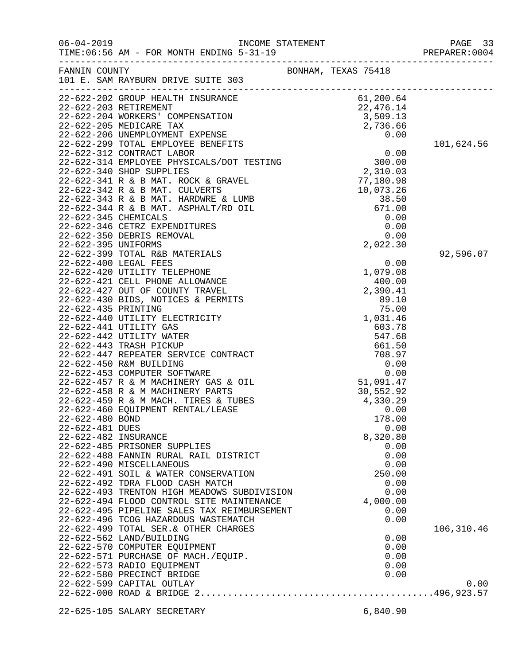| $06 - 04 - 2019$                        | TIME: 06:56 AM - FOR MONTH ENDING 5-31-19<br>----------------------------------                                                                                                                            |  |                                                                                             |            |
|-----------------------------------------|------------------------------------------------------------------------------------------------------------------------------------------------------------------------------------------------------------|--|---------------------------------------------------------------------------------------------|------------|
| FANNIN COUNTY                           | 101 E. SAM RAYBURN DRIVE SUITE 303                                                                                                                                                                         |  | BONHAM, TEXAS 75418                                                                         |            |
|                                         | 22-622-202 GROUP HEALTH INSURANCE<br>$22-622-202$ GROUP HEIREMENT<br>22-622-203 RETIREMENT<br>22-622-204 WORKERS' COMPENSATION 3,509.13<br>2,736.66                                                        |  | 61,200.64                                                                                   |            |
|                                         |                                                                                                                                                                                                            |  |                                                                                             |            |
|                                         |                                                                                                                                                                                                            |  |                                                                                             |            |
|                                         | 22-622-206 UNEMPLOYMENT EXPENSE 0.00<br>22-622-299 TOTAL EMPLOYEE BENEFITS 0.00<br>22-622-312 CONTRACT LABOR 0.00<br>22-622-314 EMPLOYEE PHYSICALS/DOT TESTING 300.00<br>22-622-340 SHOP SUPPLIES 2,310.03 |  |                                                                                             |            |
|                                         |                                                                                                                                                                                                            |  |                                                                                             | 101,624.56 |
|                                         |                                                                                                                                                                                                            |  |                                                                                             |            |
|                                         |                                                                                                                                                                                                            |  |                                                                                             |            |
|                                         |                                                                                                                                                                                                            |  | NVEL 2, 310.03<br>T7, 180.98<br>LUMB 38.50<br>(0.00<br>0.00<br>0.00<br>0.00<br>0.00<br>0.00 |            |
|                                         | 22-622-341 R & B MAT. ROCK & GRAVEL                                                                                                                                                                        |  |                                                                                             |            |
|                                         | 22-622-342 R & B MAT. CULVERTS<br>22-622-343 R & B MAT. HARDWRE & LUMB                                                                                                                                     |  |                                                                                             |            |
|                                         | 22-622-344 R & B MAT. ASPHALT/RD OIL                                                                                                                                                                       |  |                                                                                             |            |
| 22-622-345 CHEMICALS                    |                                                                                                                                                                                                            |  |                                                                                             |            |
|                                         | 22-622-346 CETRZ EXPENDITURES                                                                                                                                                                              |  |                                                                                             |            |
|                                         | 22-622-350 DEBRIS REMOVAL                                                                                                                                                                                  |  |                                                                                             |            |
| 22-622-395 UNIFORMS                     |                                                                                                                                                                                                            |  | 2,022.30                                                                                    |            |
|                                         | 22-622-399 TOTAL R&B MATERIALS                                                                                                                                                                             |  |                                                                                             | 92,596.07  |
|                                         | 22-622-400 LEGAL FEES                                                                                                                                                                                      |  | 0.00                                                                                        |            |
|                                         | 22-622-420 UTILITY TELEPHONE                                                                                                                                                                               |  | 1,079.08                                                                                    |            |
|                                         | 22-622-421 CELL PHONE ALLOWANCE                                                                                                                                                                            |  | 400.00                                                                                      |            |
|                                         | 22-622-427 OUT OF COUNTY TRAVEL                                                                                                                                                                            |  | 2,390.41                                                                                    |            |
|                                         | 22-622-430 BIDS, NOTICES & PERMITS                                                                                                                                                                         |  | 89.10                                                                                       |            |
| 22-622-435 PRINTING                     |                                                                                                                                                                                                            |  | 75.00                                                                                       |            |
|                                         | 22-622-440 UTILITY ELECTRICITY                                                                                                                                                                             |  | 1,031.46                                                                                    |            |
|                                         | 22-622-441 UTILITY GAS<br>22-622-442 UTILITY WATER                                                                                                                                                         |  | 603.78<br>547.68                                                                            |            |
|                                         | 22-622-443 TRASH PICKUP                                                                                                                                                                                    |  | 661.50                                                                                      |            |
|                                         | 22-622-447 REPEATER SERVICE CONTRACT                                                                                                                                                                       |  | 708.97                                                                                      |            |
|                                         | 22-622-450 R&M BUILDING                                                                                                                                                                                    |  | 0.00                                                                                        |            |
|                                         | 22-622-453 COMPUTER SOFTWARE                                                                                                                                                                               |  | 0.00                                                                                        |            |
|                                         | 22-622-457 R & M MACHINERY GAS & OIL                                                                                                                                                                       |  | 51,091.47                                                                                   |            |
|                                         | 22-622-458 R & M MACHINERY PARTS                                                                                                                                                                           |  | 30,552.92                                                                                   |            |
|                                         | 22-622-459 R & M MACH. TIRES & TUBES                                                                                                                                                                       |  | 4,330.29                                                                                    |            |
|                                         | 22-622-460 EQUIPMENT RENTAL/LEASE                                                                                                                                                                          |  | 0.00                                                                                        |            |
| 22-622-480 BOND                         |                                                                                                                                                                                                            |  | 178.00                                                                                      |            |
| 22-622-481 DUES<br>22-622-482 INSURANCE |                                                                                                                                                                                                            |  | 0.00<br>8,320.80                                                                            |            |
|                                         | 22-622-485 PRISONER SUPPLIES                                                                                                                                                                               |  | 0.00                                                                                        |            |
|                                         | 22-622-488 FANNIN RURAL RAIL DISTRICT                                                                                                                                                                      |  | 0.00                                                                                        |            |
|                                         | 22-622-490 MISCELLANEOUS                                                                                                                                                                                   |  | 0.00                                                                                        |            |
|                                         | 22-622-491 SOIL & WATER CONSERVATION                                                                                                                                                                       |  | 250.00                                                                                      |            |
|                                         | 22-622-492 TDRA FLOOD CASH MATCH                                                                                                                                                                           |  | 0.00                                                                                        |            |
|                                         | 22-622-493 TRENTON HIGH MEADOWS SUBDIVISION                                                                                                                                                                |  | 0.00                                                                                        |            |
|                                         | 22-622-494 FLOOD CONTROL SITE MAINTENANCE                                                                                                                                                                  |  | 4,000.00                                                                                    |            |
|                                         | 22-622-495 PIPELINE SALES TAX REIMBURSEMENT                                                                                                                                                                |  | 0.00                                                                                        |            |
|                                         | 22-622-496 TCOG HAZARDOUS WASTEMATCH                                                                                                                                                                       |  | 0.00                                                                                        |            |
|                                         | 22-622-499 TOTAL SER.& OTHER CHARGES                                                                                                                                                                       |  |                                                                                             | 106,310.46 |
|                                         | 22-622-562 LAND/BUILDING                                                                                                                                                                                   |  | 0.00                                                                                        |            |
|                                         | 22-622-570 COMPUTER EQUIPMENT<br>22-622-571 PURCHASE OF MACH./EQUIP.                                                                                                                                       |  | 0.00<br>0.00                                                                                |            |
|                                         | 22-622-573 RADIO EQUIPMENT                                                                                                                                                                                 |  | 0.00                                                                                        |            |
|                                         | 22-622-580 PRECINCT BRIDGE                                                                                                                                                                                 |  | 0.00                                                                                        |            |
|                                         | 22-622-599 CAPITAL OUTLAY                                                                                                                                                                                  |  |                                                                                             | 0.00       |
|                                         |                                                                                                                                                                                                            |  |                                                                                             |            |
|                                         |                                                                                                                                                                                                            |  |                                                                                             |            |
|                                         | 22-625-105 SALARY SECRETARY                                                                                                                                                                                |  | 6,840.90                                                                                    |            |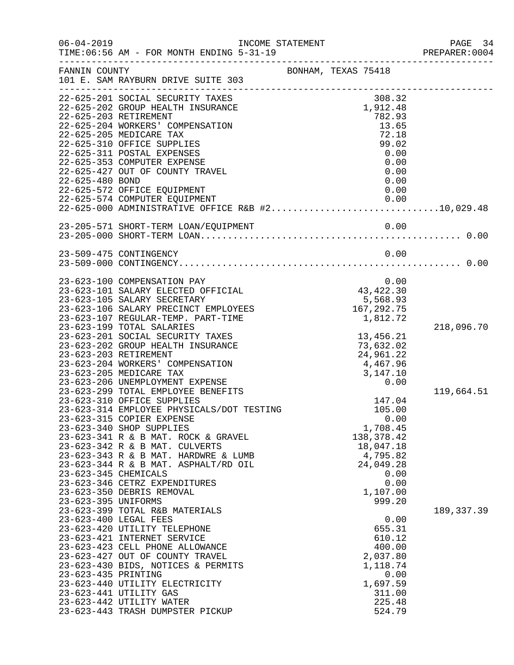| $06 - 04 - 2019$     | INCOME STATEMENT<br>TIME: 06:56 AM - FOR MONTH ENDING 5-31-19                                  |                     |                       |                              |              | PAGE 34<br>PREPARER: 0004 |
|----------------------|------------------------------------------------------------------------------------------------|---------------------|-----------------------|------------------------------|--------------|---------------------------|
| FANNIN COUNTY        | 101 E. SAM RAYBURN DRIVE SUITE 303                                                             | BONHAM, TEXAS 75418 |                       |                              |              |                           |
|                      | 22-625-201 SOCIAL SECURITY TAXES<br>22-625-202 GROUP HEALTH INSURANCE<br>22-625-203 RETIREMENT |                     |                       | 308.32<br>1,912.48<br>782.93 |              |                           |
|                      | 22-625-204 WORKERS' COMPENSATION                                                               |                     |                       | 13.65                        |              |                           |
|                      | 22-625-205 MEDICARE TAX                                                                        |                     |                       | 72.18                        |              |                           |
|                      | 22-625-310 OFFICE SUPPLIES                                                                     |                     |                       | 99.02                        |              |                           |
|                      | 22-625-311 POSTAL EXPENSES                                                                     |                     |                       |                              | 0.00         |                           |
|                      | 22-625-353 COMPUTER EXPENSE<br>22-625-427 OUT OF COUNTY TRAVEL                                 |                     |                       |                              | 0.00<br>0.00 |                           |
| 22-625-480 BOND      |                                                                                                |                     |                       |                              | 0.00         |                           |
|                      | 22-625-572 OFFICE EQUIPMENT                                                                    |                     |                       |                              | 0.00         |                           |
|                      | 22-625-574 COMPUTER EQUIPMENT                                                                  |                     |                       | 0.00                         |              |                           |
|                      |                                                                                                |                     |                       |                              |              |                           |
|                      |                                                                                                |                     |                       |                              |              |                           |
|                      | 23-509-475 CONTINGENCY                                                                         |                     |                       |                              | 0.00         |                           |
|                      |                                                                                                |                     |                       |                              |              |                           |
|                      | 23-623-100 COMPENSATION PAY                                                                    |                     | $0.00$<br>$43,422.30$ |                              |              |                           |
|                      | 23-623-101 SALARY ELECTED OFFICIAL<br>23-623-105 SALARY SECRETARY                              |                     |                       |                              |              |                           |
|                      | 23-623-106 SALARY PRECINCT EMPLOYEES                                                           |                     |                       | 5,568.93<br>167,292.75       |              |                           |
|                      | 23-623-107 REGULAR-TEMP. PART-TIME                                                             |                     |                       | 1,812.72                     |              |                           |
|                      | 23-623-199 TOTAL SALARIES                                                                      |                     |                       |                              |              | 218,096.70                |
|                      | 23-623-201 SOCIAL SECURITY TAXES                                                               |                     |                       | 13,456.21                    |              |                           |
|                      | 23-623-202 GROUP HEALTH INSURANCE<br>23-623-203 RETIREMENT                                     |                     |                       | 73,632.02<br>24,961.22       |              |                           |
|                      | 23-623-204 WORKERS' COMPENSATION                                                               |                     | 4,467.96              |                              |              |                           |
|                      | 23-623-205 MEDICARE TAX                                                                        |                     | 3,147.10              |                              |              |                           |
|                      | 23-623-206 UNEMPLOYMENT EXPENSE                                                                |                     |                       |                              | 0.00         |                           |
|                      | 23-623-299 TOTAL EMPLOYEE BENEFITS                                                             |                     |                       |                              |              | 119,664.51                |
|                      | 23-623-310 OFFICE SUPPLIES                                                                     |                     |                       | 147.04                       |              |                           |
|                      | 23-623-314 EMPLOYEE PHYSICALS/DOT TESTING<br>23-623-315 COPIER EXPENSE                         |                     |                       | 105.00                       | 0.00         |                           |
|                      | 23-623-340 SHOP SUPPLIES                                                                       |                     |                       | 1,708.45                     |              |                           |
|                      | 23-623-341 R & B MAT. ROCK & GRAVEL                                                            |                     |                       | 138, 378. 42                 |              |                           |
|                      | 23-623-342 R & B MAT. CULVERTS                                                                 |                     |                       | 18,047.18                    |              |                           |
|                      | 23-623-343 R & B MAT. HARDWRE & LUMB                                                           |                     |                       | 4,795.82                     |              |                           |
| 23-623-345 CHEMICALS | 23-623-344 R & B MAT. ASPHALT/RD OIL                                                           |                     |                       | 24,049.28                    | 0.00         |                           |
|                      | 23-623-346 CETRZ EXPENDITURES                                                                  |                     |                       |                              | 0.00         |                           |
|                      | 23-623-350 DEBRIS REMOVAL                                                                      |                     |                       | 1,107.00                     |              |                           |
| 23-623-395 UNIFORMS  |                                                                                                |                     |                       | 999.20                       |              |                           |
|                      | 23-623-399 TOTAL R&B MATERIALS                                                                 |                     |                       |                              |              | 189, 337.39               |
|                      | 23-623-400 LEGAL FEES                                                                          |                     |                       |                              | 0.00         |                           |
|                      | 23-623-420 UTILITY TELEPHONE<br>23-623-421 INTERNET SERVICE                                    |                     |                       | 655.31<br>610.12             |              |                           |
|                      | 23-623-423 CELL PHONE ALLOWANCE                                                                |                     |                       | 400.00                       |              |                           |
|                      | 23-623-427 OUT OF COUNTY TRAVEL                                                                |                     |                       | 2,037.80                     |              |                           |
|                      | 23-623-430 BIDS, NOTICES & PERMITS                                                             |                     |                       | 1,118.74                     |              |                           |
| 23-623-435 PRINTING  |                                                                                                |                     |                       |                              | 0.00         |                           |
|                      | 23-623-440 UTILITY ELECTRICITY<br>23-623-441 UTILITY GAS                                       |                     |                       | 1,697.59<br>311.00           |              |                           |
|                      | 23-623-442 UTILITY WATER                                                                       |                     |                       | 225.48                       |              |                           |
|                      | 23-623-443 TRASH DUMPSTER PICKUP                                                               |                     |                       | 524.79                       |              |                           |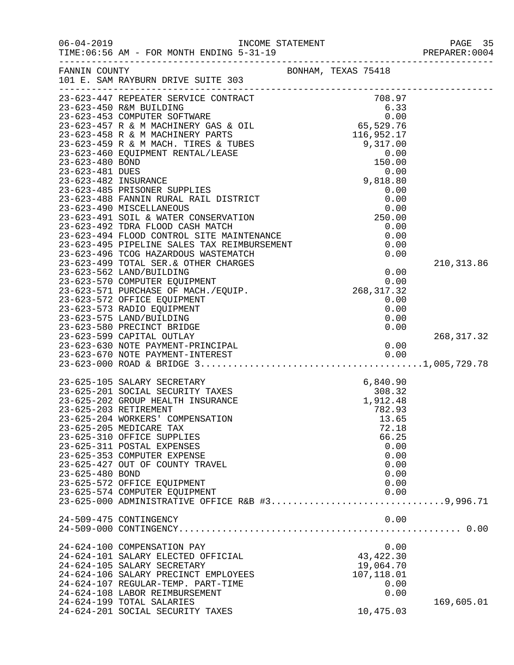| $06 - 04 - 2019$ | TIME: 06:56 AM - FOR MONTH ENDING 5-31-19                                                                                                                                                                                                                               |                                                         |             |
|------------------|-------------------------------------------------------------------------------------------------------------------------------------------------------------------------------------------------------------------------------------------------------------------------|---------------------------------------------------------|-------------|
| FANNIN COUNTY    |                                                                                                                                                                                                                                                                         | BONHAM, TEXAS 75418                                     |             |
|                  | 101 E. SAM RAYBURN DRIVE SUITE 303                                                                                                                                                                                                                                      |                                                         |             |
|                  |                                                                                                                                                                                                                                                                         |                                                         |             |
|                  |                                                                                                                                                                                                                                                                         |                                                         |             |
|                  |                                                                                                                                                                                                                                                                         |                                                         |             |
|                  |                                                                                                                                                                                                                                                                         |                                                         |             |
|                  |                                                                                                                                                                                                                                                                         |                                                         |             |
|                  |                                                                                                                                                                                                                                                                         |                                                         |             |
|                  |                                                                                                                                                                                                                                                                         |                                                         |             |
|                  |                                                                                                                                                                                                                                                                         |                                                         |             |
|                  |                                                                                                                                                                                                                                                                         |                                                         |             |
|                  |                                                                                                                                                                                                                                                                         |                                                         |             |
|                  |                                                                                                                                                                                                                                                                         |                                                         |             |
|                  |                                                                                                                                                                                                                                                                         |                                                         |             |
|                  |                                                                                                                                                                                                                                                                         |                                                         |             |
|                  |                                                                                                                                                                                                                                                                         |                                                         |             |
|                  | 23-623-492 TDRA FLOOD CASH MATCH                                                                                                                                                                                                                                        | 0.00                                                    |             |
|                  |                                                                                                                                                                                                                                                                         |                                                         |             |
|                  |                                                                                                                                                                                                                                                                         |                                                         |             |
|                  |                                                                                                                                                                                                                                                                         |                                                         |             |
|                  |                                                                                                                                                                                                                                                                         |                                                         | 210, 313.86 |
|                  |                                                                                                                                                                                                                                                                         |                                                         |             |
|                  |                                                                                                                                                                                                                                                                         |                                                         |             |
|                  | 23-623-492 TDRA FLOOD CASH MATCH<br>23-623-494 FLOOD CONTROL SITE MAINTENANCE<br>23-623-495 PIPELINE SALES TAX REIMBURSEMENT<br>23-623-496 TCOG HAZARDOUS WASTEMATCH<br>23-623-499 TOTAL SER.& OTHER CHARGES<br>23-623-562 LAND/BUILDING<br>23-623-572 OFFICE EQUIPMENT | 0.00                                                    |             |
|                  | 23-623-573 RADIO EQUIPMENT                                                                                                                                                                                                                                              | 0.00                                                    |             |
|                  | 23-623-575 LAND/BUILDING                                                                                                                                                                                                                                                | 0.00                                                    |             |
|                  | 23-623-580 PRECINCT BRIDGE                                                                                                                                                                                                                                              | 0.00                                                    |             |
|                  | 23-623-599 CAPITAL OUTLAY                                                                                                                                                                                                                                               |                                                         | 268, 317.32 |
|                  |                                                                                                                                                                                                                                                                         |                                                         |             |
|                  |                                                                                                                                                                                                                                                                         |                                                         |             |
|                  |                                                                                                                                                                                                                                                                         |                                                         |             |
|                  |                                                                                                                                                                                                                                                                         |                                                         |             |
|                  | 23-625-105 SALARY SECRETARY                                                                                                                                                                                                                                             | 4XES 6,840.90 4308.32 48 4308.32 48 5 1,912.48 5 702.30 |             |
|                  | 23-625-201 SOCIAL SECURITY TAXES                                                                                                                                                                                                                                        |                                                         |             |
|                  | 23-625-202 GROUP HEALTH INSURANCE                                                                                                                                                                                                                                       |                                                         |             |
|                  | 23-625-203 RETIREMENT                                                                                                                                                                                                                                                   | 782.93                                                  |             |
|                  | 23-625-204 WORKERS' COMPENSATION                                                                                                                                                                                                                                        | 13.65                                                   |             |
|                  | 23-625-205 MEDICARE TAX                                                                                                                                                                                                                                                 | 72.18                                                   |             |
|                  | 23-625-310 OFFICE SUPPLIES                                                                                                                                                                                                                                              | 66.25                                                   |             |
|                  | 23-625-311 POSTAL EXPENSES                                                                                                                                                                                                                                              | 0.00                                                    |             |
|                  | 23-625-353 COMPUTER EXPENSE                                                                                                                                                                                                                                             | 0.00                                                    |             |
|                  | 23-625-427 OUT OF COUNTY TRAVEL                                                                                                                                                                                                                                         | 0.00                                                    |             |
| 23-625-480 BOND  |                                                                                                                                                                                                                                                                         | 0.00                                                    |             |
|                  | 23-625-572 OFFICE EQUIPMENT                                                                                                                                                                                                                                             | 0.00                                                    |             |
|                  | 23-625-574 COMPUTER EQUIPMENT<br>23-625-000 ADMINISTRATIVE OFFICE R&B #39,996.71                                                                                                                                                                                        | 0.00                                                    |             |
|                  |                                                                                                                                                                                                                                                                         |                                                         |             |
|                  | 24-509-475 CONTINGENCY                                                                                                                                                                                                                                                  | 0.00                                                    |             |
|                  |                                                                                                                                                                                                                                                                         |                                                         |             |
|                  | 24-624-100 COMPENSATION PAY                                                                                                                                                                                                                                             | 0.00                                                    |             |
|                  | 24-624-101 SALARY ELECTED OFFICIAL                                                                                                                                                                                                                                      | 43, 422.30                                              |             |
|                  | 24-624-105 SALARY SECRETARY                                                                                                                                                                                                                                             | 19,064.70                                               |             |
|                  | 24-624-106 SALARY PRECINCT EMPLOYEES                                                                                                                                                                                                                                    | 107,118.01                                              |             |
|                  | 24-624-107 REGULAR-TEMP. PART-TIME                                                                                                                                                                                                                                      | 0.00                                                    |             |
|                  | 24-624-108 LABOR REIMBURSEMENT                                                                                                                                                                                                                                          | 0.00                                                    |             |
|                  | 24-624-199 TOTAL SALARIES                                                                                                                                                                                                                                               |                                                         | 169,605.01  |
|                  | 24-624-201 SOCIAL SECURITY TAXES                                                                                                                                                                                                                                        | 10,475.03                                               |             |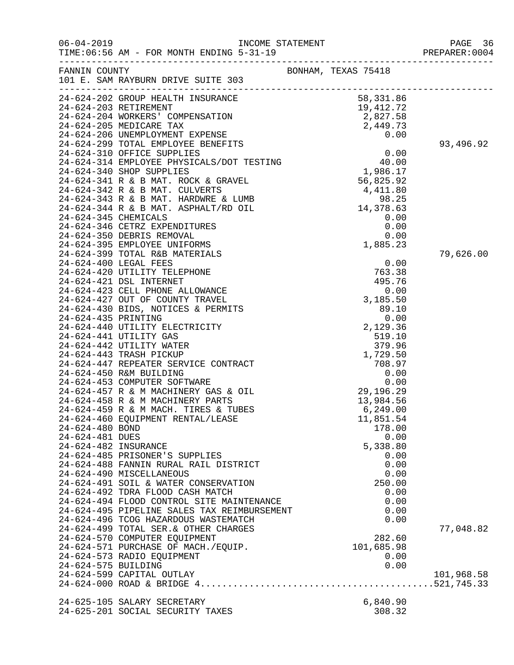| $06 - 04 - 2019$                   | TIME: 06:56 AM - FOR MONTH ENDING 5-31-19                                                                                                                                                                                                                                                                               |                                                                                                            | PAGE 36<br>PREPARER: 0004 |
|------------------------------------|-------------------------------------------------------------------------------------------------------------------------------------------------------------------------------------------------------------------------------------------------------------------------------------------------------------------------|------------------------------------------------------------------------------------------------------------|---------------------------|
| FANNIN COUNTY                      | 101 E. SAM RAYBURN DRIVE SUITE 303                                                                                                                                                                                                                                                                                      | BONHAM, TEXAS 75418                                                                                        |                           |
|                                    | 24-624-202 SROW MORE<br>24-624-203 RETIREMENT<br>24-624-204 WORKERS' COMPENSATION 2,827.58<br>2,449.73<br>2,449.73<br>24-624-206 UNEMPLOYMENT EXPENSE                                                                                                                                                                   | 58,331.86<br>0.00                                                                                          | 93,496.92                 |
|                                    |                                                                                                                                                                                                                                                                                                                         |                                                                                                            |                           |
| 24-624-435 PRINTING                | 24-624-399 TOTAL R&B MATERIALS<br>24-624-400 LEGAL FEES<br>24-624-420 UTILITY TELEPHONE<br>24-624-421 DSL INTERNET<br>24-624-423 CELL PHONE ALLOWANCE<br>24-624-427 OUT OF COUNTY TRAVEL<br>24-624-430 BIDS, NOTICES & PERMITS<br>24-624-440 UTILITY ELECTRICITY<br>24-624-441 UTILITY GAS                              | 0.00<br>763.38<br>495.76<br>0.00<br>3,185.50<br>89.10<br>0.00<br>2,129.36<br>519.10                        | 79,626.00                 |
| 24-624-480 BOND<br>24-624-481 DUES | 24-624-442 UTILITY WATER<br>24-624-443 TRASH PICKUP<br>24-624-447 REPEATER SERVICE CONTRACT<br>24-624-450 R&M BUILDING<br>24-624-453 COMPUTER SOFTWARE<br>24-624-457 R & M MACHINERY GAS & OIL<br>29,1<br>24-624-458 R & M MACHINERY PARTS<br>24-624-459 R & M MACH. TIRES & TUBES<br>24-624-460 EQUIPMENT RENTAL/LEASE | 379.96<br>1,729.50<br>708.97<br>0.00<br>0.00<br>29,196.29<br>13,984.56<br>6, 249.00<br>11,851.54<br>178.00 |                           |
| 24-624-482 INSURANCE               | 24-624-485 PRISONER'S SUPPLIES<br>24-624-488 FANNIN RURAL RAIL DISTRICT<br>24-624-490 MISCELLANEOUS<br>24-624-491 SOIL & WATER CONSERVATION<br>24-624-492 TDRA FLOOD CASH MATCH<br>24-624-494 FLOOD CONTROL SITE MAINTENANCE<br>24-624-495 PIPELINE SALES TAX REIMBURSEMENT<br>24-624-496 TCOG HAZARDOUS WASTEMATCH     | 0.00<br>5,338.80<br>0.00<br>0.00<br>0.00<br>250.00<br>0.00<br>0.00<br>0.00<br>0.00                         |                           |
| 24-624-575 BUILDING                | 24-624-499 TOTAL SER. & OTHER CHARGES<br>24-624-570 COMPUTER EQUIPMENT<br>24-624-571 PURCHASE OF MACH./EQUIP.<br>24-624-573 RADIO EQUIPMENT<br>24-624-599 CAPITAL OUTLAY                                                                                                                                                | 282.60<br>101,685.98<br>0.00<br>0.00                                                                       | 77,048.82<br>101,968.58   |
|                                    | 24-625-105 SALARY SECRETARY<br>24-625-201 SOCIAL SECURITY TAXES                                                                                                                                                                                                                                                         | 6,840.90<br>308.32                                                                                         |                           |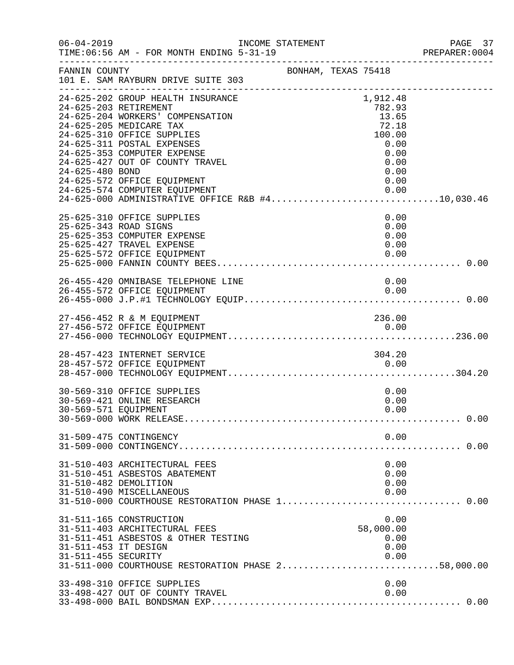| $06 - 04 - 2019$                            | INCOME STATEMENT<br>TIME: 06:56 AM - FOR MONTH ENDING 5-31-19                                                                                                                                                                                                                                                                                                                                                     |                     |                                                                                                | PAGE 37<br>PREPARER: 0004 |
|---------------------------------------------|-------------------------------------------------------------------------------------------------------------------------------------------------------------------------------------------------------------------------------------------------------------------------------------------------------------------------------------------------------------------------------------------------------------------|---------------------|------------------------------------------------------------------------------------------------|---------------------------|
| FANNIN COUNTY                               | 101 E. SAM RAYBURN DRIVE SUITE 303                                                                                                                                                                                                                                                                                                                                                                                | BONHAM, TEXAS 75418 |                                                                                                |                           |
| 24-625-480 BOND                             | 24-625-202 GROUP HEALTH INSURANCE<br>24-625-203 RETIREMENT<br>24-625-204 WORKERS' COMPENSATION<br>24-625-205 MEDICARE TAX<br>24-625-310 OFFICE SUPPLIES<br>24-625-311 POSTAL EXPENSES<br>24-625-353 COMPUTER EXPENSE<br>24-625-427 OUT OF COUNTY TRAVEL<br>24-625-572 OFFICE EQUIPMENT<br>24-625-574 COMPUTER EQUIPMENT<br>24-625-574 COMPUTER EQUIPMENT 0.00<br>24-625-000 ADMINISTRATIVE OFFICE R&B #410,030.46 |                     | 1,912.48<br>782.93<br>13.65<br>72.18<br>100.00<br>0.00<br>0.00<br>0.00<br>0.00<br>0.00<br>0.00 |                           |
|                                             | 25-625-310 OFFICE SUPPLIES<br>25-625-343 ROAD SIGNS<br>25-625-353 COMPUTER EXPENSE<br>25-625-427 TRAVEL EXPENSE<br>25-625-572 OFFICE EQUIPMENT                                                                                                                                                                                                                                                                    |                     | 0.00<br>0.00<br>0.00<br>0.00<br>0.00                                                           |                           |
|                                             | 26-455-420 OMNIBASE TELEPHONE LINE<br>26-455-572 OFFICE EQUIPMENT                                                                                                                                                                                                                                                                                                                                                 |                     | 0.00<br>0.00                                                                                   |                           |
|                                             | 27-456-452 R & M EQUIPMENT                                                                                                                                                                                                                                                                                                                                                                                        |                     | 236.00                                                                                         |                           |
|                                             | 28-457-423 INTERNET SERVICE<br>28-457-572 OFFICE EQUIPMENT                                                                                                                                                                                                                                                                                                                                                        |                     | 304.20<br>0.00                                                                                 |                           |
| 30-569-571 EQUIPMENT                        | 30-569-310 OFFICE SUPPLIES<br>30-569-421 ONLINE RESEARCH                                                                                                                                                                                                                                                                                                                                                          |                     | 0.00<br>0.00<br>0.00                                                                           |                           |
|                                             | 31-509-475 CONTINGENCY                                                                                                                                                                                                                                                                                                                                                                                            |                     | 0.00                                                                                           |                           |
|                                             | 31-510-403 ARCHITECTURAL FEES<br>31-510-451 ASBESTOS ABATEMENT<br>31-510-482 DEMOLITION<br>31-510-490 MISCELLANEOUS                                                                                                                                                                                                                                                                                               |                     | 0.00<br>0.00<br>0.00<br>0.00                                                                   |                           |
| 31-511-453 IT DESIGN<br>31-511-455 SECURITY | 31-511-165 CONSTRUCTION<br>31-511-403 ARCHITECTURAL FEES<br>31-511-451 ASBESTOS & OTHER TESTING<br>31-511-000 COURTHOUSE RESTORATION PHASE 258,000.00                                                                                                                                                                                                                                                             |                     | 0.00<br>58,000.00<br>0.00<br>0.00<br>0.00                                                      |                           |
|                                             | 33-498-310 OFFICE SUPPLIES<br>33-498-427 OUT OF COUNTY TRAVEL                                                                                                                                                                                                                                                                                                                                                     |                     | 0.00<br>0.00                                                                                   |                           |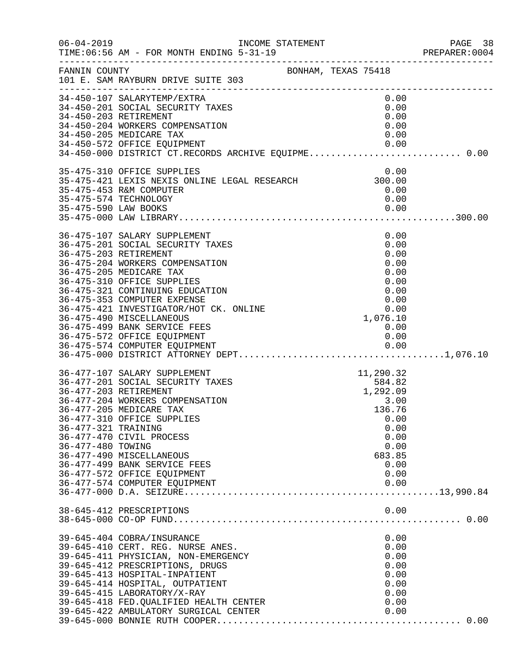| $06 - 04 - 2019$                                                  | INCOME STATEMENT<br>TIME: 06:56 AM - FOR MONTH ENDING 5-31-19<br>_____________________________________                                                                                                                                                                                                                                                                                       |                                                                                                                     | PAGE 38<br>PREPARER:0004 |
|-------------------------------------------------------------------|----------------------------------------------------------------------------------------------------------------------------------------------------------------------------------------------------------------------------------------------------------------------------------------------------------------------------------------------------------------------------------------------|---------------------------------------------------------------------------------------------------------------------|--------------------------|
| FANNIN COUNTY                                                     | BONHAM, TEXAS 75418<br>101 E. SAM RAYBURN DRIVE SUITE 303                                                                                                                                                                                                                                                                                                                                    |                                                                                                                     |                          |
|                                                                   | 34-450-107 SALARYTEMP/EXTRA<br>34-450-201 SOCIAL SECURITY TAXES<br>34-450-203 RETIREMENT<br>34-450-204 WORKERS COMPENSATION<br>34-450-205 MEDICARE TAX<br>34-450-572 OFFICE EQUIPMENT<br>34-450-572 OFFICE EQUIPMENT                      0.00<br>34-450-000 DISTRICT CT.RECORDS ARCHIVE EQUIPME 0.00                                                                                        | 0.00<br>0.00<br>0.00<br>0.00<br>0.00<br>0.00                                                                        |                          |
|                                                                   | 35-475-310 OFFICE SUPPLIES<br>35-475-421 LEXIS NEXIS ONLINE LEGAL RESEARCH 300.00<br>35-475-453 R&M COMPUTER<br>35-475-574 TECHNOLOGY                                                                                                                                                                                                                                                        | 0.00<br>0.00<br>0.00                                                                                                |                          |
|                                                                   | 36-475-107 SALARY SUPPLEMENT<br>36-475-201 SOCIAL SECURITY TAXES<br>36-475-203 RETIREMENT<br>36-475-204 WORKERS COMPENSATION<br>36-475-205 MEDICARE TAX<br>36-475-310 OFFICE SUPPLIES<br>36-475-321 CONTINUING EDUCATION<br>36-475-353 COMPUTER EXPENSE<br>36-475-421 INVESTIGATOR/HOT CK. ONLINE<br>36-475-490 MISCELLANEOUS<br>36-475-499 BANK SERVICE FEES<br>36-475-572 OFFICE EQUIPMENT | 0.00<br>0.00<br>0.00<br>0.00<br>0.00<br>0.00<br>0.00<br>0.00<br>$0.00$<br>1,076.10<br>0.00<br>0.00                  |                          |
| 36-477-203 RETIREMENT<br>36-477-321 TRAINING<br>36-477-480 TOWING | 36-477-107 SALARY SUPPLEMENT<br>36-477-201 SOCIAL SECURITY TAXES<br>36-477-204 WORKERS COMPENSATION<br>36-477-205 MEDICARE TAX<br>36-477-310 OFFICE SUPPLIES<br>36-477-470 CIVIL PROCESS<br>36-477-490 MISCELLANEOUS<br>36-477-499 BANK SERVICE FEES<br>36-477-572 OFFICE EQUIPMENT<br>36-477-574 COMPUTER EQUIPMENT                                                                         | 11,290.32<br>584.82<br>1,292.09<br>3.00<br>136.76<br>0.00<br>0.00<br>0.00<br>0.00<br>683.85<br>0.00<br>0.00<br>0.00 |                          |
|                                                                   | 38-645-412 PRESCRIPTIONS                                                                                                                                                                                                                                                                                                                                                                     | 0.00                                                                                                                |                          |
|                                                                   | 39-645-404 COBRA/INSURANCE<br>39-645-410 CERT. REG. NURSE ANES.<br>39-645-411 PHYSICIAN, NON-EMERGENCY<br>39-645-412 PRESCRIPTIONS, DRUGS<br>39-645-413 HOSPITAL-INPATIENT<br>39-645-414 HOSPITAL, OUTPATIENT<br>39-645-415 LABORATORY/X-RAY<br>39-645-418 FED. QUALIFIED HEALTH CENTER<br>39-645-422 AMBULATORY SURGICAL CENTER<br>39-645-422 AMBULATORY SURGICAL CENTER                    | 0.00<br>0.00<br>0.00<br>0.00<br>0.00<br>0.00<br>0.00<br>0.00<br>0.00                                                |                          |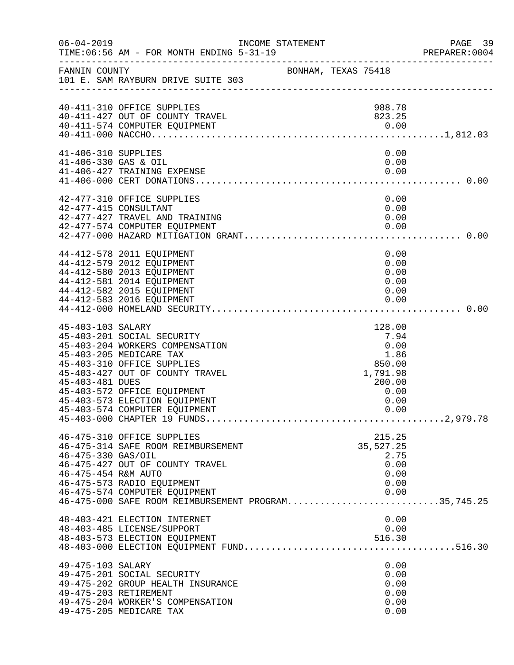| $06 - 04 - 2019$                            | INCOME STATEMENT<br>TIME: 06:56 AM - FOR MONTH ENDING 5-31-19                                                                                                                                                                                              |                     |                                                                                        | PAGE 39<br>PREPARER: 0004 |
|---------------------------------------------|------------------------------------------------------------------------------------------------------------------------------------------------------------------------------------------------------------------------------------------------------------|---------------------|----------------------------------------------------------------------------------------|---------------------------|
| FANNIN COUNTY                               | 101 E. SAM RAYBURN DRIVE SUITE 303                                                                                                                                                                                                                         | BONHAM, TEXAS 75418 |                                                                                        |                           |
|                                             | 40-411-310 OFFICE SUPPLIES<br>40-411-427 OUT OF COUNTY TRAVEL<br>40-411-574 COMPUTER EQUIPMENT                                                                                                                                                             |                     | 988.78<br>823.25                                                                       |                           |
| 41-406-310 SUPPLIES<br>41-406-330 GAS & OIL | 41-406-427 TRAINING EXPENSE                                                                                                                                                                                                                                |                     | 0.00<br>0.00<br>0.00                                                                   |                           |
|                                             | 42-477-310 OFFICE SUPPLIES<br>42-477-415 CONSULTANT<br>42-477-427 TRAVEL AND TRAINING<br>42-477-574 COMPUTER EQUIPMENT                                                                                                                                     |                     | 0.00<br>0.00<br>0.00<br>0.00                                                           |                           |
|                                             | 44-412-578 2011 EQUIPMENT<br>44-412-579 2012 EQUIPMENT<br>44-412-580 2013 EQUIPMENT<br>44-412-581 2014 EQUIPMENT<br>44-412-582 2015 EQUIPMENT<br>44-412-583 2016 EQUIPMENT                                                                                 |                     | 0.00<br>0.00<br>0.00<br>0.00<br>0.00<br>0.00                                           |                           |
| 45-403-103 SALARY<br>45-403-481 DUES        | 45-403-201 SOCIAL SECURITY<br>45-403-204 WORKERS COMPENSATION<br>45-403-205 MEDICARE TAX<br>45-403-310 OFFICE SUPPLIES<br>45-403-427 OUT OF COUNTY TRAVEL<br>45-403-572 OFFICE EQUIPMENT<br>45-403-573 ELECTION EQUIPMENT<br>45-403-574 COMPUTER EQUIPMENT |                     | 128.00<br>7.94<br>0.00<br>1.86<br>850.00<br>1,791.98<br>200.00<br>0.00<br>0.00<br>0.00 |                           |
| 46-475-330 GAS/OIL<br>46-475-454 R&M AUTO   | 46-475-310 OFFICE SUPPLIES<br>46-475-314 SAFE ROOM REIMBURSEMENT<br>46-475-427 OUT OF COUNTY TRAVEL<br>46-475-573 RADIO EQUIPMENT<br>46-475-574 COMPUTER EQUIPMENT<br>46-475-000 SAFE ROOM REIMBURSEMENT PROGRAM35,745.25                                  |                     | 215.25<br>35, 527.25<br>2.75<br>0.00<br>0.00<br>0.00<br>0.00                           |                           |
|                                             | 48-403-421 ELECTION INTERNET<br>48-403-485 LICENSE/SUPPORT<br>48-403-573 ELECTION EQUIPMENT                                                                                                                                                                |                     | 0.00<br>0.00<br>516.30                                                                 |                           |
| 49-475-103 SALARY                           | 49-475-201 SOCIAL SECURITY<br>49-475-202 GROUP HEALTH INSURANCE<br>49-475-203 RETIREMENT<br>49-475-204 WORKER'S COMPENSATION<br>49-475-205 MEDICARE TAX                                                                                                    |                     | 0.00<br>0.00<br>0.00<br>0.00<br>0.00<br>0.00                                           |                           |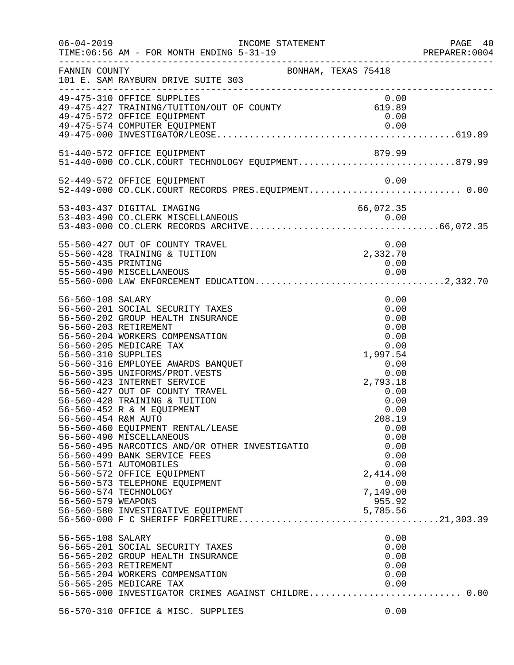| $06 - 04 - 2019$                                                                      | INCOME STATEMENT<br>TIME: 06:56 AM - FOR MONTH ENDING 5-31-19<br>-----------------------                                                                                                                                                                                                                                                                                                                                                                                                                                                                                                                                                     |                                                                                                                                                                                                          | PAGE 40<br>PREPARER: 0004<br>______________________________________ |
|---------------------------------------------------------------------------------------|----------------------------------------------------------------------------------------------------------------------------------------------------------------------------------------------------------------------------------------------------------------------------------------------------------------------------------------------------------------------------------------------------------------------------------------------------------------------------------------------------------------------------------------------------------------------------------------------------------------------------------------------|----------------------------------------------------------------------------------------------------------------------------------------------------------------------------------------------------------|---------------------------------------------------------------------|
| FANNIN COUNTY                                                                         | 101 E. SAM RAYBURN DRIVE SUITE 303                                                                                                                                                                                                                                                                                                                                                                                                                                                                                                                                                                                                           | BONHAM, TEXAS 75418                                                                                                                                                                                      |                                                                     |
|                                                                                       | 49-475-310 OFFICE SUPPLIES<br>49-475-427 TRAINING/TUITION/OUT OF COUNTY<br>49-475-572 OFFICE EQUIPMENT                                                                                                                                                                                                                                                                                                                                                                                                                                                                                                                                       | 0.00<br>0.00<br>619.89<br>0.00                                                                                                                                                                           |                                                                     |
|                                                                                       | 51-440-572 OFFICE EQUIPMENT<br>51-440-572 OFFICE EQUIPMENT<br>51-440-000 CO.CLK.COURT TECHNOLOGY EQUIPMENT879.99                                                                                                                                                                                                                                                                                                                                                                                                                                                                                                                             | 879.99                                                                                                                                                                                                   |                                                                     |
|                                                                                       | 52-449-572 OFFICE EQUIPMENT<br>52-449-000 CO.CLK.COURT RECORDS PRES.EQUIPMENT 0.00                                                                                                                                                                                                                                                                                                                                                                                                                                                                                                                                                           | 0.00                                                                                                                                                                                                     |                                                                     |
|                                                                                       | 53-403-437 DIGITAL IMAGING                                                                                                                                                                                                                                                                                                                                                                                                                                                                                                                                                                                                                   | 66,072.35                                                                                                                                                                                                |                                                                     |
| 55-560-435 PRINTING                                                                   | 55-560-427 OUT OF COUNTY TRAVEL<br>55-560-428 TRAINING & TUITION                                                                                                                                                                                                                                                                                                                                                                                                                                                                                                                                                                             | 0.00<br>0.00<br>2,332.70<br>0.00                                                                                                                                                                         |                                                                     |
| 56-560-108 SALARY<br>56-560-310 SUPPLIES<br>56-560-454 R&M AUTO<br>56-560-579 WEAPONS | 56-560-201 SOCIAL SECURITY TAXES<br>56-560-202 GROUP HEALTH INSURANCE<br>56-560-203 RETIREMENT<br>56-560-204 WORKERS COMPENSATION<br>56-560-205 MEDICARE TAX<br>56-560-316 EMPLOYEE AWARDS BANQUET<br>56-560-395 UNIFORMS/PROT.VESTS<br>56-560-423 INTERNET SERVICE<br>56-560-427 OUT OF COUNTY TRAVEL<br>56-560-428 TRAINING & TUITION<br>56-560-452 R & M EQUIPMENT<br>56-560-460 EQUIPMENT RENTAL/LEASE<br>56-560-490 MISCELLANEOUS<br>56-560-495 NARCOTICS AND/OR OTHER INVESTIGATIO<br>56-560-499 BANK SERVICE FEES<br>56-560-571 AUTOMOBILES<br>56-560-572 OFFICE EQUIPMENT<br>56-560-573 TELEPHONE EQUIPMENT<br>56-560-574 TECHNOLOGY | 0.00<br>0.00<br>0.00<br>0.00<br>0.00<br>0.00<br>1,997.54<br>0.00<br>0.00<br>2,793.18<br>0.00<br>0.00<br>0.00<br>208.19<br>0.00<br>0.00<br>0.00<br>0.00<br>0.00<br>2,414.00<br>0.00<br>7,149.00<br>955.92 |                                                                     |
| 56-565-108 SALARY                                                                     | 56-565-201 SOCIAL SECURITY TAXES<br>56-565-202 GROUP HEALTH INSURANCE<br>56-565-203 RETIREMENT<br>56-565-204 WORKERS COMPENSATION<br>56-565-205 MEDICARE TAX<br>56-565-000 INVESTIGATOR CRIMES AGAINST CHILDRE 0.00                                                                                                                                                                                                                                                                                                                                                                                                                          | 0.00<br>0.00<br>0.00<br>0.00<br>0.00<br>0.00                                                                                                                                                             |                                                                     |
|                                                                                       | 56-570-310 OFFICE & MISC. SUPPLIES                                                                                                                                                                                                                                                                                                                                                                                                                                                                                                                                                                                                           | 0.00                                                                                                                                                                                                     |                                                                     |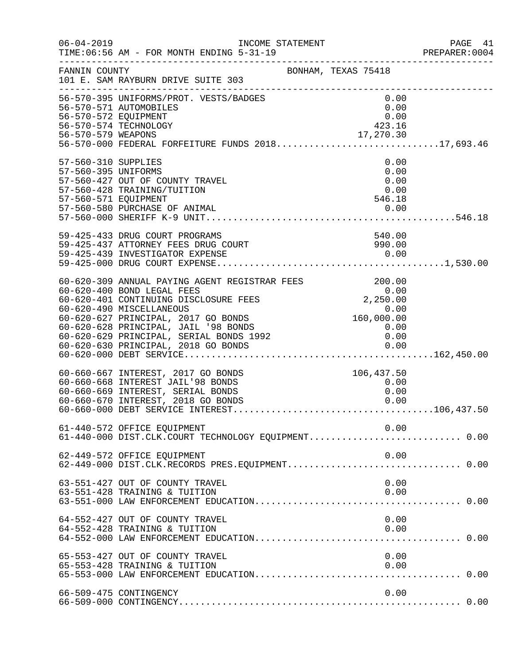| $06 - 04 - 2019$                                                   | INCOME STATEMENT<br>TIME: 06:56 AM - FOR MONTH ENDING 5-31-19<br>___________________________________                                                                                                                                                                                                                                       |                                                                                     | PAGE 41<br>PREPARER: 0004 |
|--------------------------------------------------------------------|--------------------------------------------------------------------------------------------------------------------------------------------------------------------------------------------------------------------------------------------------------------------------------------------------------------------------------------------|-------------------------------------------------------------------------------------|---------------------------|
| FANNIN COUNTY                                                      | BONHAM, TEXAS 75418<br>101 E. SAM RAYBURN DRIVE SUITE 303                                                                                                                                                                                                                                                                                  |                                                                                     |                           |
| 56-570-572 EQUIPMENT                                               | 56-570-395 UNIFORMS/PROT. VESTS/BADGES<br>56-570-571 AUTOMOBILES<br>56-570-574 TECHNOLOGY<br>56-570-579 WEAPONS 17,270.30<br>56-570-000 FEDERAL FORFEITURE FUNDS 201817,693.46                                                                                                                                                             | 0.00<br>0.00<br>0.00<br>423.16                                                      |                           |
| 57-560-310 SUPPLIES<br>57-560-395 UNIFORMS<br>57-560-571 EQUIPMENT | 57-560-427 OUT OF COUNTY TRAVEL<br>57-560-428 TRAINING/TUITION<br>57-560-580 PURCHASE OF ANIMAL                                                                                                                                                                                                                                            | 0.00<br>0.00<br>0.00<br>0.00<br>546.18<br>0.00                                      |                           |
|                                                                    | 59-425-433 DRUG COURT PROGRAMS<br>59-425-437 ATTORNEY FEES DRUG COURT                                                                                                                                                                                                                                                                      | 540.00<br>990.00                                                                    |                           |
|                                                                    | 60-620-309 ANNUAL PAYING AGENT REGISTRAR FEES<br>60-620-400 BOND LEGAL FEES 0.00<br>60-620-401 CONTINUING DISCLOSURE FEES 2,250.00<br>60-620-401 CONTINUING DISCLOSURE FEES 2,250.00<br>60-620-490 MISCELLANEOUS<br>60-620-627 PRINCIPAL, 2017 GO BONDS<br>60-620-628 PRINCIPAL, JAIL '98 BONDS<br>60-620-629 PRINCIPAL, SERIAL BONDS 1992 | $0.00$<br>160,000.00<br>$\begin{array}{c} 0\, .\, 0\, 0\ 0\, .\, 0\, 0 \end{array}$ |                           |
|                                                                    | 60-660-667 INTEREST, 2017 GO BONDS<br>60-660-668 INTEREST JAIL'98 BONDS<br>60-660-669 INTEREST, SERIAL BONDS<br>60-660-670 INTEREST, 2018 GO BONDS                                                                                                                                                                                         | 106,437.50<br>0.00<br>0.00<br>0.00                                                  |                           |
|                                                                    | 61-440-572 OFFICE EQUIPMENT<br>61-440-000 DIST.CLK.COURT TECHNOLOGY EQUIPMENT 0.00                                                                                                                                                                                                                                                         | 0.00                                                                                |                           |
|                                                                    | 62-449-572 OFFICE EQUIPMENT                                                                                                                                                                                                                                                                                                                | 0.00                                                                                |                           |
|                                                                    | 63-551-427 OUT OF COUNTY TRAVEL<br>63-551-428 TRAINING & TUITION                                                                                                                                                                                                                                                                           | 0.00<br>0.00                                                                        |                           |
|                                                                    | 64-552-427 OUT OF COUNTY TRAVEL<br>64-552-428 TRAINING & TUITION                                                                                                                                                                                                                                                                           | 0.00<br>0.00                                                                        |                           |
|                                                                    | 65-553-427 OUT OF COUNTY TRAVEL<br>65-553-428 TRAINING & TUITION                                                                                                                                                                                                                                                                           | 0.00<br>0.00                                                                        |                           |
|                                                                    | 66-509-475 CONTINGENCY                                                                                                                                                                                                                                                                                                                     | 0.00                                                                                |                           |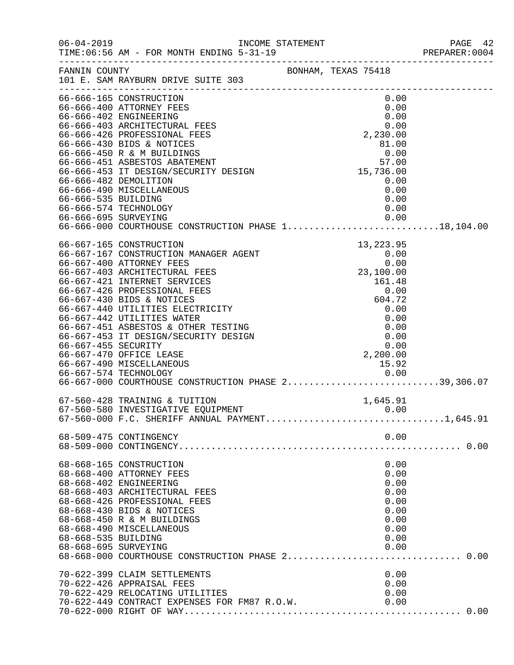| $06 - 04 - 2019$     |                                                                                                                                                                                                                                             | INCOME STATEMENT                                                  | PAGE 42<br>PREPARER: 0004 |
|----------------------|---------------------------------------------------------------------------------------------------------------------------------------------------------------------------------------------------------------------------------------------|-------------------------------------------------------------------|---------------------------|
|                      | FANNIN COUNTY<br>101 E. SAM RAYBURN DRIVE SUITE 303                                                                                                                                                                                         | BONHAM, TEXAS 75418                                               |                           |
|                      | 66-666-165 CONSTRUCTION                                                                                                                                                                                                                     | 0.00                                                              |                           |
|                      | 66-666-400 ATTORNEY FEES                                                                                                                                                                                                                    | 0.00                                                              |                           |
|                      | 66-666-402 ENGINEERING                                                                                                                                                                                                                      | 0.00                                                              |                           |
|                      | 66-666-403 ARCHITECTURAL FEES                                                                                                                                                                                                               | 0.00                                                              |                           |
|                      | 66-666-426 PROFESSIONAL FEES                                                                                                                                                                                                                | 2,230.00                                                          |                           |
|                      | 66-666-430 BIDS & NOTICES                                                                                                                                                                                                                   | 81.00                                                             |                           |
|                      | 66-666-450 R & M BUILDINGS<br>66-666-451 ASBESTOS ABATEMENT                                                                                                                                                                                 | $\begin{array}{r} 0.00 \\ 0.00 \\ 57.00 \\ 15,736.00 \end{array}$ |                           |
|                      | 66-666-453 IT DESIGN/SECURITY DESIGN                                                                                                                                                                                                        |                                                                   |                           |
|                      | 66-666-482 DEMOLITION                                                                                                                                                                                                                       |                                                                   |                           |
|                      | 66-666-490 MISCELLANEOUS                                                                                                                                                                                                                    | 0.00<br>0.00                                                      |                           |
| 66-666-535 BUILDING  |                                                                                                                                                                                                                                             | 0.00                                                              |                           |
|                      | 66-666-574 TECHNOLOGY                                                                                                                                                                                                                       | 0.00                                                              |                           |
|                      |                                                                                                                                                                                                                                             |                                                                   |                           |
|                      |                                                                                                                                                                                                                                             |                                                                   |                           |
|                      | 00-00/-105 CONSTRUCTION<br>66-667-167 CONSTRUCTION MANAGER AGENT<br>66-667-400 ATTORNEY FEES<br>66-667-403 ARCHITECTURAL FEES<br>66-667-421 INTERNET SERVICES<br>66-667-421 INTERNET SERVICES<br>66-667-426 PROFESSIONAL FEES<br>66-667-430 |                                                                   |                           |
|                      |                                                                                                                                                                                                                                             |                                                                   |                           |
|                      |                                                                                                                                                                                                                                             |                                                                   |                           |
|                      |                                                                                                                                                                                                                                             |                                                                   |                           |
|                      |                                                                                                                                                                                                                                             |                                                                   |                           |
|                      |                                                                                                                                                                                                                                             |                                                                   |                           |
|                      |                                                                                                                                                                                                                                             |                                                                   |                           |
|                      |                                                                                                                                                                                                                                             |                                                                   |                           |
|                      |                                                                                                                                                                                                                                             | 0.00                                                              |                           |
|                      | 66-667-451 ASBESTOS & OTHER TESTING<br>66-667-453 IT DESIGN/SECURITY DESIGN                                                                                                                                                                 | 0.00                                                              |                           |
| 66-667-455 SECURITY  |                                                                                                                                                                                                                                             | 0.00                                                              |                           |
|                      | 66-667-470 OFFICE LEASE                                                                                                                                                                                                                     | 2,200.00                                                          |                           |
|                      | 66-667-490 MISCELLANEOUS                                                                                                                                                                                                                    | 15.92                                                             |                           |
|                      |                                                                                                                                                                                                                                             |                                                                   |                           |
|                      | 0.00 0.00<br>66-667-000 COURTHOUSE CONSTRUCTION PHASE 239,306.07                                                                                                                                                                            |                                                                   |                           |
|                      | 67-560-428 TRAINING & TUITION                                                                                                                                                                                                               | 1,645.91                                                          |                           |
|                      | 67-560-580 INVESTIGATIVE EQUIPMENT                                                                                                                                                                                                          | 0.00                                                              |                           |
|                      | $67-560-000$ F.C. SHERIFF ANNUAL PAYMENT1,645.91                                                                                                                                                                                            |                                                                   |                           |
|                      | 68-509-475 CONTINGENCY                                                                                                                                                                                                                      | 0.00                                                              |                           |
|                      |                                                                                                                                                                                                                                             |                                                                   |                           |
|                      | 68-668-165 CONSTRUCTION                                                                                                                                                                                                                     | 0.00                                                              |                           |
|                      | 68-668-400 ATTORNEY FEES                                                                                                                                                                                                                    | 0.00                                                              |                           |
|                      | 68-668-402 ENGINEERING                                                                                                                                                                                                                      | 0.00                                                              |                           |
|                      | 68-668-403 ARCHITECTURAL FEES                                                                                                                                                                                                               | 0.00                                                              |                           |
|                      | 68-668-426 PROFESSIONAL FEES                                                                                                                                                                                                                | 0.00                                                              |                           |
|                      | 68-668-430 BIDS & NOTICES<br>68-668-450 R & M BUILDINGS                                                                                                                                                                                     | 0.00                                                              |                           |
|                      | 68-668-490 MISCELLANEOUS                                                                                                                                                                                                                    | 0.00<br>0.00                                                      |                           |
| 68-668-535 BUILDING  |                                                                                                                                                                                                                                             | 0.00                                                              |                           |
| 68-668-695 SURVEYING |                                                                                                                                                                                                                                             | 0.00                                                              |                           |
|                      |                                                                                                                                                                                                                                             |                                                                   |                           |
|                      | 70-622-399 CLAIM SETTLEMENTS                                                                                                                                                                                                                | 0.00                                                              |                           |
|                      | 70-622-426 APPRAISAL FEES                                                                                                                                                                                                                   | 0.00                                                              |                           |
|                      | 70-622-429 RELOCATING UTILITIES                                                                                                                                                                                                             | 0.00                                                              |                           |
|                      | 70-622-449 CONTRACT EXPENSES FOR FM87 R.O.W.                                                                                                                                                                                                | 0.00                                                              |                           |
|                      |                                                                                                                                                                                                                                             |                                                                   |                           |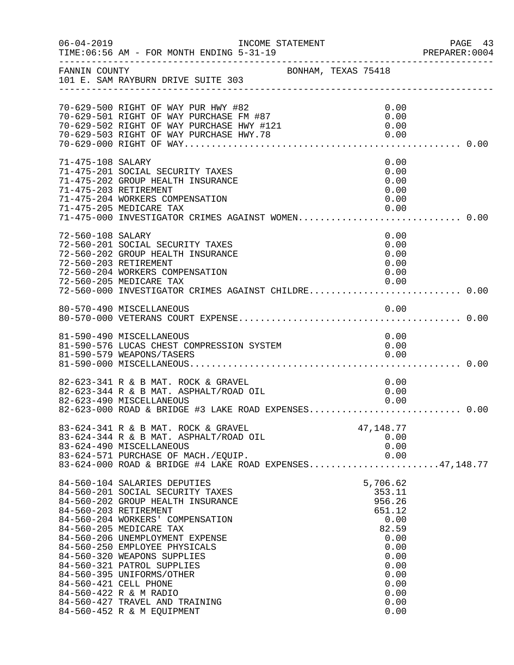|                   | INCOME STATEMENT                                                                                                                                                                                                                                                                                                                                                                                                                                                               |  |                                                                                                                                 | PREPARER: 0004 |
|-------------------|--------------------------------------------------------------------------------------------------------------------------------------------------------------------------------------------------------------------------------------------------------------------------------------------------------------------------------------------------------------------------------------------------------------------------------------------------------------------------------|--|---------------------------------------------------------------------------------------------------------------------------------|----------------|
| FANNIN COUNTY     | BONHAM, TEXAS 75418<br>101 E. SAM RAYBURN DRIVE SUITE 303                                                                                                                                                                                                                                                                                                                                                                                                                      |  |                                                                                                                                 |                |
|                   | 70-629-500 RIGHT OF WAY PUR HWY #82<br>70-629-501 RIGHT OF WAY PURCHASE FM #87<br>70-629-502 RIGHT OF WAY PURCHASE HWY #121<br>70-629-503 RIGHT OF WAY PURCHASE HWY.78                                                                                                                                                                                                                                                                                                         |  | 0.00<br>0.00<br>0.00<br>0.00                                                                                                    |                |
| 71-475-108 SALARY | 71-475-201 SOCIAL SECURITY TAXES<br>71-475-202 GROUP HEALTH INSURANCE<br>71-475-203 RETIREMENT<br>71-475-204 WORKERS COMPENSATION<br>71-475-205 MEDICARE TAX<br>71-475-000 INVESTIGATOR CRIMES AGAINST WOMEN 0.00                                                                                                                                                                                                                                                              |  | 0.00<br>0.00<br>0.00<br>0.00<br>0.00<br>0.00                                                                                    |                |
| 72-560-108 SALARY | 72-560-201 SOCIAL SECURITY TAXES<br>72-560-202 GROUP HEALTH INSURANCE<br>72-560-203 RETIREMENT<br>72-560-204 WORKERS COMPENSATION<br>72-560-205 MEDICARE TAX<br>72-560-000 INVESTIGATOR CRIMES AGAINST CHILDRE 0.00                                                                                                                                                                                                                                                            |  | 0.00<br>0.00<br>0.00<br>0.00<br>0.00<br>0.00                                                                                    |                |
|                   |                                                                                                                                                                                                                                                                                                                                                                                                                                                                                |  |                                                                                                                                 |                |
|                   | 81-590-490 MISCELLANEOUS<br>81-590-576 LUCAS CHEST COMPRESSION SYSTEM<br>81-590-579 WEAPONS/TASERS                                                                                                                                                                                                                                                                                                                                                                             |  | 0.00<br>0.00<br>0.00                                                                                                            |                |
|                   | 82-623-341 R & B MAT. ROCK & GRAVEL<br>82-623-344 R & B MAT. ASPHALT/ROAD OIL<br>82-623-490 MISCELLANEOUS<br>82-623-000 ROAD & BRIDGE #3 LAKE ROAD EXPENSES 0.00                                                                                                                                                                                                                                                                                                               |  | 0.00<br>0.00<br>0.00                                                                                                            |                |
|                   | 83-624-341 R & B MAT. ROCK & GRAVEL<br>83-624-344 R & B MAT. ASPHALT/ROAD OIL<br>83-624-490 MISCELLANEOUS<br>83-624-571 PURCHASE OF MACH./EQUIP.<br>83-624-571 PURCHASE OF MACH.7EQUIP.<br>83-624-000 ROAD & BRIDGE #4 LAKE ROAD EXPENSES47,148.77                                                                                                                                                                                                                             |  | 47, 148. 77<br>0.00<br>0.00<br>0.00                                                                                             |                |
|                   | 84-560-104 SALARIES DEPUTIES<br>84-560-201 SOCIAL SECURITY TAXES<br>84-560-202 GROUP HEALTH INSURANCE<br>84-560-203 RETIREMENT<br>84-560-204 WORKERS' COMPENSATION<br>84-560-205 MEDICARE TAX<br>84-560-206 UNEMPLOYMENT EXPENSE<br>84-560-250 EMPLOYEE PHYSICALS<br>84-560-320 WEAPONS SUPPLIES<br>84-560-321 PATROL SUPPLIES<br>84-560-395 UNIFORMS/OTHER<br>84-560-421 CELL PHONE<br>84-560-422 R & M RADIO<br>84-560-427 TRAVEL AND TRAINING<br>84-560-452 R & M EQUIPMENT |  | 5,706.62<br>353.11<br>956.26<br>651.12<br>0.00<br>82.59<br>0.00<br>0.00<br>0.00<br>0.00<br>0.00<br>0.00<br>0.00<br>0.00<br>0.00 |                |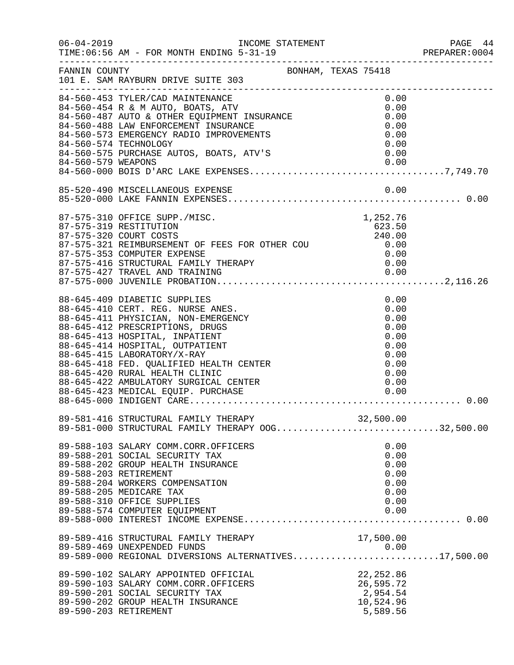|                    | 06-04-2019 INCOME STATEMENT<br>TIME: 06:56 AM - FOR MONTH ENDING 5-31-19<br>______________________________________                                                                                                                                                                                                                                                                                      |                                                                              | PAGE 44<br>PREPARER:0004 |
|--------------------|---------------------------------------------------------------------------------------------------------------------------------------------------------------------------------------------------------------------------------------------------------------------------------------------------------------------------------------------------------------------------------------------------------|------------------------------------------------------------------------------|--------------------------|
| FANNIN COUNTY      | BONHAM, TEXAS 75418<br>101 E. SAM RAYBURN DRIVE SUITE 303                                                                                                                                                                                                                                                                                                                                               |                                                                              |                          |
| 84-560-579 WEAPONS | 84-560-574 TECHNOLOGY<br>84-560-575 PURCHASE AUTOS, BOATS, ATV'S<br>84-560-579 WEADONG                                                                                                                                                                                                                                                                                                                  | 0.00<br>0.00<br>0.00<br>0.00<br>0.00<br>0.00<br>0.00<br>0.00                 |                          |
|                    |                                                                                                                                                                                                                                                                                                                                                                                                         | 0.00                                                                         |                          |
|                    | 87-575-310 OFFICE SUPP./MISC.<br>87-575-319 RESTITUTION<br>87-575-320 COURT COSTS<br>87-575-320 COURT COSTS<br>87-575-321 REIMBURSEMENT OF FEES FOR OTHER COU 6.00<br>87-575-353 COMPUTER EXPENSE<br>87-575-416 STRUCTURAL FAMILY THERAPY<br>87-575-427 TRAVEL AND TRAINING                                                                                                                             | 1,252.76<br>623.50<br>240.00<br>0.00<br>0.00<br>0.00                         |                          |
|                    | 88-645-409 DIABETIC SUPPLIES<br>88-645-410 CERT. REG. NURSE ANES.<br>88-645-411 PHYSICIAN, NON-EMERGENCY<br>88-645-412 PRESCRIPTIONS, DRUGS<br>88-645-413 HOSPITAL, INPATIENT<br>88-645-414 HOSPITAL, OUTPATIENT<br>88-645-415 LABORATORY/X-RAY<br>88-645-418 FED. QUALIFIED HEALTH CENTER<br>88-645-430 PUBLI HEALTH CENTER<br>88-645-420 RURAL HEALTH CLINIC<br>88-645-422 AMBULATORY SURGICAL CENTER | 0.00<br>0.00<br>0.00<br>0.00<br>0.00<br>0.00<br>0.00<br>0.00<br>0.00<br>0.00 | 0.00                     |
|                    | 89-581-416 STRUCTURAL FAMILY THERAPY 32,500.00<br>89-581-000 STRUCTURAL FAMILY THERAPY OOG32,500.00                                                                                                                                                                                                                                                                                                     |                                                                              |                          |
|                    | 89-588-103 SALARY COMM.CORR.OFFICERS<br>89-588-201 SOCIAL SECURITY TAX<br>89-588-202 GROUP HEALTH INSURANCE<br>89-588-203 RETIREMENT<br>89-588-204 WORKERS COMPENSATION<br>89-588-205 MEDICARE TAX<br>89-588-310 OFFICE SUPPLIES<br>89-588-574 COMPUTER EQUIPMENT                                                                                                                                       | 0.00<br>0.00<br>0.00<br>0.00<br>0.00<br>0.00<br>0.00<br>0.00                 |                          |
|                    | 89-589-416 STRUCTURAL FAMILY THERAPY<br>89-589-469 UNEXPENDED FUNDS<br>89-589-469 UNEXPENDED FUNDS<br>89-589-000 REGIONAL DIVERSIONS ALTERNATIVES17,500.00                                                                                                                                                                                                                                              | 17,500.00<br>0.00                                                            |                          |
|                    | 89-590-102 SALARY APPOINTED OFFICIAL<br>89-590-103 SALARY COMM.CORR.OFFICERS<br>89-590-201 SOCIAL SECURITY TAX<br>89-590-202 GROUP HEALTH INSURANCE<br>89-590-203 RETIREMENT                                                                                                                                                                                                                            | 22,252.86<br>26,595.72<br>2,954.54<br>10,524.96<br>5,589.56                  |                          |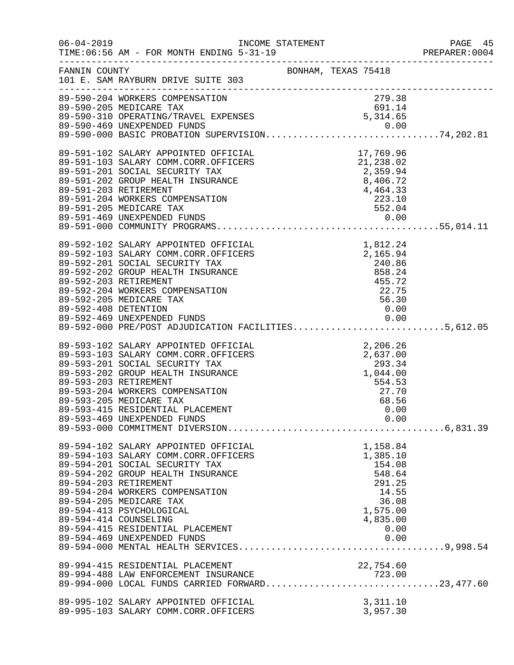| $06 - 04 - 2019$     | INCOME STATEMENT<br>TIME: 06:56 AM - FOR MONTH ENDING 5-31-19                                                                                                                                                                                                                                                                                                      |                                                                      |                                                                                                      |      | PAGE 45<br>PREPARER: 0004 |
|----------------------|--------------------------------------------------------------------------------------------------------------------------------------------------------------------------------------------------------------------------------------------------------------------------------------------------------------------------------------------------------------------|----------------------------------------------------------------------|------------------------------------------------------------------------------------------------------|------|---------------------------|
|                      | FANNIN COUNTY<br>101 E. SAM RAYBURN DRIVE SUITE 303                                                                                                                                                                                                                                                                                                                | BONHAM, TEXAS 75418                                                  |                                                                                                      |      |                           |
|                      | 279.38<br>89-590-310 OPERATING/TRAVEL EXPENSES<br>89-590-469 UNEXPENDED FUNDS<br>89-590-469 UNEXPENDED FUNDS<br>89-500-463<br>89-590-469 UNEXPENDED FUNDS<br>89-590-000 BASIC PROBATION SUPERVISION74,202.81                                                                                                                                                       |                                                                      |                                                                                                      |      |                           |
|                      | 89-591-102 SALARY APPOINTED OFFICIAL<br>89-591-103 SALARY COMM.CORR.OFFICERS<br>89-591-201 SOCIAL SECURITY TAX<br>89-591-202 GROUP HEALTH INSURANCE<br>89-591-203 RETIREMENT<br>$\begin{array}{r} 7,404.55 \\ 223.10 \\ 552.04 \\ 0.00 \end{array}$<br>89-591-204 WORKERS COMPENSATION<br>89-591-205 MEDICARE TAX                                                  | AL<br>RS 21, 238.02<br>2, 359.94<br>8, 406.72<br>4, 464.33<br>223.10 |                                                                                                      |      |                           |
| 89-592-408 DETENTION | 89-592-102 SALARY APPOINTED OFFICIAL<br>89-592-102 SALARY APPOINTED OFFICIAL<br>89-592-103 SALARY COMM.CORR.OFFICERS<br>89-592-201 SOCIAL SECURITY TAX<br>89-592-202 GROUP HEALTH INSURANCE<br>89-592-203 RETIREMENT<br>89-592-203 RETIREM<br>89-592-469 UNEXPENDED FUNDS<br>89-592-000 PRE/POST ADJUDICATION FACILITIES5,612.05                                   |                                                                      | 0.00                                                                                                 |      |                           |
|                      | 89-593-102 SALARY APPOINTED OFFICIAL<br>89-593-103 SALARY COMM.CORR.OFFICERS<br>89-593-201 SOCIAL SECURITY TAX<br>89-593-202 GROUP HEALTH INSURANCE<br>89-593-203 RETIREMENT<br>89-593-204 WORKERS COMPENSATION<br>89-593-205 MEDICARE TAX<br>89-593-415 RESIDENTIAL PLACEMENT                                                                                     | AL<br>2,206.26<br>2,637.00<br>293.34<br>1,044.00<br>554.00           | 554.53<br>27.70<br>68.56<br>0.00                                                                     |      |                           |
|                      | 89-594-102 SALARY APPOINTED OFFICIAL<br>89-594-103 SALARY COMM.CORR.OFFICERS<br>89-594-201 SOCIAL SECURITY TAX<br>89-594-202 GROUP HEALTH INSURANCE<br>89-594-203 RETIREMENT<br>89-594-204 WORKERS COMPENSATION<br>89-594-205 MEDICARE TAX<br>89-594-413 PSYCHOLOGICAL<br>89-594-414 COUNSELING<br>89-594-415 RESIDENTIAL PLACEMENT<br>89-594-469 UNEXPENDED FUNDS |                                                                      | 1,158.84<br>1,385.10<br>154.08<br>548.64<br>291.25<br>14.55<br>36.08<br>1,575.00<br>4,835.00<br>0.00 | 0.00 |                           |
|                      | 89-994-415 RESIDENTIAL PLACEMENT 22,754.60<br>89-994-488 LAW ENFORCEMENT INSURANCE 723.00<br>89-994-000 LOCAL FUNDS CARRIED FORWARD23,477.60                                                                                                                                                                                                                       |                                                                      |                                                                                                      |      |                           |
|                      | 89-995-102 SALARY APPOINTED OFFICIAL<br>89-995-103 SALARY COMM.CORR.OFFICERS                                                                                                                                                                                                                                                                                       |                                                                      | 3,311.10<br>3,957.30                                                                                 |      |                           |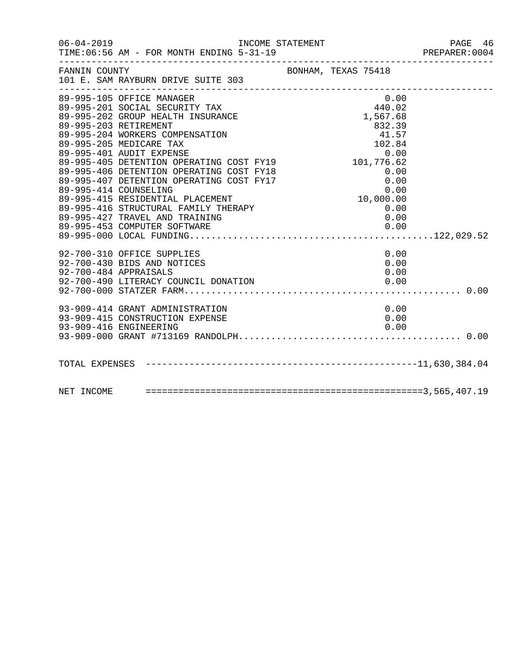| $06 - 04 - 2019$ | TIME: 06:56 AM - FOR MONTH ENDING 5-31-19                                                                                                                                                                                                                                                                                                                                                                                                                                                      |                                                                                                                    | PAGE 46<br>PREPARER: 0004 |
|------------------|------------------------------------------------------------------------------------------------------------------------------------------------------------------------------------------------------------------------------------------------------------------------------------------------------------------------------------------------------------------------------------------------------------------------------------------------------------------------------------------------|--------------------------------------------------------------------------------------------------------------------|---------------------------|
| FANNIN COUNTY    | BONHAM, TEXAS 75418<br>101 E. SAM RAYBURN DRIVE SUITE 303                                                                                                                                                                                                                                                                                                                                                                                                                                      |                                                                                                                    |                           |
|                  | 89-995-105 OFFICE MANAGER<br>89-995-201 SOCIAL SECURITY TAX<br>89-995-202 GROUP HEALTH INSURANCE<br>89-995-203 RETIREMENT<br>89-995-204 WORKERS COMPENSATION<br>89-995-205 MEDICARE TAX<br>89-995-401 AUDIT EXPENSE<br>89-995-405 DETENTION OPERATING COST FY19<br>89-995-406 DETENTION OPERATING COST FY18<br>89-995-407 DETENTION OPERATING COST FY17<br>89-995-414 COUNSELING<br>89-995-415 RESIDENTIAL PLACEMENT<br>89-995-416 STRUCTURAL FAMILY THERAPY<br>89-995-427 TRAVEL AND TRAINING | 0.00<br>440.02<br>1,567.68<br>832.39<br>41.57<br>102.84<br>101,776.62<br>$0.00$<br>10,000.00<br>0.00<br>0.0<br>0.0 |                           |
|                  | 92-700-310 OFFICE SUPPLIES<br>92-700-430 BIDS AND NOTICES<br>92-700-484 APPRAISALS                                                                                                                                                                                                                                                                                                                                                                                                             | 0.00<br>0.00<br>0.00                                                                                               |                           |
|                  | 93-909-414 GRANT ADMINISTRATION<br>93-909-415 CONSTRUCTION EXPENSE<br>93-909-416 ENGINEERING                                                                                                                                                                                                                                                                                                                                                                                                   | 0.00<br>0.00<br>0.00                                                                                               |                           |
|                  |                                                                                                                                                                                                                                                                                                                                                                                                                                                                                                |                                                                                                                    |                           |
|                  |                                                                                                                                                                                                                                                                                                                                                                                                                                                                                                |                                                                                                                    |                           |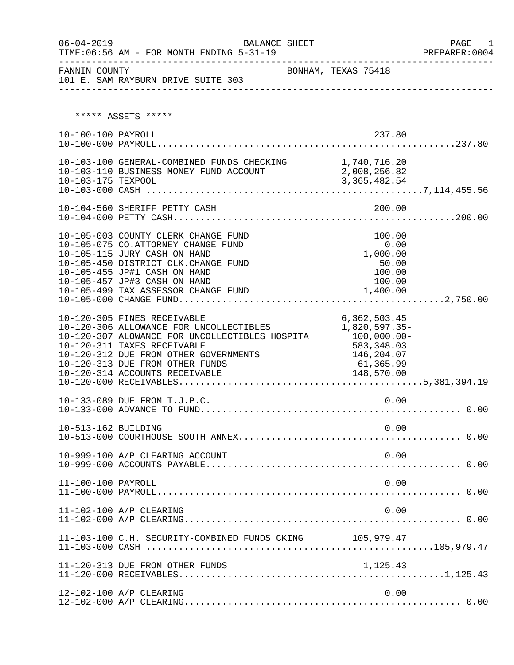| $06 - 04 - 2019$    |                                                                                                                                                                                                                                                                                   | BALANCE SHEET |                                                                                        | PAGE 1<br>PREPARER:0004 |
|---------------------|-----------------------------------------------------------------------------------------------------------------------------------------------------------------------------------------------------------------------------------------------------------------------------------|---------------|----------------------------------------------------------------------------------------|-------------------------|
| FANNIN COUNTY       | 101 E. SAM RAYBURN DRIVE SUITE 303                                                                                                                                                                                                                                                |               | BONHAM, TEXAS 75418                                                                    |                         |
|                     | ***** ASSETS *****                                                                                                                                                                                                                                                                |               |                                                                                        |                         |
| 10-100-100 PAYROLL  |                                                                                                                                                                                                                                                                                   |               | 237.80                                                                                 |                         |
|                     | 10-103-100 GENERAL-COMBINED FUNDS CHECKING 1,740,716.20<br>10-103-110 BUSINESS MONEY FUND ACCOUNT $2,008,256.82$<br>10-103-175 TEXPOOL                                                                                                                                            |               |                                                                                        |                         |
|                     |                                                                                                                                                                                                                                                                                   |               |                                                                                        |                         |
|                     | 10-105-003 COUNTY CLERK CHANGE FUND<br>10-105-075 CO.ATTORNEY CHANGE FUND<br>10-105-115 JURY CASH ON HAND<br>10-105-450 DISTRICT CLK.CHANGE FUND<br>10-105-455 JP#1 CASH ON HAND<br>10-105-457 JP#3 CASH ON HAND                                                                  |               | 100.00<br>0.00<br>1,000.00<br>50.00<br>100.00<br>100.00                                |                         |
|                     | 10-120-305 FINES RECEIVABLE<br>10-120-306 ALLOWANCE FOR UNCOLLECTIBLES<br>10-120-307 ALOWANCE FOR UNCOLLECTIBLES HOSPITA 100,000.00-<br>10-120-311 TAXES RECEIVABLE<br>10-120-312 DUE FROM OTHER GOVERNMENTS<br>10-120-313 DUE FROM OTHER FUNDS<br>10-120-314 ACCOUNTS RECEIVABLE |               | 6, 362, 503.45<br>1,820,597.35-<br>583,348.03<br>146,204.07<br>61,365.99<br>148,570.00 |                         |
|                     | 10-133-089 DUE FROM T.J.P.C.                                                                                                                                                                                                                                                      |               | 0.00                                                                                   |                         |
| 10-513-162 BUILDING |                                                                                                                                                                                                                                                                                   |               | 0.00                                                                                   |                         |
|                     | 10-999-100 A/P CLEARING ACCOUNT                                                                                                                                                                                                                                                   |               | 0.00                                                                                   |                         |
| 11-100-100 PAYROLL  |                                                                                                                                                                                                                                                                                   |               | 0.00                                                                                   |                         |
|                     | 11-102-100 A/P CLEARING                                                                                                                                                                                                                                                           |               | 0.00                                                                                   |                         |
|                     | 11-103-100 C.H. SECURITY-COMBINED FUNDS CKING 105,979.47                                                                                                                                                                                                                          |               |                                                                                        |                         |
|                     | 11-120-313 DUE FROM OTHER FUNDS                                                                                                                                                                                                                                                   |               | 1,125.43                                                                               |                         |
|                     | 12-102-100 A/P CLEARING                                                                                                                                                                                                                                                           |               | 0.00                                                                                   |                         |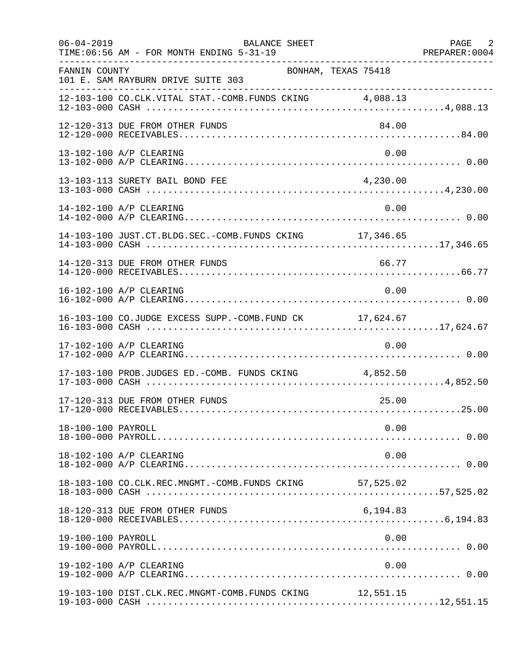| $06 - 04 - 2019$   | BALANCE SHEET<br>TIME: 06:56 AM - FOR MONTH ENDING 5-31-19<br>. <u>.</u> . |           | PAGE 2 |
|--------------------|----------------------------------------------------------------------------|-----------|--------|
| FANNIN COUNTY      | BONHAM, TEXAS 75418<br>101 E. SAM RAYBURN DRIVE SUITE 303                  |           |        |
|                    | 12-103-100 CO.CLK.VITAL STAT.-COMB.FUNDS CKING 4,088.13                    |           |        |
|                    | 12-120-313 DUE FROM OTHER FUNDS                                            | 84.00     |        |
|                    | 13-102-100 A/P CLEARING                                                    | 0.00      |        |
|                    | 13-103-113 SURETY BAIL BOND FEE                                            | 4,230.00  |        |
|                    | 14-102-100 A/P CLEARING                                                    | 0.00      |        |
|                    | 14-103-100 JUST.CT.BLDG.SEC.-COMB.FUNDS CKING 17,346.65                    |           |        |
|                    | 14-120-313 DUE FROM OTHER FUNDS                                            | 66.77     |        |
|                    | 16-102-100 A/P CLEARING                                                    | 0.00      |        |
|                    | 16-103-100 CO.JUDGE EXCESS SUPP.-COMB.FUND CK 17,624.67                    |           |        |
|                    | 17-102-100 A/P CLEARING                                                    | 0.00      |        |
|                    | 17-103-100 PROB.JUDGES ED.-COMB. FUNDS CKING 4,852.50                      |           |        |
|                    | 17-120-313 DUE FROM OTHER FUNDS                                            | 25.00     |        |
| 18-100-100 PAYROLL |                                                                            | 0.00      |        |
|                    | 18-102-100 A/P CLEARING                                                    | 0.00      |        |
|                    | 18-103-100 CO.CLK.REC.MNGMT.-COMB.FUNDS CKING                              | 57,525.02 |        |
|                    | 18-120-313 DUE FROM OTHER FUNDS                                            | 6,194.83  |        |
| 19-100-100 PAYROLL |                                                                            | 0.00      |        |
|                    | 19-102-100 A/P CLEARING                                                    | 0.00      |        |
|                    | 19-103-100 DIST.CLK.REC.MNGMT-COMB.FUNDS CKING 12,551.15                   |           |        |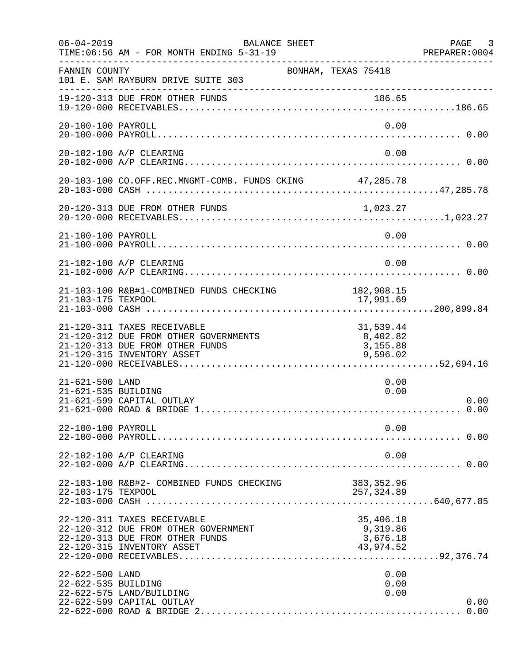| $06 - 04 - 2019$                       | BALANCE SHEET<br>TIME: 06:56 AM - FOR MONTH ENDING 5-31-19<br>. _ _ _ _ _ _ _ _ _ _ _ _ _ _ _ _ _                                     |                                                | PAGE 3<br>PREPARER: 0004 |
|----------------------------------------|---------------------------------------------------------------------------------------------------------------------------------------|------------------------------------------------|--------------------------|
| FANNIN COUNTY                          | BONHAM, TEXAS 75418<br>101 E. SAM RAYBURN DRIVE SUITE 303                                                                             |                                                |                          |
|                                        | 19-120-313 DUE FROM OTHER FUNDS                                                                                                       | 186.65                                         |                          |
| 20-100-100 PAYROLL                     |                                                                                                                                       | 0.00                                           |                          |
|                                        | 20-102-100 A/P CLEARING                                                                                                               | 0.00                                           |                          |
|                                        | 20-103-100 CO.OFF.REC.MNGMT-COMB. FUNDS CKING 47,285.78                                                                               |                                                |                          |
|                                        |                                                                                                                                       |                                                |                          |
| 21-100-100 PAYROLL                     |                                                                                                                                       | 0.00                                           |                          |
|                                        | 21-102-100 A/P CLEARING                                                                                                               | 0.00                                           |                          |
| 21-103-175 TEXPOOL                     | 21-103-100 R&B#1-COMBINED FUNDS CHECKING                                                                                              | 182,908.15<br>17,991.69                        |                          |
|                                        | 21-120-311 TAXES RECEIVABLE<br>21-120-312 DUE FROM OTHER GOVERNMENTS<br>21-120-313 DUE FROM OTHER FUNDS<br>21-120-315 INVENTORY ASSET | 31,539.44<br>8,402.82<br>3,155.88<br>9,596.02  |                          |
| 21-621-500 LAND<br>21-621-535 BUILDING | 21-621-599 CAPITAL OUTLAY                                                                                                             | 0.00<br>0.00                                   | 0.00<br>0.00             |
| 22-100-100 PAYROLL                     |                                                                                                                                       | 0.00                                           |                          |
|                                        | 22-102-100 A/P CLEARING                                                                                                               | 0.00                                           |                          |
| 22-103-175 TEXPOOL                     | 22-103-100 R&B#2- COMBINED FUNDS CHECKING                                                                                             | 383, 352.96<br>257,324.89                      |                          |
|                                        | 22-120-311 TAXES RECEIVABLE<br>22-120-312 DUE FROM OTHER GOVERNMENT<br>22-120-313 DUE FROM OTHER FUNDS<br>22-120-315 INVENTORY ASSET  | 35,406.18<br>9,319.86<br>3,676.18<br>43,974.52 |                          |
| 22-622-500 LAND<br>22-622-535 BUILDING | 22-622-575 LAND/BUILDING<br>22-622-599 CAPITAL OUTLAY                                                                                 | 0.00<br>0.00<br>0.00                           | 0.00                     |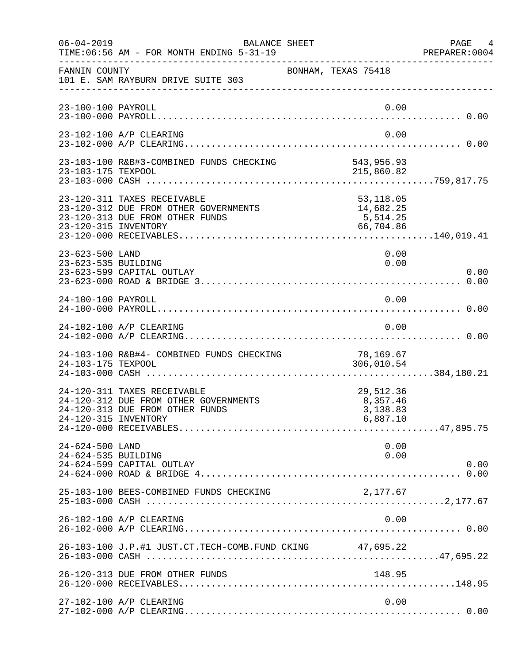| $06 - 04 - 2019$                       | BALANCE SHEET<br>TIME: 06:56 AM - FOR MONTH ENDING 5-31-19                                              |                                                 | PAGE 4<br>PREPARER:0004 |
|----------------------------------------|---------------------------------------------------------------------------------------------------------|-------------------------------------------------|-------------------------|
| FANNIN COUNTY                          | 101 E. SAM RAYBURN DRIVE SUITE 303                                                                      | BONHAM, TEXAS 75418                             |                         |
| 23-100-100 PAYROLL                     |                                                                                                         |                                                 | 0.00                    |
|                                        | 23-102-100 A/P CLEARING                                                                                 |                                                 | 0.00                    |
|                                        |                                                                                                         |                                                 |                         |
| 23-120-315 INVENTORY                   | 23-120-311 TAXES RECEIVABLE<br>23-120-312 DUE FROM OTHER GOVERNMENTS<br>23-120-313 DUE FROM OTHER FUNDS | 53,118.05<br>14,682.25<br>5,514.25<br>66,704.86 |                         |
| 23-623-500 LAND<br>23-623-535 BUILDING | 23-623-599 CAPITAL OUTLAY                                                                               |                                                 | 0.00<br>0.00<br>0.00    |
| 24-100-100 PAYROLL                     |                                                                                                         |                                                 | 0.00                    |
|                                        | 24-102-100 A/P CLEARING                                                                                 |                                                 | 0.00                    |
| 24-103-175 TEXPOOL                     | 24-103-100 R&B#4- COMBINED FUNDS CHECKING                                                               | 78,169.67<br>306,010.54                         |                         |
| 24-120-315 INVENTORY                   | 24-120-311 TAXES RECEIVABLE<br>24-120-312 DUE FROM OTHER GOVERNMENTS<br>24-120-313 DUE FROM OTHER FUNDS | 29,512.36<br>8,357.46<br>3,138.83<br>6,887.10   |                         |
| 24-624-500 LAND<br>24-624-535 BUILDING | 24-624-599 CAPITAL OUTLAY                                                                               |                                                 | 0.00<br>0.00<br>0.00    |
|                                        | 25-103-100 BEES-COMBINED FUNDS CHECKING                                                                 | 2,177.67                                        |                         |
|                                        | 26-102-100 A/P CLEARING                                                                                 |                                                 | 0.00                    |
|                                        | 26-103-100 J.P.#1 JUST.CT.TECH-COMB.FUND CKING 47,695.22                                                |                                                 |                         |
|                                        | 26-120-313 DUE FROM OTHER FUNDS                                                                         | 148.95                                          |                         |
|                                        | 27-102-100 A/P CLEARING                                                                                 |                                                 | 0.00                    |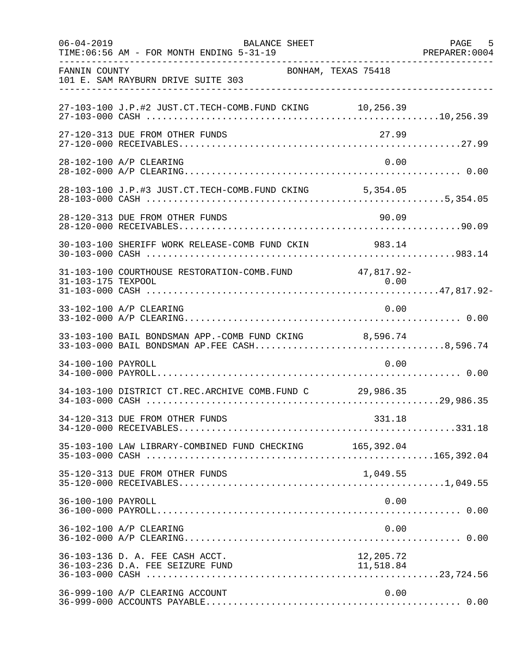| $06 - 04 - 2019$   | <b>BALANCE SHEET</b><br>TIME: 06:56 AM - FOR MONTH ENDING 5-31-19                                      |           | 5<br>PAGE<br>PREPARER: 0004 |
|--------------------|--------------------------------------------------------------------------------------------------------|-----------|-----------------------------|
| FANNIN COUNTY      | BONHAM, TEXAS 75418<br>101 E. SAM RAYBURN DRIVE SUITE 303                                              |           |                             |
|                    | 27-103-100 J.P.#2 JUST.CT.TECH-COMB.FUND CKING 10,256.39                                               |           |                             |
|                    | 27-120-313 DUE FROM OTHER FUNDS                                                                        | 27.99     |                             |
|                    | 28-102-100 A/P CLEARING                                                                                | 0.00      |                             |
|                    | 28-103-100 J.P.#3 JUST.CT.TECH-COMB.FUND CKING 5,354.05                                                |           |                             |
|                    | 28-120-313 DUE FROM OTHER FUNDS                                                                        | 90.09     |                             |
|                    | 30-103-100 SHERIFF WORK RELEASE-COMB FUND CKIN 983.14                                                  |           |                             |
| 31-103-175 TEXPOOL | 31-103-100 COURTHOUSE RESTORATION-COMB. FUND 47,817.92-                                                | 0.00      |                             |
|                    | 33-102-100 A/P CLEARING                                                                                | 0.00      |                             |
|                    | 33-103-100 BAIL BONDSMAN APP.-COMB FUND CKING 8,596.74<br>33-103-000 BAIL BONDSMAN AP.FEE CASH8,596.74 |           |                             |
| 34-100-100 PAYROLL |                                                                                                        | 0.00      |                             |
|                    | 34-103-100 DISTRICT CT.REC.ARCHIVE COMB.FUND C 29,986.35                                               |           |                             |
|                    | 34-120-313 DUE FROM OTHER FUNDS                                                                        | 331.18    |                             |
|                    | 35-103-100 LAW LIBRARY-COMBINED FUND CHECKING 165,392.04                                               |           |                             |
|                    | 35-120-313 DUE FROM OTHER FUNDS                                                                        | 1,049.55  |                             |
| 36-100-100 PAYROLL |                                                                                                        | 0.00      |                             |
|                    | 36-102-100 A/P CLEARING                                                                                | 0.00      |                             |
|                    | 36-103-136 D. A. FEE CASH ACCT.                                                                        | 12,205.72 |                             |
|                    | 36-999-100 A/P CLEARING ACCOUNT                                                                        | 0.00      |                             |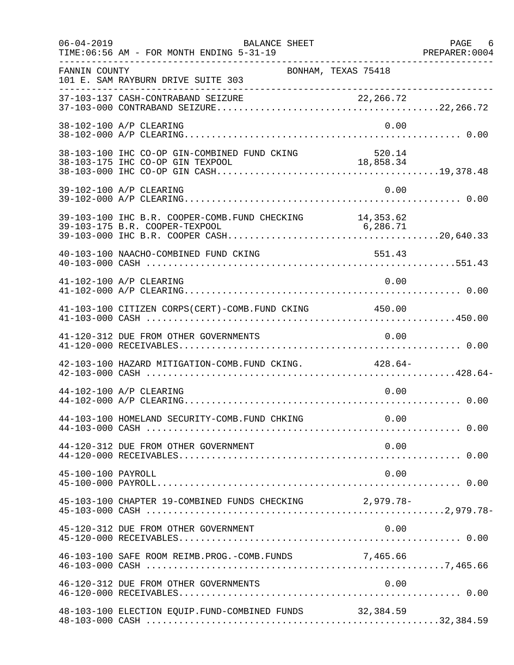| $06 - 04 - 2019$   | <b>BALANCE SHEET</b><br>TIME: 06:56 AM - FOR MONTH ENDING 5-31-19                          | PREPARER: 0004 | PAGE 6 |
|--------------------|--------------------------------------------------------------------------------------------|----------------|--------|
| FANNIN COUNTY      | BONHAM, TEXAS 75418<br>101 E. SAM RAYBURN DRIVE SUITE 303                                  |                |        |
|                    |                                                                                            |                |        |
|                    | 38-102-100 A/P CLEARING                                                                    | 0.00           |        |
|                    | 38-103-100 IHC CO-OP GIN-COMBINED FUND CKING                                               | 520.14         |        |
|                    | 39-102-100 A/P CLEARING                                                                    | 0.00           |        |
|                    | 39-103-100 IHC B.R. COOPER-COMB. FUND CHECKING 14,353.62<br>39-103-175 B.R. COOPER-TEXPOOL | 6, 286.71      |        |
|                    | 40-103-100 NAACHO-COMBINED FUND CKING                                                      | 551.43         |        |
|                    | 41-102-100 A/P CLEARING                                                                    | 0.00           |        |
|                    | 41-103-100 CITIZEN CORPS(CERT)-COMB. FUND CKING 450.00                                     |                |        |
|                    | 41-120-312 DUE FROM OTHER GOVERNMENTS                                                      | 0.00           |        |
|                    | 42-103-100 HAZARD MITIGATION-COMB. FUND CKING. 428.64-                                     |                |        |
|                    | 44-102-100 A/P CLEARING                                                                    | 0.00           |        |
|                    | 44-103-100 HOMELAND SECURITY-COMB. FUND CHKING                                             | 0.00           |        |
|                    | 44-120-312 DUE FROM OTHER GOVERNMENT                                                       | 0.00           |        |
| 45-100-100 PAYROLL |                                                                                            | 0.00           |        |
|                    | 45-103-100 CHAPTER 19-COMBINED FUNDS CHECKING 2,979.78-                                    |                |        |
|                    | 45-120-312 DUE FROM OTHER GOVERNMENT                                                       | 0.00           |        |
|                    | 46-103-100 SAFE ROOM REIMB. PROG. - COMB. FUNDS 7, 465.66                                  |                |        |
|                    | 46-120-312 DUE FROM OTHER GOVERNMENTS                                                      | 0.00           |        |
|                    | 48-103-100 ELECTION EQUIP.FUND-COMBINED FUNDS 32,384.59                                    |                |        |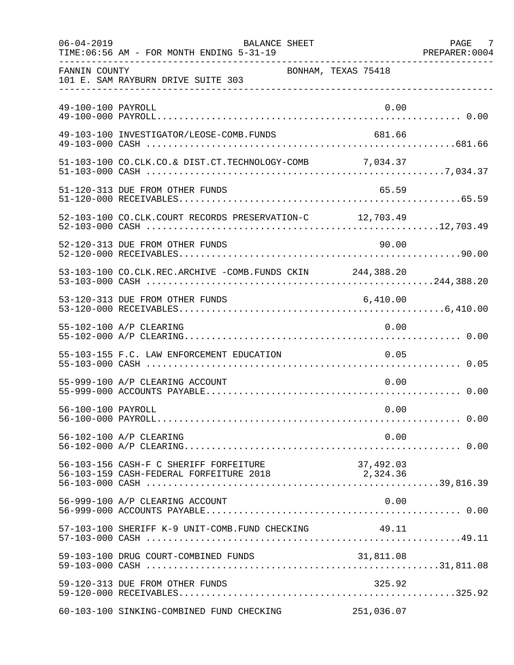| $06 - 04 - 2019$   | BALANCE SHEET<br>TIME: 06:56 AM - FOR MONTH ENDING 5-31-19                                                                                |                     | PAGE 7<br>PREPARER: 0004 |
|--------------------|-------------------------------------------------------------------------------------------------------------------------------------------|---------------------|--------------------------|
| FANNIN COUNTY      | 101 E. SAM RAYBURN DRIVE SUITE 303                                                                                                        | BONHAM, TEXAS 75418 |                          |
| 49-100-100 PAYROLL |                                                                                                                                           | 0.00                |                          |
|                    | 49-103-100 INVESTIGATOR/LEOSE-COMB.FUNDS                                                                                                  | 681.66              |                          |
|                    | 51-103-100 CO.CLK.CO.& DIST.CT.TECHNOLOGY-COMB 7,034.37                                                                                   |                     |                          |
|                    | 51-120-313 DUE FROM OTHER FUNDS                                                                                                           | 65.59               |                          |
|                    | 52-103-100 CO.CLK.COURT RECORDS PRESERVATION-C 12,703.49                                                                                  |                     |                          |
|                    | 52-120-313 DUE FROM OTHER FUNDS                                                                                                           | 90.00               |                          |
|                    | 53-103-100 CO.CLK.REC.ARCHIVE -COMB.FUNDS CKIN 244,388.20                                                                                 |                     |                          |
|                    | 53-120-313 DUE FROM OTHER FUNDS                                                                                                           | 6,410.00            |                          |
|                    | 55-102-100 A/P CLEARING                                                                                                                   | 0.00                |                          |
|                    | 55-103-155 F.C. LAW ENFORCEMENT EDUCATION                                                                                                 | 0.05                |                          |
|                    | 55-999-100 A/P CLEARING ACCOUNT                                                                                                           | 0.00                |                          |
| 56-100-100 PAYROLL |                                                                                                                                           | 0.00                |                          |
|                    | 56-102-100 A/P CLEARING                                                                                                                   | 0.00                |                          |
|                    | 56-103-156 CASH-F C SHERIFF FORFEITURE<br>56-103-159 CASH-F C SHERIFF FORFEITURE 2018<br>56-103-159 CASH-FEDERAL FORFEITURE 2018 2,324.36 | 37,492.03           |                          |
|                    | 56-999-100 A/P CLEARING ACCOUNT                                                                                                           | 0.00                |                          |
|                    | 57-103-100 SHERIFF K-9 UNIT-COMB.FUND CHECKING                                                                                            | 49.11               |                          |
|                    |                                                                                                                                           |                     |                          |
|                    | 59-120-313 DUE FROM OTHER FUNDS                                                                                                           | 325.92              |                          |
|                    | 60-103-100 SINKING-COMBINED FUND CHECKING                                                                                                 | 251,036.07          |                          |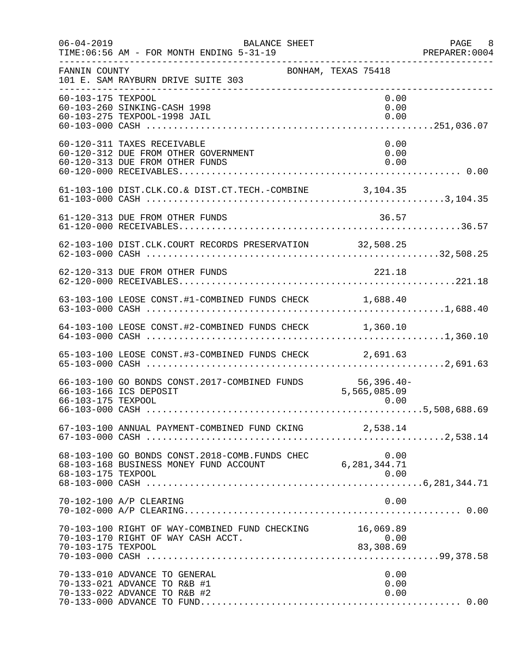| $06 - 04 - 2019$   | BALANCE SHEET<br>TIME: 06:56 AM - FOR MONTH ENDING 5-31-19<br>_____________________________________    |                      | PAGE 8<br>PREPARER: 0004 |
|--------------------|--------------------------------------------------------------------------------------------------------|----------------------|--------------------------|
| FANNIN COUNTY      | BONHAM, TEXAS 75418<br>101 E. SAM RAYBURN DRIVE SUITE 303                                              |                      |                          |
| 60-103-175 TEXPOOL | 60-103-260 SINKING-CASH 1998<br>60-103-275 TEXPOOL-1998 JAIL                                           | 0.00<br>0.00<br>0.00 |                          |
|                    | 60-120-311 TAXES RECEIVABLE<br>60-120-312 DUE FROM OTHER GOVERNMENT<br>60-120-313 DUE FROM OTHER FUNDS | 0.00<br>0.00<br>0.00 |                          |
|                    | 61-103-100 DIST.CLK.CO.& DIST.CT.TECH.-COMBINE 3,104.35                                                |                      |                          |
|                    | 61-120-313 DUE FROM OTHER FUNDS                                                                        | 36.57                |                          |
|                    | 62-103-100 DIST.CLK.COURT RECORDS PRESERVATION 32,508.25                                               |                      |                          |
|                    | 62-120-313 DUE FROM OTHER FUNDS                                                                        | 221.18               |                          |
|                    | 63-103-100 LEOSE CONST.#1-COMBINED FUNDS CHECK 1,688.40                                                |                      |                          |
|                    | 64-103-100 LEOSE CONST.#2-COMBINED FUNDS CHECK 1,360.10                                                |                      |                          |
|                    | 65-103-100 LEOSE CONST.#3-COMBINED FUNDS CHECK 2,691.63                                                |                      |                          |
| 66-103-175 TEXPOOL | 66-103-100 GO BONDS CONST. 2017-COMBINED FUNDS 56,396.40-<br>66-103-166 ICS DEPOSIT                    | 5,565,085.09<br>0.00 |                          |
|                    | 67-103-100 ANNUAL PAYMENT-COMBINED FUND CKING 2,538.14                                                 |                      |                          |
| 68-103-175 TEXPOOL | 0.00 68-103-100 GO BONDS CONST.2018-COMB.FUNDS CHEC<br>6,281,344.71 6,281,344.71 MONEY EIND ACCOUNT    | 0.00                 |                          |
|                    | 70-102-100 A/P CLEARING                                                                                | 0.00                 |                          |
| 70-103-175 TEXPOOL | 70-103-100 RIGHT OF WAY-COMBINED FUND CHECKING 16,069.89<br>70-103-170 RIGHT OF WAY CASH ACCT.         | 0.00<br>83,308.69    |                          |
|                    | 70-133-010 ADVANCE TO GENERAL<br>70-133-021 ADVANCE TO R&B #1<br>70-133-022 ADVANCE TO R&B #2          | 0.00<br>0.00<br>0.00 |                          |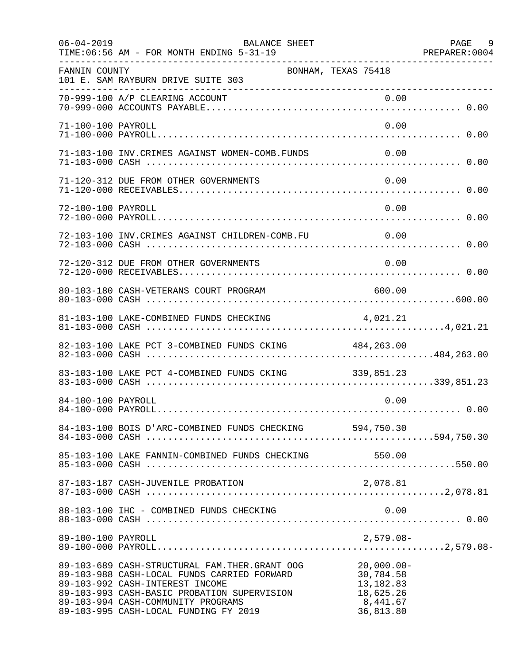| $06 - 04 - 2019$   | BALANCE SHEET<br>TIME: 06:56 AM - FOR MONTH ENDING 5-31-19                                                                                                                                                                                                    |                                                                               | PAGE 9 |
|--------------------|---------------------------------------------------------------------------------------------------------------------------------------------------------------------------------------------------------------------------------------------------------------|-------------------------------------------------------------------------------|--------|
| FANNIN COUNTY      | BONHAM, TEXAS 75418<br>101 E. SAM RAYBURN DRIVE SUITE 303                                                                                                                                                                                                     |                                                                               |        |
|                    | 70-999-100 A/P CLEARING ACCOUNT                                                                                                                                                                                                                               |                                                                               |        |
| 71-100-100 PAYROLL |                                                                                                                                                                                                                                                               | 0.00                                                                          |        |
|                    | 71-103-100 INV. CRIMES AGAINST WOMEN-COMB. FUNDS                                                                                                                                                                                                              | 0.00                                                                          |        |
|                    | 71-120-312 DUE FROM OTHER GOVERNMENTS                                                                                                                                                                                                                         | 0.00                                                                          |        |
| 72-100-100 PAYROLL |                                                                                                                                                                                                                                                               | 0.00                                                                          |        |
|                    | 72-103-100 INV. CRIMES AGAINST CHILDREN-COMB. FU                                                                                                                                                                                                              | $\sim$ 0.00                                                                   |        |
|                    | 72-120-312 DUE FROM OTHER GOVERNMENTS                                                                                                                                                                                                                         | 0.00                                                                          |        |
|                    | 80-103-180 CASH-VETERANS COURT PROGRAM                                                                                                                                                                                                                        | 600.00                                                                        |        |
|                    | 81-103-100 LAKE-COMBINED FUNDS CHECKING                                                                                                                                                                                                                       | 4,021.21                                                                      |        |
|                    | 82-103-100 LAKE PCT 3-COMBINED FUNDS CKING 484,263.00                                                                                                                                                                                                         |                                                                               |        |
|                    | 83-103-100 LAKE PCT 4-COMBINED FUNDS CKING 339,851.23                                                                                                                                                                                                         |                                                                               |        |
| 84-100-100 PAYROLL |                                                                                                                                                                                                                                                               | 0.00                                                                          |        |
|                    | 84-103-100 BOIS D'ARC-COMBINED FUNDS CHECKING 594,750.30                                                                                                                                                                                                      |                                                                               |        |
|                    |                                                                                                                                                                                                                                                               |                                                                               |        |
|                    | 87-103-187 CASH-JUVENILE PROBATION                                                                                                                                                                                                                            | 2,078.81                                                                      |        |
|                    | 88-103-100 IHC - COMBINED FUNDS CHECKING                                                                                                                                                                                                                      | 0.00                                                                          |        |
| 89-100-100 PAYROLL |                                                                                                                                                                                                                                                               | $2,579.08-$                                                                   |        |
|                    | 89-103-689 CASH-STRUCTURAL FAM.THER.GRANT OOG<br>89-103-988 CASH-LOCAL FUNDS CARRIED FORWARD<br>89-103-992 CASH-INTEREST INCOME<br>89-103-993 CASH-BASIC PROBATION SUPERVISION<br>89-103-994 CASH-COMMUNITY PROGRAMS<br>89-103-995 CASH-LOCAL FUNDING FY 2019 | $20,000.00 -$<br>30,784.58<br>13,182.83<br>18,625.26<br>8,441.67<br>36,813.80 |        |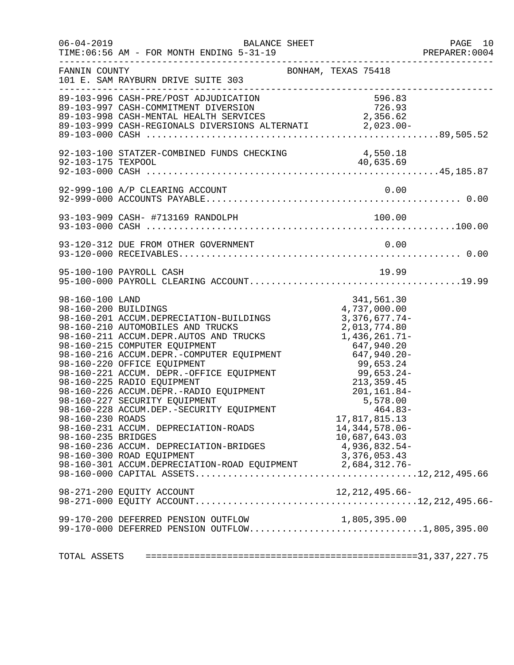|                                                                                   | $06 - 04 - 2019$<br>BALANCE SHEET                                                                                                                                                                                                                                                                                                                                                                                                                                                                                                                                                            |                                                                                                                                                                                              |      | PAGE 10<br>PREPARER:0004 |
|-----------------------------------------------------------------------------------|----------------------------------------------------------------------------------------------------------------------------------------------------------------------------------------------------------------------------------------------------------------------------------------------------------------------------------------------------------------------------------------------------------------------------------------------------------------------------------------------------------------------------------------------------------------------------------------------|----------------------------------------------------------------------------------------------------------------------------------------------------------------------------------------------|------|--------------------------|
| FANNIN COUNTY                                                                     | 101 E. SAM RAYBURN DRIVE SUITE 303                                                                                                                                                                                                                                                                                                                                                                                                                                                                                                                                                           | BONHAM, TEXAS 75418                                                                                                                                                                          |      |                          |
|                                                                                   | 89-103-996 CASH-PRE/POST ADJUDICATION<br>89-103-997 CASH-COMMITMENT DIVERSION<br>89-103-998 CASH-MENTAL HEALTH SERVICES<br>89-103-999 CASH-REGIONALS DIVERSIONS ALTERNATI 2,023.00-                                                                                                                                                                                                                                                                                                                                                                                                          | $596.83$<br>726.93<br>2,356.62                                                                                                                                                               |      |                          |
|                                                                                   |                                                                                                                                                                                                                                                                                                                                                                                                                                                                                                                                                                                              |                                                                                                                                                                                              |      |                          |
|                                                                                   | 92-999-100 A/P CLEARING ACCOUNT                                                                                                                                                                                                                                                                                                                                                                                                                                                                                                                                                              |                                                                                                                                                                                              | 0.00 |                          |
|                                                                                   |                                                                                                                                                                                                                                                                                                                                                                                                                                                                                                                                                                                              |                                                                                                                                                                                              |      |                          |
|                                                                                   |                                                                                                                                                                                                                                                                                                                                                                                                                                                                                                                                                                                              |                                                                                                                                                                                              |      |                          |
|                                                                                   | 95-100-100 PAYROLL CASH                                                                                                                                                                                                                                                                                                                                                                                                                                                                                                                                                                      | 19.99                                                                                                                                                                                        |      |                          |
| 98-160-100 LAND<br>98-160-200 BUILDINGS<br>98-160-230 ROADS<br>98-160-235 BRIDGES | 98-160-200 BUILDINGS<br>98-160-201 ACCUM.DEPRECIATION-BUILDINGS<br>98-160-210 AUTOMOBILES AND TRUCKS<br>98-160-211 ACCUM.DEPR.AUTOS AND TRUCKS<br>98-160-215 COMPUTER EQUIPMENT<br>98-160-216 ACCUM.DEPR.-COMPUTER EQUIPMENT<br>98-160-220 OFFICE EQUIPMENT<br>99,653.24<br>98-160-221 ACCUM.DEPR.-OFFICE EQUIPMENT<br>99,653.24-<br>98-160-225 RADIO EQUIPMENT<br>99,653.24-<br>98-160-226 ACCU<br>98-160-227 SECURITY EQUIPMENT<br>98-160-228 ACCUM.DEP.-SECURITY EQUIPMENT<br>98-160-231 ACCUM. DEPRECIATION-ROADS<br>98-160-236 ACCUM. DEPRECIATION-BRIDGES<br>98-160-300 ROAD EQUIPMENT | 341,561.30<br>4,737,000.00<br>$3,376,677.74-$<br>2,013,774.80<br>1,436,261.71-<br>5,578.00<br>464.83-<br>17,817,815.13<br>14, 344, 578.06-<br>10,687,643.03<br>4,936,832.54-<br>3,376,053.43 |      |                          |
|                                                                                   | 98-271-200 EQUITY ACCOUNT                                                                                                                                                                                                                                                                                                                                                                                                                                                                                                                                                                    | 12,212,495.66-                                                                                                                                                                               |      |                          |
|                                                                                   | 99-170-200 DEFERRED PENSION OUTFLOW<br>99-170-000 DEFERRED PENSION OUTFLOW1,805,395.00                                                                                                                                                                                                                                                                                                                                                                                                                                                                                                       | 1,805,395.00                                                                                                                                                                                 |      |                          |
|                                                                                   |                                                                                                                                                                                                                                                                                                                                                                                                                                                                                                                                                                                              |                                                                                                                                                                                              |      |                          |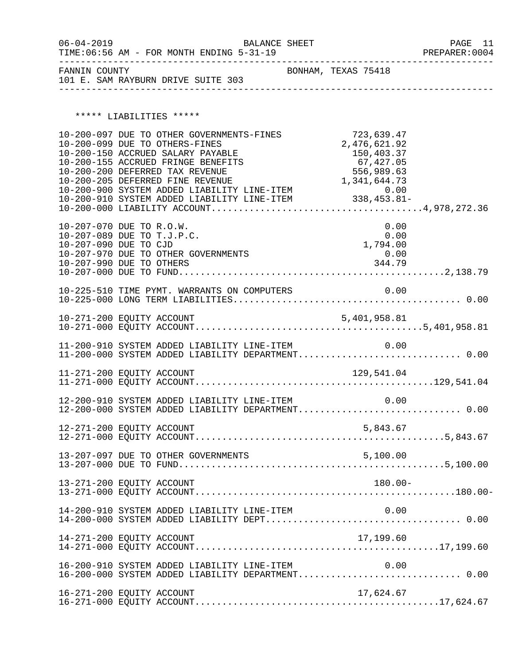| $06 - 04 - 2019$<br>TIME:06:56 AM - FOR MONTH ENDING 5-31-19 | BALANCE SHEET       | PAGE 11<br>PREPARER: 0004 |
|--------------------------------------------------------------|---------------------|---------------------------|
| FANNIN COUNTY<br>101 E. SAM RAYBURN DRIVE SUITE 303          | BONHAM, TEXAS 75418 |                           |

\*\*\*\*\* LIABILITIES \*\*\*\*\*

|                                                   | 10-200-097 DUE TO OTHER GOVERNMENTS-FINES<br>10-200-099 DUE TO OTHERS-FINES<br>10-200-150 ACCRUED SALARY PAYABLE<br>10-200-155 ACCRUED FRINGE BENEFITS<br>10-200-200 DEFERRED TAX REVENUE | 723,639.47<br>2,476,621.92<br>150,403.37<br>67,427.05<br>556,989.63 |  |
|---------------------------------------------------|-------------------------------------------------------------------------------------------------------------------------------------------------------------------------------------------|---------------------------------------------------------------------|--|
| 10-207-070 DUE TO R.O.W.<br>10-207-090 DUE TO CJD | 10-207-089 DUE TO T.J.P.C.<br>10-207-970 DUE TO OTHER GOVERNMENTS                                                                                                                         | 0.00<br>0.00<br>1,794.00<br>0.00<br>344.79                          |  |
|                                                   |                                                                                                                                                                                           |                                                                     |  |
|                                                   |                                                                                                                                                                                           |                                                                     |  |
|                                                   | 11-200-910 SYSTEM ADDED LIABILITY LINE-ITEM<br>11-200-000 SYSTEM ADDED LIABILITY DEPARTMENT 0.00                                                                                          | 0.00                                                                |  |
|                                                   |                                                                                                                                                                                           |                                                                     |  |
|                                                   | 12-200-910 SYSTEM ADDED LIABILITY LINE-ITEM 0.00<br>12-200-000 SYSTEM ADDED LIABILITY DEPARTMENT 0.00                                                                                     |                                                                     |  |
|                                                   |                                                                                                                                                                                           |                                                                     |  |
|                                                   |                                                                                                                                                                                           |                                                                     |  |
|                                                   | 13-271-200 EQUITY ACCOUNT                                                                                                                                                                 | $180.00 -$                                                          |  |
|                                                   |                                                                                                                                                                                           |                                                                     |  |
|                                                   | 14-271-200 EQUITY ACCOUNT                                                                                                                                                                 | 17,199.60                                                           |  |
|                                                   | 16-200-910 SYSTEM ADDED LIABILITY LINE-ITEM<br>16-200-000 SYSTEM ADDED LIABILITY DEPARTMENT 0.00                                                                                          | 0.00                                                                |  |
|                                                   | 16-271-200 EQUITY ACCOUNT                                                                                                                                                                 | 17,624.67                                                           |  |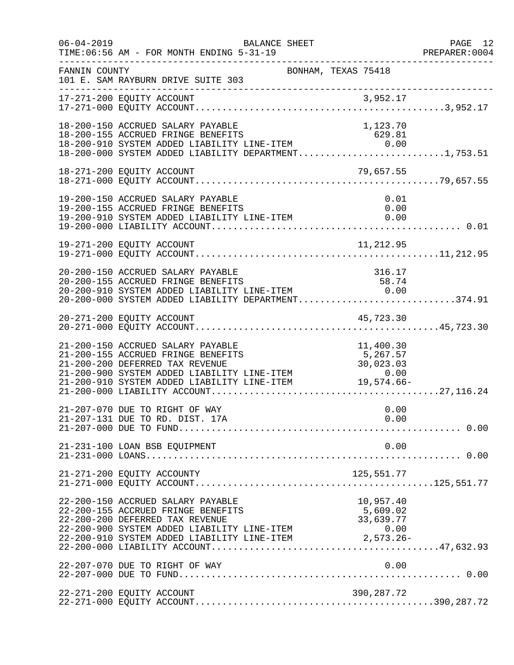| $06 - 04 - 2019$ | TIME: 06:56 AM - FOR MONTH ENDING 5-31-19                                                                                                                                                                                                                                                                                                                                                                                                                                                                                                                                                   | BALANCE SHEET       |                                 | PAGE 12<br>PREPARER:0004 |
|------------------|---------------------------------------------------------------------------------------------------------------------------------------------------------------------------------------------------------------------------------------------------------------------------------------------------------------------------------------------------------------------------------------------------------------------------------------------------------------------------------------------------------------------------------------------------------------------------------------------|---------------------|---------------------------------|--------------------------|
| FANNIN COUNTY    | 101 E. SAM RAYBURN DRIVE SUITE 303<br>______________________                                                                                                                                                                                                                                                                                                                                                                                                                                                                                                                                | BONHAM, TEXAS 75418 |                                 |                          |
|                  |                                                                                                                                                                                                                                                                                                                                                                                                                                                                                                                                                                                             |                     |                                 |                          |
|                  | 18-200-150 ACCRUED SALARY PAYABLE<br>18-200-155 ACCRUED FRINGE BENEFITS<br>18-200-910 SYSTEM ADDED LIABILITY LINE-ITEM 0.00<br>18-200-000 SYSTEM ADDED LIABILITY DEPARTMENT1,753.51                                                                                                                                                                                                                                                                                                                                                                                                         |                     | 1,123.70                        |                          |
|                  | 18-271-200 EQUITY ACCOUNT                                                                                                                                                                                                                                                                                                                                                                                                                                                                                                                                                                   |                     | 79,657.55                       |                          |
|                  | 19-200-150 ACCRUED SALARY PAYABLE<br>19-200-155 ACCRUED FRINGE BENEFITS<br>19-200-910 SYSTEM ADDED LIABILITY LINE-ITEM                                                                                                                                                                                                                                                                                                                                                                                                                                                                      |                     | 0.01<br>0.00<br>0.00            |                          |
|                  | 19-271-200 EQUITY ACCOUNT                                                                                                                                                                                                                                                                                                                                                                                                                                                                                                                                                                   |                     | 11, 212.95                      |                          |
|                  | 20-200-150 ACCRUED SALARY PAYABLE<br>20-200-155 ACCRUED FRINGE BENEFITS<br>20-200-910 SYSTEM ADDED LIABILITY LINE-ITEM 0.00<br>20-200-000 SYSTEM ADDED LIABILITY DEPARTMENT374.91                                                                                                                                                                                                                                                                                                                                                                                                           |                     | 316.17                          |                          |
|                  |                                                                                                                                                                                                                                                                                                                                                                                                                                                                                                                                                                                             |                     |                                 |                          |
|                  | 21-200-150 ACCRUED SALARY PAYABLE<br>21-200-155 ACCRUED FRINGE BENEFITS                                                                                                                                                                                                                                                                                                                                                                                                                                                                                                                     |                     | 11,400.30<br>5,267.57           |                          |
|                  | 21-207-070 DUE TO RIGHT OF WAY<br>21-207-131 DUE TO RD. DIST. 17A                                                                                                                                                                                                                                                                                                                                                                                                                                                                                                                           |                     | 0.00<br>0.00                    |                          |
|                  | 21-231-100 LOAN BSB EQUIPMENT                                                                                                                                                                                                                                                                                                                                                                                                                                                                                                                                                               |                     | 0.00                            |                          |
|                  |                                                                                                                                                                                                                                                                                                                                                                                                                                                                                                                                                                                             |                     |                                 |                          |
|                  | 22-200-150 ACCRUED SALARY PAYABLE<br>22-200-155 ACCRUED FRINGE BENEFITS<br>22-200-200 DEFERRED TAX REVENUE<br>22-200-900 SYSTEM ADDED LIABILITY LINE-ITEM<br>$\begin{tabular}{lllllllll} \multicolumn{2}{c c }{\texttt{--0.00}} & \multicolumn{2}{c }{\texttt{--0.00}} & \multicolumn{2}{c }{\texttt{--0.00}} & \multicolumn{2}{c }{\texttt{--0.00}} & \multicolumn{2}{c }{\texttt{--0.00}} & \multicolumn{2}{c }{\texttt{--0.00}} & \multicolumn{2}{c }{\texttt{--0.00}} & \multicolumn{2}{c }{\texttt{--0.00}} & \multicolumn{2}{c }{\texttt{--0.00}} & \multicolumn{2}{c }{\texttt{--0.$ |                     | 957.40, د<br>5,609.02<br>33,630 |                          |
|                  | 22-207-070 DUE TO RIGHT OF WAY                                                                                                                                                                                                                                                                                                                                                                                                                                                                                                                                                              |                     | 0.00                            |                          |
|                  | 22-271-200 EQUITY ACCOUNT                                                                                                                                                                                                                                                                                                                                                                                                                                                                                                                                                                   |                     | 390,287.72                      |                          |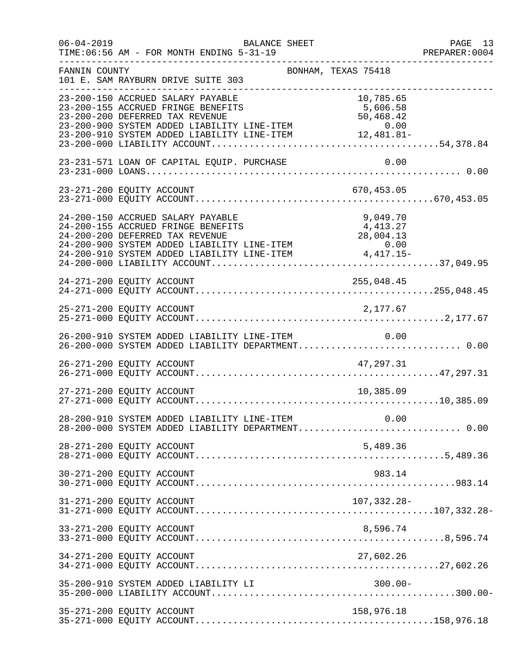| $06 - 04 - 2019$ | BALANCE SHEET<br>TIME: 06:56 AM - FOR MONTH ENDING 5-31-19                                                                                                                                                                                                                   |                                    | PAGE 13<br>PREPARER: 0004 |
|------------------|------------------------------------------------------------------------------------------------------------------------------------------------------------------------------------------------------------------------------------------------------------------------------|------------------------------------|---------------------------|
| FANNIN COUNTY    | BONHAM, TEXAS 75418<br>101 E. SAM RAYBURN DRIVE SUITE 303                                                                                                                                                                                                                    |                                    | _____________________     |
|                  | 23-200-150 ACCRUED SALARY PAYABLE<br>23-200-155 ACCRUED FRINGE BENEFITS<br>23-200-200 DEFERRED TAX REVENUE<br>$23-200-900$ SYSTEM ADDED LIABILITY LINE-ITEM $0.00$<br>23-200-910 SYSTEM ADDED LIABILITY LINE-ITEM $12,481.81-$                                               | 10,785.65<br>5,606.58<br>50,468.42 |                           |
|                  | 23-231-571 LOAN OF CAPITAL EQUIP. PURCHASE                                                                                                                                                                                                                                   | 0.00                               |                           |
|                  | 23-271-200 EQUITY ACCOUNT                                                                                                                                                                                                                                                    | 670,453.05                         |                           |
|                  | 24-200-150 ACCRUED SALARY PAYABLE<br>24-200-155 ACCRUED FRINGE BENEFITS<br>24-200-200 DEFERRED TAX REVENUE<br>24-200-200 SYSTEM ADDED LIABILITY LINE-ITEM<br>$24-200-900$ SYSTEM ADDED LIABILITY LINE-ITEM $0.00$<br>24-200-910 SYSTEM ADDED LIABILITY LINE-ITEM $4,417.15-$ | 9,049.70<br>4,413.27<br>28,004.13  |                           |
|                  | 24-271-200 EQUITY ACCOUNT                                                                                                                                                                                                                                                    | 255,048.45                         |                           |
|                  | 25-271-200 EQUITY ACCOUNT                                                                                                                                                                                                                                                    | 2,177.67                           |                           |
|                  | 26-200-910 SYSTEM ADDED LIABILITY LINE-ITEM 0.00<br>26-200-000 SYSTEM ADDED LIABILITY DEPARTMENT 0.00                                                                                                                                                                        |                                    |                           |
|                  | 26-271-200 EQUITY ACCOUNT                                                                                                                                                                                                                                                    | 47,297.31                          |                           |
|                  | 27-271-200 EQUITY ACCOUNT                                                                                                                                                                                                                                                    | 10,385.09                          |                           |
|                  | 28-200-910 SYSTEM ADDED LIABILITY LINE-ITEM 0.00<br>28-200-000 SYSTEM ADDED LIABILITY DEPARTMENT 0.00                                                                                                                                                                        |                                    |                           |
|                  | 28-271-200 EQUITY ACCOUNT                                                                                                                                                                                                                                                    | 5,489.36                           |                           |
|                  | 30-271-200 EQUITY ACCOUNT                                                                                                                                                                                                                                                    | 983.14                             |                           |
|                  | 31-271-200 EQUITY ACCOUNT                                                                                                                                                                                                                                                    | 107,332.28-                        |                           |
|                  | 33-271-200 EQUITY ACCOUNT                                                                                                                                                                                                                                                    | 8,596.74                           |                           |
|                  | 34-271-200 EQUITY ACCOUNT                                                                                                                                                                                                                                                    | 27,602.26                          |                           |
|                  | 35-200-910 SYSTEM ADDED LIABILITY LI                                                                                                                                                                                                                                         | $300.00 -$                         |                           |
|                  | 35-271-200 EQUITY ACCOUNT                                                                                                                                                                                                                                                    | 158,976.18                         |                           |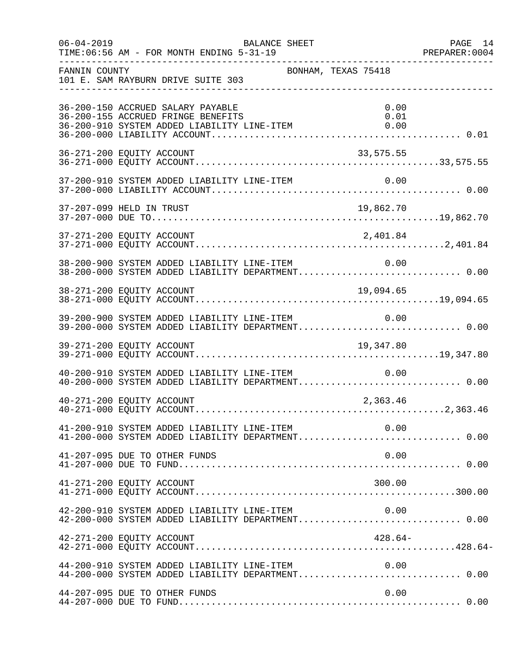|               | $06 - 04 - 2019$<br>BALANCE SHEET<br>TIME: 06:56 AM - FOR MONTH ENDING 5-31-19                                         | PAGE 14              |
|---------------|------------------------------------------------------------------------------------------------------------------------|----------------------|
| FANNIN COUNTY | BONHAM, TEXAS 75418<br>101 E. SAM RAYBURN DRIVE SUITE 303                                                              |                      |
|               | 36-200-150 ACCRUED SALARY PAYABLE<br>36-200-155 ACCRUED FRINGE BENEFITS<br>36-200-910 SYSTEM ADDED LIABILITY LINE-ITEM | 0.00<br>0.01<br>0.00 |
|               | 36-271-200 EQUITY ACCOUNT<br>33,575.55                                                                                 |                      |
|               |                                                                                                                        |                      |
|               | 37-207-099 HELD IN TRUST                                                                                               | 19,862.70            |
|               |                                                                                                                        |                      |
|               | 38-200-900 SYSTEM ADDED LIABILITY LINE-ITEM<br>38-200-000 SYSTEM ADDED LIABILITY DEPARTMENT 0.00                       | 0.00                 |
|               | 19,094.65<br>38-271-200 EQUITY ACCOUNT                                                                                 |                      |
|               | 39-200-900 SYSTEM ADDED LIABILITY LINE-ITEM 0.00<br>39-200-000 SYSTEM ADDED LIABILITY DEPARTMENT 0.00                  |                      |
|               | 39-271-200 EQUITY ACCOUNT<br>19,347.80                                                                                 |                      |
|               | 40-200-910 SYSTEM ADDED LIABILITY LINE-ITEM<br>40-200-000 SYSTEM ADDED LIABILITY DEPARTMENT 0.00                       | 0.00                 |
|               | 40-271-200 EQUITY ACCOUNT                                                                                              | 2,363.46             |
|               | 41-200-910 SYSTEM ADDED LIABILITY LINE-ITEM 0.00<br>41-200-000 SYSTEM ADDED LIABILITY DEPARTMENT 0.00                  |                      |
|               | 41-207-095 DUE TO OTHER FUNDS                                                                                          | 0.00                 |
|               | 41-271-200 EQUITY ACCOUNT                                                                                              | 300.00               |
|               | 42-200-910 SYSTEM ADDED LIABILITY LINE-ITEM<br>42-200-000 SYSTEM ADDED LIABILITY DEPARTMENT 0.00                       | 0.00                 |
|               | 42-271-200 EQUITY ACCOUNT                                                                                              | $428.64-$            |
|               | $44-200-910$ SYSTEM ADDED LIABILITY LINE-ITEM $0.00$<br>$44-200-000$ SYSTEM ADDED LIABILITY DEPARTMENT0.00             |                      |
|               | 44-207-095 DUE TO OTHER FUNDS                                                                                          | 0.00                 |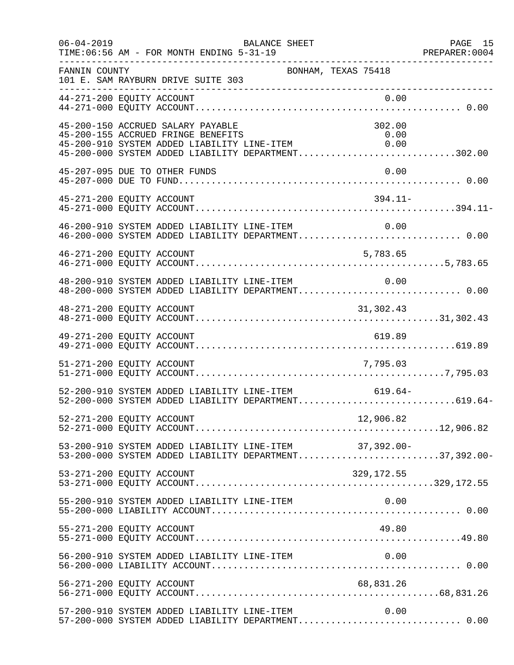| $06 - 04 - 2019$ | BALANCE SHEET<br>TIME: 06:56 AM - FOR MONTH ENDING 5-31-19                                                                                                                                                                                     | PAGE 15 |
|------------------|------------------------------------------------------------------------------------------------------------------------------------------------------------------------------------------------------------------------------------------------|---------|
| FANNIN COUNTY    | BONHAM, TEXAS 75418<br>101 E. SAM RAYBURN DRIVE SUITE 303<br>______________________                                                                                                                                                            |         |
|                  | 0.00<br>44-271-200 EQUITY ACCOUNT                                                                                                                                                                                                              |         |
|                  | 45-200-150 ACCRUED SALARY PAYABLE<br>302.00<br>45-200-155 ACCRUED FRINGE BENEFITS<br>0.00<br>45-200-155 ACCRUED FRINGE BENEFITS 0.00<br>45-200-910 SYSTEM ADDED LIABILITY LINE-ITEM 0.00<br>45-200-000 SYSTEM ADDED LIABILITY DEPARTMENT302.00 |         |
|                  | 0.00<br>45-207-095 DUE TO OTHER FUNDS                                                                                                                                                                                                          |         |
|                  | $394.11-$<br>45-271-200 EQUITY ACCOUNT                                                                                                                                                                                                         |         |
|                  | 46-200-910 SYSTEM ADDED LIABILITY LINE-ITEM<br>0.00                                                                                                                                                                                            |         |
|                  | 46-271-200 EQUITY ACCOUNT<br>5,783.65                                                                                                                                                                                                          |         |
|                  | 48-200-910 SYSTEM ADDED LIABILITY LINE-ITEM 0.00<br>48-200-000 SYSTEM ADDED LIABILITY DEPARTMENT 0.00                                                                                                                                          |         |
|                  | 48-271-200 EQUITY ACCOUNT<br>31,302.43                                                                                                                                                                                                         |         |
|                  | 619.89<br>49-271-200 EQUITY ACCOUNT                                                                                                                                                                                                            |         |
|                  | 51-271-200 EQUITY ACCOUNT<br>7,795.03                                                                                                                                                                                                          |         |
|                  | 52-200-910 SYSTEM ADDED LIABILITY LINE-ITEM 619.64-<br>52-200-000 SYSTEM ADDED LIABILITY DEPARTMENT619.64-                                                                                                                                     |         |
|                  | 12,906.82<br>52-271-200 EQUITY ACCOUNT                                                                                                                                                                                                         |         |
|                  | 53-200-910 SYSTEM ADDED LIABILITY LINE-ITEM 37,392.00-<br>53-200-000 SYSTEM ADDED LIABILITY DEPARTMENT37,392.00-                                                                                                                               |         |
|                  | 53-271-200 EQUITY ACCOUNT                                                                                                                                                                                                                      |         |
|                  | 55-200-910 SYSTEM ADDED LIABILITY LINE-ITEM<br>0.00                                                                                                                                                                                            |         |
|                  | 49.80<br>55-271-200 EQUITY ACCOUNT                                                                                                                                                                                                             |         |
|                  |                                                                                                                                                                                                                                                |         |
|                  |                                                                                                                                                                                                                                                |         |
|                  | 57-200-910 SYSTEM ADDED LIABILITY LINE-ITEM<br>0.00<br>57-200-000 SYSTEM ADDED LIABILITY DEPARTMENT 0.00                                                                                                                                       |         |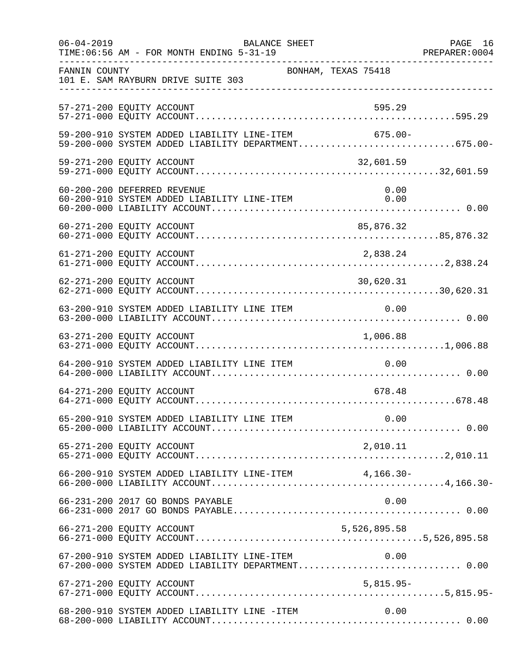| $06 - 04 - 2019$ | TIME: 06:56 AM - FOR MONTH ENDING 5-31-19                                                          | BALANCE SHEET |                     | PAGE 16<br>PREPARER:0004 |
|------------------|----------------------------------------------------------------------------------------------------|---------------|---------------------|--------------------------|
| FANNIN COUNTY    | 101 E. SAM RAYBURN DRIVE SUITE 303                                                                 |               | BONHAM, TEXAS 75418 |                          |
|                  | 57-271-200 EQUITY ACCOUNT                                                                          |               | 595.29              |                          |
|                  | 59-200-910 SYSTEM ADDED LIABILITY LINE-ITEM<br>59-200-000 SYSTEM ADDED LIABILITY DEPARTMENT675.00- |               | 675.00-             |                          |
|                  | 59-271-200 EQUITY ACCOUNT                                                                          |               | 32,601.59           |                          |
|                  | 60-200-200 DEFERRED REVENUE<br>60-200-910 SYSTEM ADDED LIABILITY LINE-ITEM                         |               | 0.00<br>0.00        |                          |
|                  | 60-271-200 EQUITY ACCOUNT                                                                          |               | 85,876.32           |                          |
|                  | 61-271-200 EQUITY ACCOUNT                                                                          |               | 2,838.24            |                          |
|                  | 62-271-200 EQUITY ACCOUNT                                                                          |               | 30,620.31           |                          |
|                  |                                                                                                    |               |                     |                          |
|                  | 63-271-200 EQUITY ACCOUNT                                                                          |               | 1,006.88            |                          |
|                  | 64-200-910 SYSTEM ADDED LIABILITY LINE ITEM                                                        |               | 0.00                |                          |
|                  | 64-271-200 EQUITY ACCOUNT                                                                          |               | 678.48              |                          |
|                  |                                                                                                    |               |                     |                          |
|                  | 65-271-200 EQUITY ACCOUNT                                                                          |               | 2,010.11            |                          |
|                  | 66-200-910 SYSTEM ADDED LIABILITY LINE-ITEM 4,166.30-                                              |               |                     |                          |
|                  | 66-231-200 2017 GO BONDS PAYABLE                                                                   |               | 0.00                |                          |
|                  | 66-271-200 EQUITY ACCOUNT                                                                          |               | 5,526,895.58        |                          |
|                  | 67-200-910 SYSTEM ADDED LIABILITY LINE-ITEM                                                        |               | 0.00                |                          |
|                  | 67-271-200 EQUITY ACCOUNT                                                                          |               | $5,815.95-$         |                          |
|                  | 68-200-910 SYSTEM ADDED LIABILITY LINE -ITEM                                                       |               | 0.00                |                          |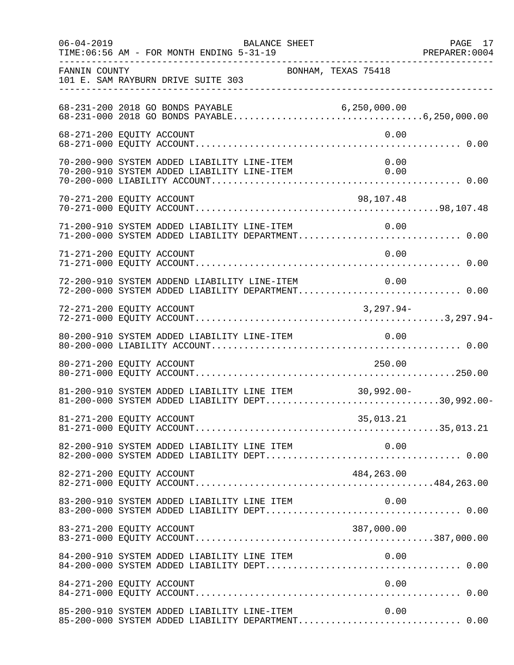| $06 - 04 - 2019$          | TIME: 06:56 AM - FOR MONTH ENDING 5-31-19   | BALANCE SHEET                                                                                   | PREPARER: 0004                                                                                             | PAGE 17 |
|---------------------------|---------------------------------------------|-------------------------------------------------------------------------------------------------|------------------------------------------------------------------------------------------------------------|---------|
| FANNIN COUNTY             | 101 E. SAM RAYBURN DRIVE SUITE 303          | BONHAM, TEXAS 75418                                                                             |                                                                                                            |         |
|                           | 68-231-200 2018 GO BONDS PAYABLE            |                                                                                                 |                                                                                                            |         |
| 68-271-200 EQUITY ACCOUNT |                                             |                                                                                                 | 0.00                                                                                                       |         |
|                           |                                             | 70-200-900 SYSTEM ADDED LIABILITY LINE-ITEM<br>70-200-910 SYSTEM ADDED LIABILITY LINE-ITEM 0.00 | 0.00                                                                                                       |         |
| 70-271-200 EQUITY ACCOUNT |                                             |                                                                                                 | 98,107.48                                                                                                  |         |
|                           | 71-200-910 SYSTEM ADDED LIABILITY LINE-ITEM |                                                                                                 | 0.00                                                                                                       |         |
| 71-271-200 EQUITY ACCOUNT |                                             |                                                                                                 | 0.00                                                                                                       |         |
|                           |                                             |                                                                                                 | 72-200-910 SYSTEM ADDEND LIABILITY LINE-ITEM 0.00<br>72-200-000 SYSTEM ADDED LIABILITY DEPARTMENT 0.00     |         |
|                           |                                             |                                                                                                 |                                                                                                            |         |
|                           |                                             | 80-200-910 SYSTEM ADDED LIABILITY LINE-ITEM 0.00                                                |                                                                                                            |         |
| 80-271-200 EQUITY ACCOUNT |                                             |                                                                                                 | 250.00                                                                                                     |         |
|                           |                                             |                                                                                                 | 81-200-910 SYSTEM ADDED LIABILITY LINE ITEM 30,992.00-<br>81-200-000 SYSTEM ADDED LIABILITY DEPT30,992.00- |         |
|                           |                                             |                                                                                                 |                                                                                                            |         |
|                           |                                             |                                                                                                 |                                                                                                            |         |
|                           |                                             |                                                                                                 |                                                                                                            |         |
|                           |                                             | 83-200-910 SYSTEM ADDED LIABILITY LINE ITEM                                                     | 0.00                                                                                                       |         |
| 83-271-200 EQUITY ACCOUNT |                                             |                                                                                                 | 387,000.00                                                                                                 |         |
|                           |                                             |                                                                                                 |                                                                                                            |         |
| 84-271-200 EQUITY ACCOUNT |                                             |                                                                                                 | 0.00                                                                                                       |         |
|                           |                                             | 85-200-910 SYSTEM ADDED LIABILITY LINE-ITEM                                                     | 0.00<br>85-200-000 SYSTEM ADDED LIABILITY DEPARTMENT 0.00                                                  |         |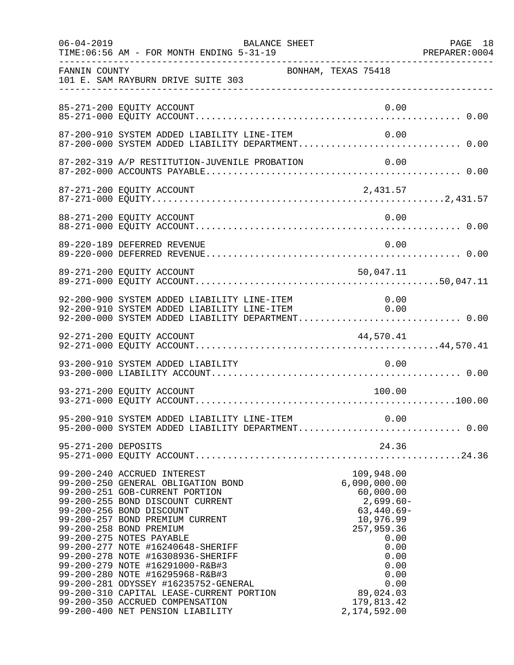| $06 - 04 - 2019$    | BALANCE SHEET<br>TIME: 06:56 AM - FOR MONTH ENDING 5-31-19                                                                                                                                                                                                                                                                                                                                                                                                                                                                                                               |                                                                                                                                                                                              | PAGE 18 |
|---------------------|--------------------------------------------------------------------------------------------------------------------------------------------------------------------------------------------------------------------------------------------------------------------------------------------------------------------------------------------------------------------------------------------------------------------------------------------------------------------------------------------------------------------------------------------------------------------------|----------------------------------------------------------------------------------------------------------------------------------------------------------------------------------------------|---------|
| FANNIN COUNTY       | 101 E. SAM RAYBURN DRIVE SUITE 303                                                                                                                                                                                                                                                                                                                                                                                                                                                                                                                                       | BONHAM, TEXAS 75418                                                                                                                                                                          |         |
|                     | 85-271-200 EQUITY ACCOUNT                                                                                                                                                                                                                                                                                                                                                                                                                                                                                                                                                | 0.00                                                                                                                                                                                         |         |
|                     | 87-200-910 SYSTEM ADDED LIABILITY LINE-ITEM<br>87-200-000 SYSTEM ADDED LIABILITY DEPARTMENT 0.00                                                                                                                                                                                                                                                                                                                                                                                                                                                                         | 0.00                                                                                                                                                                                         |         |
|                     |                                                                                                                                                                                                                                                                                                                                                                                                                                                                                                                                                                          |                                                                                                                                                                                              |         |
|                     | 87-271-200 EQUITY ACCOUNT                                                                                                                                                                                                                                                                                                                                                                                                                                                                                                                                                | 2,431.57                                                                                                                                                                                     |         |
|                     | 88-271-200 EQUITY ACCOUNT                                                                                                                                                                                                                                                                                                                                                                                                                                                                                                                                                | 0.00                                                                                                                                                                                         |         |
|                     | 89-220-189 DEFERRED REVENUE                                                                                                                                                                                                                                                                                                                                                                                                                                                                                                                                              | 0.00                                                                                                                                                                                         |         |
|                     | 89-271-200 EQUITY ACCOUNT                                                                                                                                                                                                                                                                                                                                                                                                                                                                                                                                                | 50,047.11                                                                                                                                                                                    |         |
|                     | 92-200-900 SYSTEM ADDED LIABILITY LINE-ITEM 0.00<br>92-200-910 SYSTEM ADDED LIABILITY LINE-ITEM 0.00<br>92-200-000 SYSTEM ADDED LIABILITY DEPARTMENT 0.00                                                                                                                                                                                                                                                                                                                                                                                                                |                                                                                                                                                                                              |         |
|                     | 92-271-200 EQUITY ACCOUNT                                                                                                                                                                                                                                                                                                                                                                                                                                                                                                                                                | 44,570.41                                                                                                                                                                                    |         |
|                     | 93-200-910 SYSTEM ADDED LIABILITY                                                                                                                                                                                                                                                                                                                                                                                                                                                                                                                                        | 0.00                                                                                                                                                                                         |         |
|                     | 93-271-200 EQUITY ACCOUNT                                                                                                                                                                                                                                                                                                                                                                                                                                                                                                                                                | 100.00                                                                                                                                                                                       |         |
|                     | 95-200-910 SYSTEM ADDED LIABILITY LINE-ITEM 0.00<br>95-200-000 SYSTEM ADDED LIABILITY DEPARTMENT 0.00                                                                                                                                                                                                                                                                                                                                                                                                                                                                    |                                                                                                                                                                                              |         |
| 95-271-200 DEPOSITS |                                                                                                                                                                                                                                                                                                                                                                                                                                                                                                                                                                          | 24.36                                                                                                                                                                                        |         |
|                     | 99-200-240 ACCRUED INTEREST<br>99-200-250 GENERAL OBLIGATION BOND<br>99-200-251 GOB-CURRENT PORTION<br>99-200-255 BOND DISCOUNT CURRENT<br>99-200-256 BOND DISCOUNT<br>99-200-257 BOND PREMIUM CURRENT<br>99-200-258 BOND PREMIUM<br>99-200-275 NOTES PAYABLE<br>99-200-277 NOTE #16240648-SHERIFF<br>99-200-278 NOTE #16308936-SHERIFF<br>99-200-279 NOTE #16291000-R&B#3<br>99-200-280 NOTE #16295968-R&B#3<br>99-200-281 ODYSSEY #16235752-GENERAL<br>99-200-310 CAPITAL LEASE-CURRENT PORTION<br>99-200-350 ACCRUED COMPENSATION<br>99-200-400 NET PENSION LIABILITY | 109,948.00<br>6,090,000.00<br>60,000.00<br>$2,699.60-$<br>$63,440.69-$<br>10,976.99<br>257,959.36<br>0.00<br>0.00<br>0.00<br>0.00<br>0.00<br>0.00<br>89,024.03<br>179,813.42<br>2,174,592.00 |         |